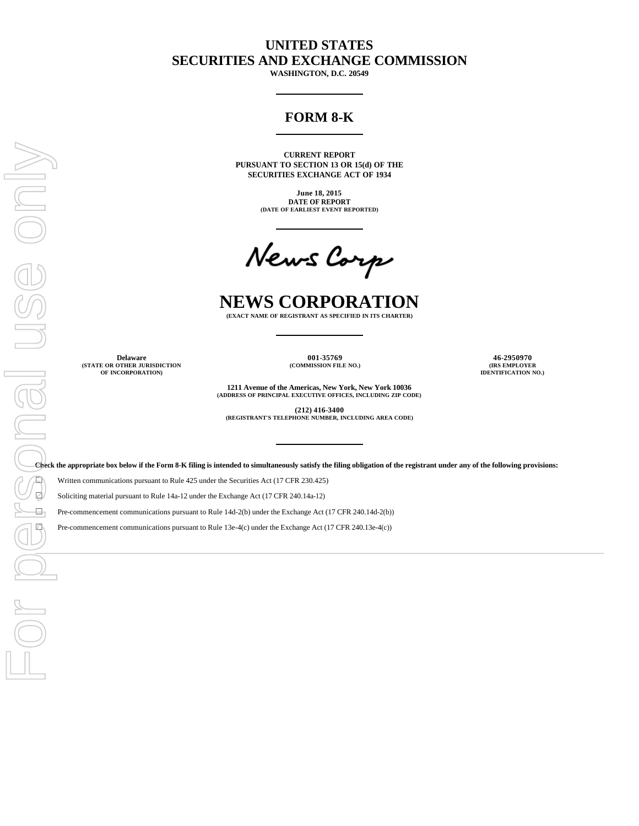# **UNITED STATES SECURITIES AND EXCHANGE COMMISSION**

**WASHINGTON, D.C. 20549**

# **FORM 8-K**

**CURRENT REPORT PURSUANT TO SECTION 13 OR 15(d) OF THE SECURITIES EXCHANGE ACT OF 1934**

> **June 18, 2015 DATE OF REPORT (DATE OF EARLIEST EVENT REPORTED)**

# **NEWS CORPORATION**

**(EXACT NAME OF REGISTRANT AS SPECIFIED IN ITS CHARTER)**

**(STATE OR OTHER JURISDICTION OF INCORPORATION)**

**(COMMISSION FILE NO.) (IRS EMPLOYER**

**Delaware 001-35769 46-2950970 IDENTIFICATION NO.)**

> **1211 Avenue of the Americas, New York, New York 10036 (ADDRESS OF PRINCIPAL EXECUTIVE OFFICES, INCLUDING ZIP CODE)**

**(212) 416-3400 (REGISTRANT'S TELEPHONE NUMBER, INCLUDING AREA CODE)**

**Check the appropriate box below if the Form 8-K filing is intended to simultaneously satisfy the filing obligation of the registrant under any of the following provisions:**

Written communications pursuant to Rule 425 under the Securities Act (17 CFR 230.425)

Soliciting material pursuant to Rule 14a-12 under the Exchange Act (17 CFR 240.14a-12)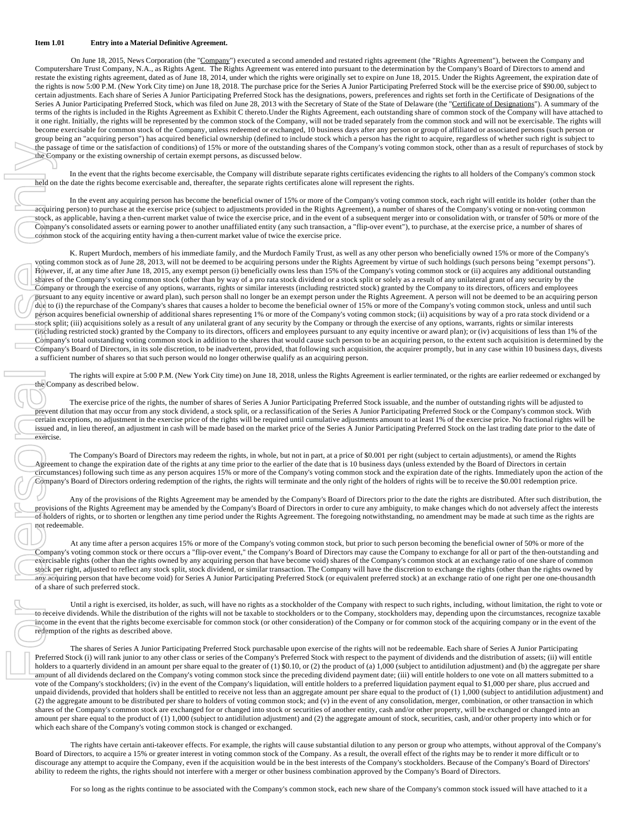### **Item 1.01 Entry into a Material Definitive Agreement.**

On June 18, 2015, News Corporation (the "Company") executed a second amended and restated rights agreement (the "Rights Agreement"), between the Company and Computershare Trust Company, N.A., as Rights Agent. The Rights Agreement was entered into pursuant to the determination by the Company's Board of Directors to amend and restate the existing rights agreement, dated as of June 18, 2014, under which the rights were originally set to expire on June 18, 2015. Under the Rights Agreement, the expiration date of the rights is now 5:00 P.M. (New York City time) on June 18, 2018. The purchase price for the Series A Junior Participating Preferred Stock will be the exercise price of \$90.00, subject to certain adjustments. Each share of Series A Junior Participating Preferred Stock has the designations, powers, preferences and rights set forth in the Certificate of Designations of the Series A Junior Participating Preferred Stock, which was filed on June 28, 2013 with the Secretary of State of the State of Delaware (the "Certificate of Designations"). A summary of the terms of the rights is included in the Rights Agreement as Exhibit C thereto.Under the Rights Agreement, each outstanding share of common stock of the Company will have attached to it one right. Initially, the rights will be represented by the common stock of the Company, will not be traded separately from the common stock and will not be exercisable. The rights will become exercisable for common stock of the Company, unless redeemed or exchanged, 10 business days after any person or group of affiliated or associated persons (such person or group being an "acquiring person") has acquired beneficial ownership (defined to include stock which a person has the right to acquire, regardless of whether such right is subject to the passage of time or the satisfaction of conditions) of 15% or more of the outstanding shares of the Company's voting common stock, other than as a result of repurchases of stock by the Company or the existing ownership of certain exempt persons, as discussed below.

In the event that the rights become exercisable, the Company will distribute separate rights certificates evidencing the rights to all holders of the Company's common stock held on the date the rights become exercisable and, thereafter, the separate rights certificates alone will represent the rights.

In the event any acquiring person has become the beneficial owner of 15% or more of the Company's voting common stock, each right will entitle its holder (other than the acquiring person) to purchase at the exercise price (subject to adjustments provided in the Rights Agreement), a number of shares of the Company's voting or non-voting common stock, as applicable, having a then-current market value of twice the exercise price, and in the event of a subsequent merger into or consolidation with, or transfer of 50% or more of the Company's consolidated assets or earning power to another unaffiliated entity (any such transaction, a "flip-over event"), to purchase, at the exercise price, a number of shares of common stock of the acquiring entity having a then-current market value of twice the exercise price.

K. Rupert Murdoch, members of his immediate family, and the Murdoch Family Trust, as well as any other person who beneficially owned 15% or more of the Company's voting common stock as of June 28, 2013, will not be deemed to be acquiring persons under the Rights Agreement by virtue of such holdings (such persons being "exempt persons"). However, if, at any time after June 18, 2015, any exempt person (i) beneficially owns less than 15% of the Company's voting common stock or (ii) acquires any additional outstanding shares of the Company's voting common stock (other than by way of a pro rata stock dividend or a stock split or solely as a result of any unilateral grant of any security by the Company or through the exercise of any options, warrants, rights or similar interests (including restricted stock) granted by the Company to its directors, officers and employees pursuant to any equity incentive or award plan), such person shall no longer be an exempt person under the Rights Agreement. A person will not be deemed to be an acquiring person due to (i) the repurchase of the Company's shares that causes a holder to become the beneficial owner of 15% or more of the Company's voting common stock, unless and until such person acquires beneficial ownership of additional shares representing 1% or more of the Company's voting common stock; (ii) acquisitions by way of a pro rata stock dividend or a stock split; (iii) acquisitions solely as a result of any unilateral grant of any security by the Company or through the exercise of any options, warrants, rights or similar interests (including restricted stock) granted by the Company to its directors, officers and employees pursuant to any equity incentive or award plan); or (iv) acquisitions of less than 1% of the Company's total outstanding voting common stock in addition to the shares that would cause such person to be an acquiring person, to the extent such acquisition is determined by the Company's Board of Directors, in its sole discretion, to be inadvertent, provided, that following such acquisition, the acquirer promptly, but in any case within 10 business days, divests a sufficient number of shares so that such person would no longer otherwise qualify as an acquiring person.

The rights will expire at 5:00 P.M. (New York City time) on June 18, 2018, unless the Rights Agreement is earlier terminated, or the rights are earlier redeemed or exchanged by the Company as described below.

The exercise price of the rights, the number of shares of Series A Junior Participating Preferred Stock issuable, and the number of outstanding rights will be adjusted to prevent dilution that may occur from any stock dividend, a stock split, or a reclassification of the Series A Junior Participating Preferred Stock or the Company's common stock. With certain exceptions, no adjustment in the exercise price of the rights will be required until cumulative adjustments amount to at least 1% of the exercise price. No fractional rights will be issued and, in lieu thereof, an adjustment in cash will be made based on the market price of the Series A Junior Participating Preferred Stock on the last trading date prior to the date of exercise.

The Company's Board of Directors may redeem the rights, in whole, but not in part, at a price of \$0.001 per right (subject to certain adjustments), or amend the Rights Agreement to change the expiration date of the rights at any time prior to the earlier of the date that is 10 business days (unless extended by the Board of Directors in certain circumstances) following such time as any person acquires 15% or more of the Company's voting common stock and the expiration date of the rights. Immediately upon the action of the Company's Board of Directors ordering redemption of the rights, the rights will terminate and the only right of the holders of rights will be to receive the \$0.001 redemption price.

Any of the provisions of the Rights Agreement may be amended by the Company's Board of Directors prior to the date the rights are distributed. After such distribution, the provisions of the Rights Agreement may be amended by the Company's Board of Directors in order to cure any ambiguity, to make changes which do not adversely affect the interests of holders of rights, or to shorten or lengthen any time period under the Rights Agreement. The foregoing notwithstanding, no amendment may be made at such time as the rights are not redeemable.

 At any time after a person acquires 15% or more of the Company's voting common stock, but prior to such person becoming the beneficial owner of 50% or more of the Company's voting common stock or there occurs a "flip-over event," the Company's Board of Directors may cause the Company to exchange for all or part of the then-outstanding and exercisable rights (other than the rights owned by any acquiring person that have become void) shares of the Company's common stock at an exchange ratio of one share of common stock per right, adjusted to reflect any stock split, stock dividend, or similar transaction. The Company will have the discretion to exchange the rights (other than the rights owned by any acquiring person that have become void) for Series A Junior Participating Preferred Stock (or equivalent preferred stock) at an exchange ratio of one right per one one-thousandth of a share of such preferred stock.

 Until a right is exercised, its holder, as such, will have no rights as a stockholder of the Company with respect to such rights, including, without limitation, the right to vote or to receive dividends. While the distribution of the rights will not be taxable to stockholders or to the Company, stockholders may, depending upon the circumstances, recognize taxable income in the event that the rights become exercisable for common stock (or other consideration) of the Company or for common stock of the acquiring company or in the event of the redemption of the rights as described above.

 The shares of Series A Junior Participating Preferred Stock purchasable upon exercise of the rights will not be redeemable. Each share of Series A Junior Participating Preferred Stock (i) will rank junior to any other class or series of the Company's Preferred Stock with respect to the payment of dividends and the distribution of assets; (ii) will entitle holders to a quarterly dividend in an amount per share equal to the greater of (1) \$0.10, or (2) the product of (a) 1,000 (subject to antidilution adjustment) and (b) the aggregate per share amount of all dividends declared on the Company's voting common stock since the preceding dividend payment date; (iii) will entitle holders to one vote on all matters submitted to a vote of the Company's stockholders; (iv) in the event of the Company's liquidation, will entitle holders to a preferred liquidation payment equal to \$1,000 per share, plus accrued and unpaid dividends, provided that holders shall be entitled to receive not less than an aggregate amount per share equal to the product of (1) 1,000 (subject to antidilution adjustment) and (2) the aggregate amount to be distributed per share to holders of voting common stock; and (v) in the event of any consolidation, merger, combination, or other transaction in which shares of the Company's common stock are exchanged for or changed into stock or securities of another entity, cash and/or other property, will be exchanged or changed into an amount per share equal to the product of (1) 1,000 (subject to antidilution adjustment) and (2) the aggregate amount of stock, securities, cash, and/or other property into which or for which each share of the Company's voting common stock is changed or exchanged.

 The rights have certain anti-takeover effects. For example, the rights will cause substantial dilution to any person or group who attempts, without approval of the Company's Board of Directors, to acquire a 15% or greater interest in voting common stock of the Company. As a result, the overall effect of the rights may be to render it more difficult or to discourage any attempt to acquire the Company, even if the acquisition would be in the best interests of the Company's stockholders. Because of the Company's Board of Directors' ability to redeem the rights, the rights should not interfere with a merger or other business combination approved by the Company's Board of Directors.

For so long as the rights continue to be associated with the Company's common stock, each new share of the Company's common stock issued will have attached to it a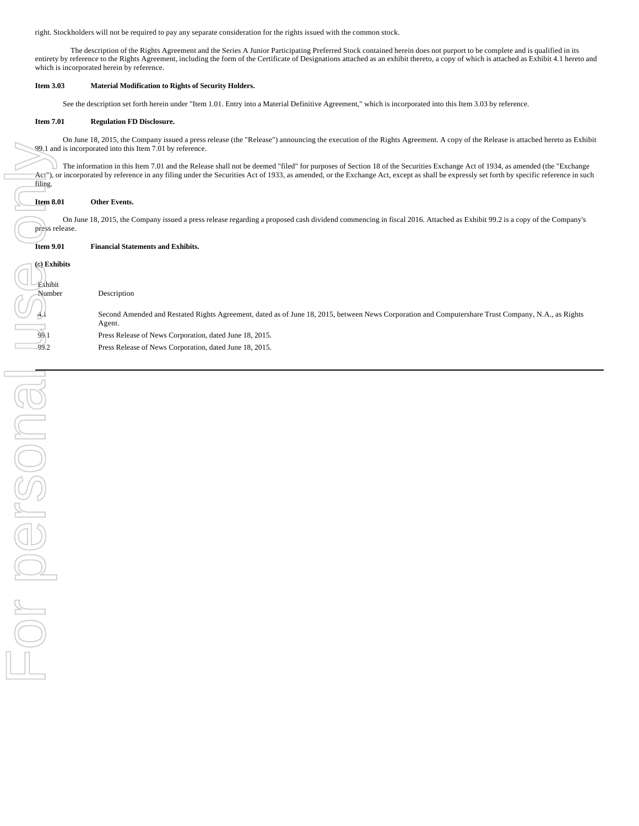right. Stockholders will not be required to pay any separate consideration for the rights issued with the common stock.

 The description of the Rights Agreement and the Series A Junior Participating Preferred Stock contained herein does not purport to be complete and is qualified in its entirety by reference to the Rights Agreement, including the form of the Certificate of Designations attached as an exhibit thereto, a copy of which is attached as Exhibit 4.1 hereto and which is incorporated herein by reference.

### **Item 3.03 Material Modification to Rights of Security Holders.**

See the description set forth herein under "Item 1.01. Entry into a Material Definitive Agreement," which is incorporated into this Item 3.03 by reference.

### **Item 7.01 Regulation FD Disclosure.**

On June 18, 2015, the Company issued a press release (the "Release") announcing the execution of the Rights Agreement. A copy of the Release is attached hereto as Exhibit 99.1 and is incorporated into this Item 7.01 by reference.

The information in this Item 7.01 and the Release shall not be deemed "filed" for purposes of Section 18 of the Securities Exchange Act of 1934, as amended (the "Exchange  $\pi$ ct"), or incorporated by reference in any filing under the Securities Act of 1933, as amended, or the Exchange Act, except as shall be expressly set forth by specific reference in such filing.

### **Item 8.01 Other Events.**

On June 18, 2015, the Company issued a press release regarding a proposed cash dividend commencing in fiscal 2016. Attached as Exhibit 99.2 is a copy of the Company's press release.

### **Item 9.01 Financial Statements and Exhibits.**

| <b>Exhibits</b><br>$\left($ e $\right)$<br>Exhibit |                                                                                                                                                    |
|----------------------------------------------------|----------------------------------------------------------------------------------------------------------------------------------------------------|
| Number                                             | Description                                                                                                                                        |
|                                                    |                                                                                                                                                    |
|                                                    | Second Amended and Restated Rights Agreement, dated as of June 18, 2015, between News Corporation and Computershare Trust Company, N.A., as Rights |
|                                                    | Agent.                                                                                                                                             |
| 99.                                                | Press Release of News Corporation, dated June 18, 2015.                                                                                            |
| 99.2                                               | Press Release of News Corporation, dated June 18, 2015                                                                                             |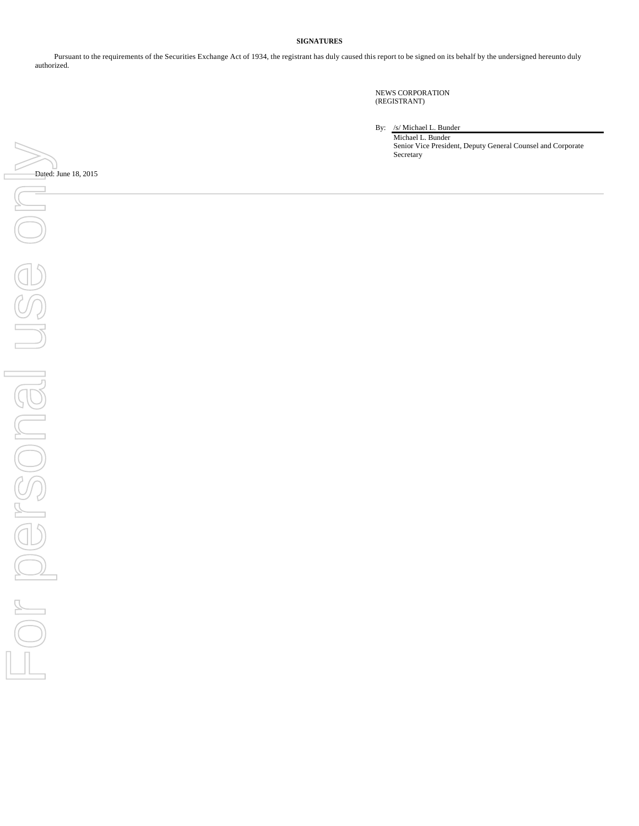### **SIGNATURES**

Pursuant to the requirements of the Securities Exchange Act of 1934, the registrant has duly caused this report to be signed on its behalf by the undersigned hereunto duly authorized.

> NEWS CORPORATION (REGISTRANT)

By: /s/ Michael L. Bunder

Michael L. Bunder Senior Vice President, Deputy General Counsel and Corporate Secretary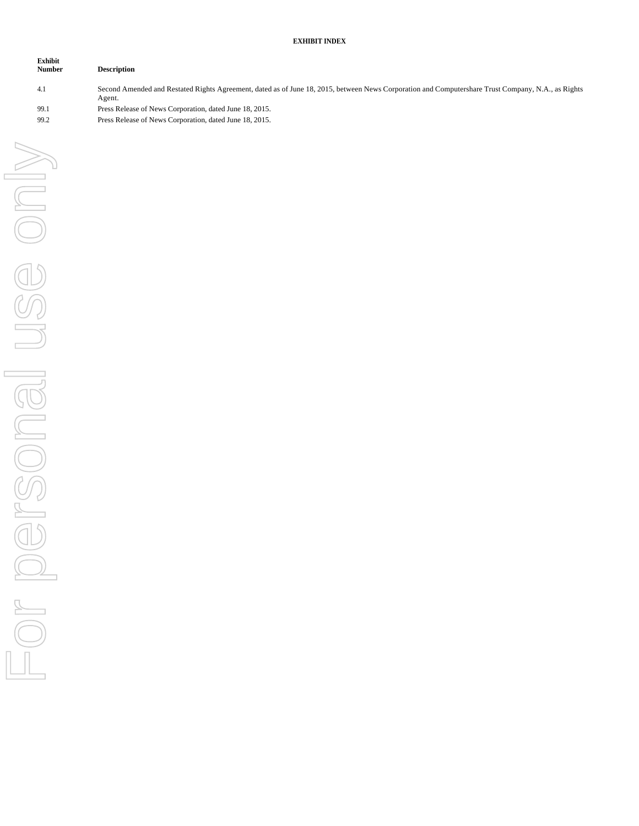## **EXHIBIT INDEX**

| <b>Exhibit</b><br><b>Number</b> | <b>Description</b>                                                                                                                                           |
|---------------------------------|--------------------------------------------------------------------------------------------------------------------------------------------------------------|
| 4.1                             | Second Amended and Restated Rights Agreement, dated as of June 18, 2015, between News Corporation and Computershare Trust Company, N.A., as Rights<br>Agent. |
| 99.1                            | Press Release of News Corporation, dated June 18, 2015.                                                                                                      |
| 99.2                            | Press Release of News Corporation, dated June 18, 2015.                                                                                                      |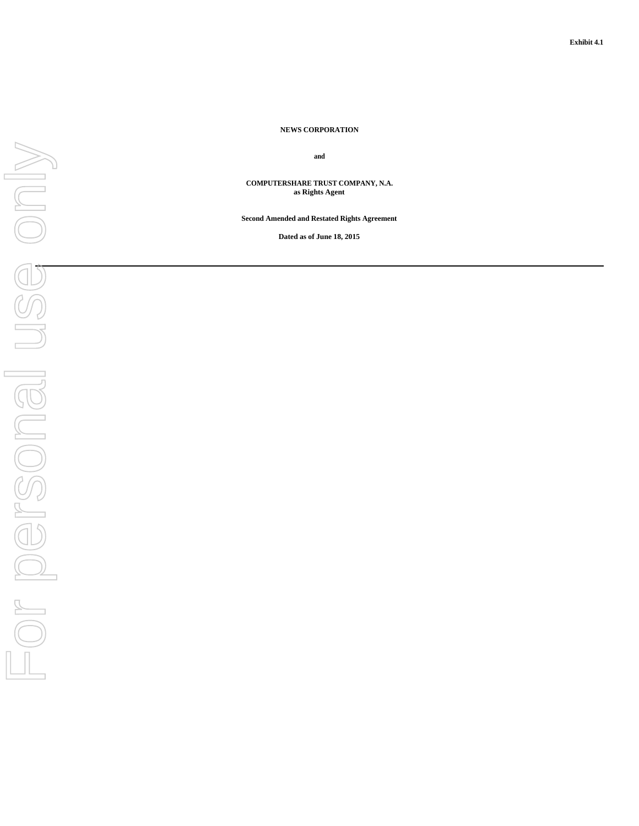# For personal use onlyUSS only FOR DOFSONGI

### **NEWS CORPORATION**

**and**

**COMPUTERSHARE TRUST COMPANY, N.A. as Rights Agent**

**Second Amended and Restated Rights Agreement**

**Dated as of June 18, 2015**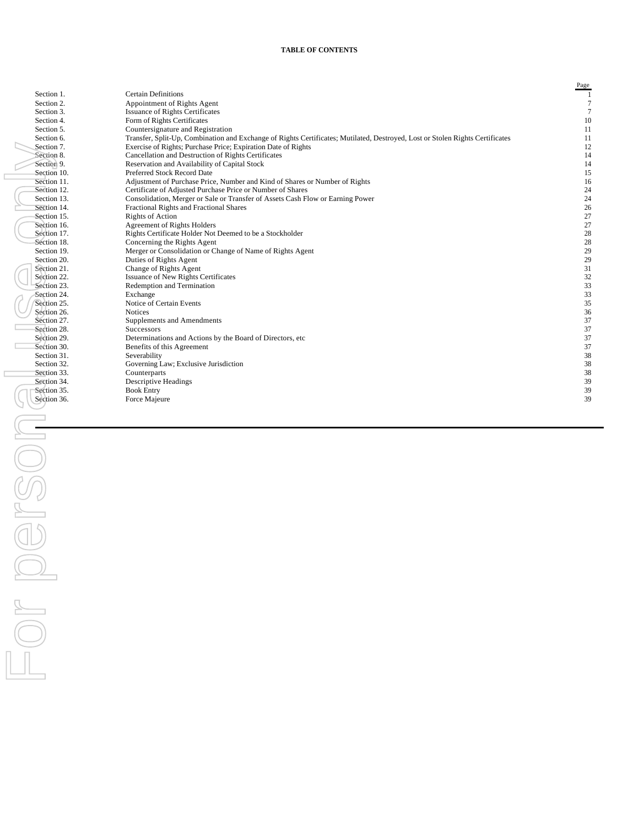### **TABLE OF CONTENTS**

|                            |                                                                                                                                                                                                | Page             |
|----------------------------|------------------------------------------------------------------------------------------------------------------------------------------------------------------------------------------------|------------------|
| Section 1.                 | <b>Certain Definitions</b>                                                                                                                                                                     | -1               |
| Section 2.                 | Appointment of Rights Agent                                                                                                                                                                    | $\tau$           |
| Section 3.                 | <b>Issuance of Rights Certificates</b>                                                                                                                                                         | $\tau$           |
| Section 4.                 | Form of Rights Certificates                                                                                                                                                                    | 10               |
| Section 5.                 | Countersignature and Registration                                                                                                                                                              | 11               |
| Section 6.                 | Transfer, Split-Up, Combination and Exchange of Rights Certificates; Mutilated, Destroyed, Lost or Stolen Rights Certificates<br>Exercise of Rights; Purchase Price; Expiration Date of Rights | 11               |
| Section 7.<br>Section 8.   | Cancellation and Destruction of Rights Certificates                                                                                                                                            | 12<br>14         |
| Section 9.                 | Reservation and Availability of Capital Stock                                                                                                                                                  | 14               |
| Section 10.                | Preferred Stock Record Date                                                                                                                                                                    | 15               |
| Section 11.                | Adjustment of Purchase Price, Number and Kind of Shares or Number of Rights                                                                                                                    | 16               |
| Section 12.                | Certificate of Adjusted Purchase Price or Number of Shares                                                                                                                                     | 24               |
| Section 13.                | Consolidation, Merger or Sale or Transfer of Assets Cash Flow or Earning Power                                                                                                                 | $24\,$           |
| Section 14.                | Fractional Rights and Fractional Shares                                                                                                                                                        | $26\,$           |
| Section 15.                | <b>Rights of Action</b>                                                                                                                                                                        | $27\,$           |
| Section 16.                | <b>Agreement of Rights Holders</b>                                                                                                                                                             | $27\,$           |
| Section 17.                | Rights Certificate Holder Not Deemed to be a Stockholder                                                                                                                                       | $28\,$           |
| Section 18.                | Concerning the Rights Agent                                                                                                                                                                    | $28\,$           |
| Section 19.                | Merger or Consolidation or Change of Name of Rights Agent                                                                                                                                      | $29\,$           |
| Section 20.                | Duties of Rights Agent                                                                                                                                                                         | $29\,$           |
| Section 21.                | Change of Rights Agent                                                                                                                                                                         | $31\,$           |
| Section 22.<br>Section 23. | Issuance of New Rights Certificates<br>Redemption and Termination                                                                                                                              | $32\,$<br>$33\,$ |
| Section 24.                | Exchange                                                                                                                                                                                       | $33\,$           |
| Section 25.                | Notice of Certain Events                                                                                                                                                                       | $35\,$           |
| Section 26.                | <b>Notices</b>                                                                                                                                                                                 | 36               |
| Section 27.                | Supplements and Amendments                                                                                                                                                                     | $37\,$           |
| Section 28.                | Successors                                                                                                                                                                                     | $37\,$           |
| Section 29.                | Determinations and Actions by the Board of Directors, etc.                                                                                                                                     | $37\,$           |
| Section 30.                | Benefits of this Agreement                                                                                                                                                                     | $37\,$           |
| Section 31.                | Severability                                                                                                                                                                                   | $38\,$           |
| Section 32.                | Governing Law; Exclusive Jurisdiction                                                                                                                                                          | $38\,$           |
| Section 33.                | Counterparts                                                                                                                                                                                   | 38               |
| Section 34.                | Descriptive Headings                                                                                                                                                                           | $39\,$           |
| Section 35.                | <b>Book Entry</b>                                                                                                                                                                              | 39<br>39         |
| Section 36.                | Force Majeure                                                                                                                                                                                  |                  |
|                            |                                                                                                                                                                                                |                  |
|                            |                                                                                                                                                                                                |                  |
|                            |                                                                                                                                                                                                |                  |
|                            |                                                                                                                                                                                                |                  |
|                            |                                                                                                                                                                                                |                  |
|                            |                                                                                                                                                                                                |                  |
|                            |                                                                                                                                                                                                |                  |
|                            |                                                                                                                                                                                                |                  |
|                            |                                                                                                                                                                                                |                  |
|                            |                                                                                                                                                                                                |                  |
|                            |                                                                                                                                                                                                |                  |
|                            |                                                                                                                                                                                                |                  |
|                            |                                                                                                                                                                                                |                  |
|                            |                                                                                                                                                                                                |                  |
|                            |                                                                                                                                                                                                |                  |
|                            |                                                                                                                                                                                                |                  |
|                            |                                                                                                                                                                                                |                  |
|                            |                                                                                                                                                                                                |                  |
|                            |                                                                                                                                                                                                |                  |
|                            |                                                                                                                                                                                                |                  |
|                            |                                                                                                                                                                                                |                  |
|                            |                                                                                                                                                                                                |                  |
|                            |                                                                                                                                                                                                |                  |
|                            |                                                                                                                                                                                                |                  |
|                            |                                                                                                                                                                                                |                  |
|                            |                                                                                                                                                                                                |                  |
|                            |                                                                                                                                                                                                |                  |
|                            |                                                                                                                                                                                                |                  |
|                            |                                                                                                                                                                                                |                  |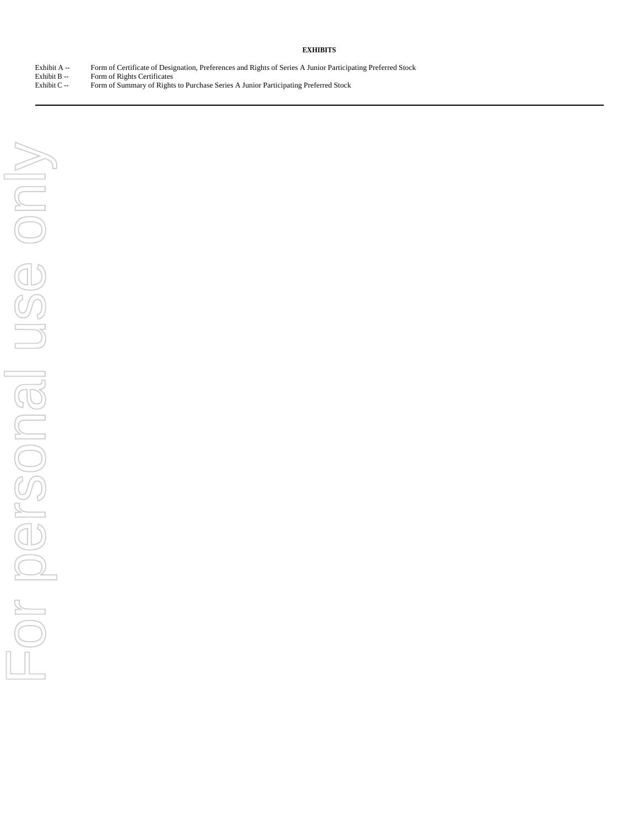### **EXHIBITS**

Exhibit A -- Form of Certificate of Designation, Preferences and Rights of Series A Junior Participating Preferred Stock<br>Exhibit B -- Form of Rights Certificates

Exhibit B -- Form of Rights Certificates<br>Exhibit C -- Form of Summary of Right Form of Summary of Rights to Purchase Series A Junior Participating Preferred Stock

For personal use only For personal use only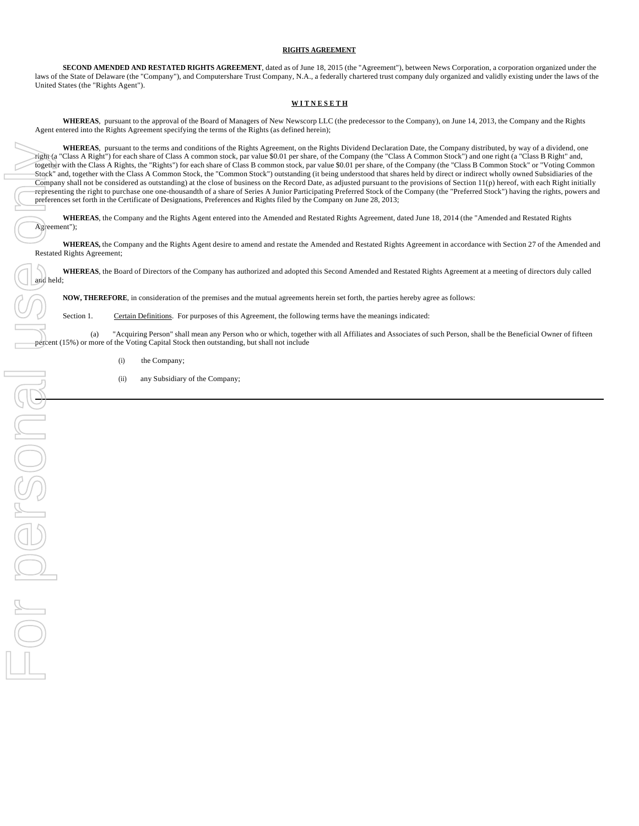### **RIGHTS AGREEMENT**

**SECOND AMENDED AND RESTATED RIGHTS AGREEMENT**, dated as of June 18, 2015 (the "Agreement"), between News Corporation, a corporation organized under the laws of the State of Delaware (the "Company"), and Computershare Trust Company, N.A., a federally chartered trust company duly organized and validly existing under the laws of the United States (the "Rights Agent").

### **W I T N E S E T H**

**WHEREAS**, pursuant to the approval of the Board of Managers of New Newscorp LLC (the predecessor to the Company), on June 14, 2013, the Company and the Rights Agent entered into the Rights Agreement specifying the terms of the Rights (as defined herein);

**WHEREAS**, pursuant to the terms and conditions of the Rights Agreement, on the Rights Dividend Declaration Date, the Company distributed, by way of a dividend, one right (a "Class A Right") for each share of Class A common stock, par value \$0.01 per share, of the Company (the "Class A Common Stock") and one right (a "Class B Right" and, together with the Class A Rights, the "Rights") for each share of Class B common stock, par value \$0.01 per share, of the Company (the "Class B Common Stock" or "Voting Common Stock" and, together with the Class A Common Stock, the "Common Stock") outstanding (it being understood that shares held by direct or indirect wholly owned Subsidiaries of the Company shall not be considered as outstanding) at the close of business on the Record Date, as adjusted pursuant to the provisions of Section 11(p) hereof, with each Right initially representing the right to purchase one one-thousandth of a share of Series A Junior Participating Preferred Stock of the Company (the "Preferred Stock") having the rights, powers and preferences set forth in the Certificate of Designations, Preferences and Rights filed by the Company on June 28, 2013;

**WHEREAS**, the Company and the Rights Agent entered into the Amended and Restated Rights Agreement, dated June 18, 2014 (the "Amended and Restated Rights Agreement");

**WHEREAS,** the Company and the Rights Agent desire to amend and restate the Amended and Restated Rights Agreement in accordance with Section 27 of the Amended and Restated Rights Agreement;

**WHEREAS**, the Board of Directors of the Company has authorized and adopted this Second Amended and Restated Rights Agreement at a meeting of directors duly called

**NOW, THEREFORE**, in consideration of the premises and the mutual agreements herein set forth, the parties hereby agree as follows:

Section 1. Certain Definitions. For purposes of this Agreement, the following terms have the meanings indicated:

(a) "Acquiring Person" shall mean any Person who or which, together with all Affiliates and Associates of such Person, shall be the Beneficial Owner of fifteen percent (15%) or more of the Voting Capital Stock then outstanding, but shall not include

- (i) the Company;
- (ii) any Subsidiary of the Company;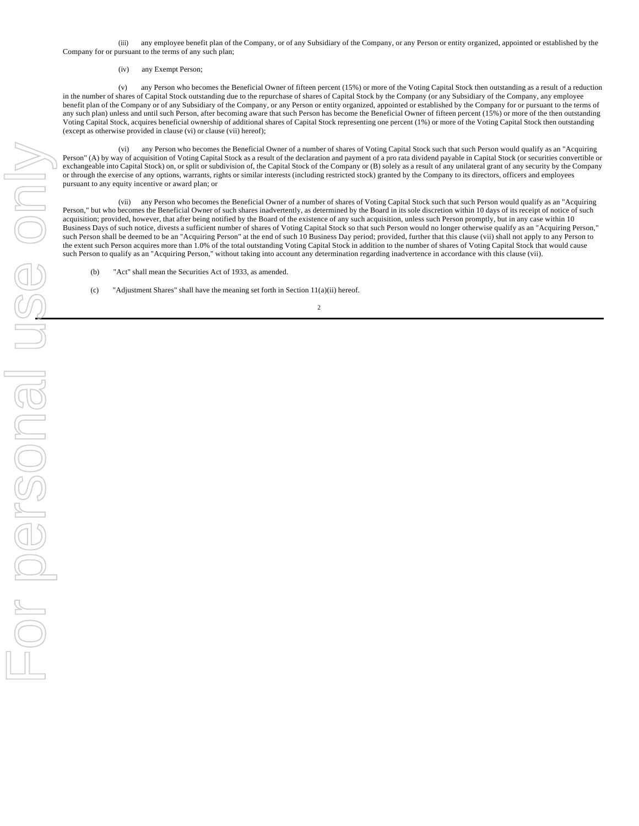(iii) any employee benefit plan of the Company, or of any Subsidiary of the Company, or any Person or entity organized, appointed or established by the Company for or pursuant to the terms of any such plan;

### (iv) any Exempt Person;

(v) any Person who becomes the Beneficial Owner of fifteen percent (15%) or more of the Voting Capital Stock then outstanding as a result of a reduction in the number of shares of Capital Stock outstanding due to the repurchase of shares of Capital Stock by the Company (or any Subsidiary of the Company, any employee benefit plan of the Company or of any Subsidiary of the Company, or any Person or entity organized, appointed or established by the Company for or pursuant to the terms of any such plan) unless and until such Person, after becoming aware that such Person has become the Beneficial Owner of fifteen percent (15%) or more of the then outstanding Voting Capital Stock, acquires beneficial ownership of additional shares of Capital Stock representing one percent (1%) or more of the Voting Capital Stock then outstanding (except as otherwise provided in clause (vi) or clause (vii) hereof);

(vi) any Person who becomes the Beneficial Owner of a number of shares of Voting Capital Stock such that such Person would qualify as an "Acquiring Person" (A) by way of acquisition of Voting Capital Stock as a result of the declaration and payment of a pro rata dividend payable in Capital Stock (or securities convertible or exchangeable into Capital Stock) on, or split or subdivision of, the Capital Stock of the Company or (B) solely as a result of any unilateral grant of any security by the Company or through the exercise of any options, warrants, rights or similar interests (including restricted stock) granted by the Company to its directors, officers and employees pursuant to any equity incentive or award plan; or

(vii) any Person who becomes the Beneficial Owner of a number of shares of Voting Capital Stock such that such Person would qualify as an "Acquiring Person," but who becomes the Beneficial Owner of such shares inadvertently, as determined by the Board in its sole discretion within 10 days of its receipt of notice of such acquisition; provided, however, that after being notified by the Board of the existence of any such acquisition, unless such Person promptly, but in any case within 10 Business Days of such notice, divests a sufficient number of shares of Voting Capital Stock so that such Person would no longer otherwise qualify as an "Acquiring Person," such Person shall be deemed to be an "Acquiring Person" at the end of such 10 Business Day period; provided, further that this clause (vii) shall not apply to any Person to the extent such Person acquires more than 1.0% of the total outstanding Voting Capital Stock in addition to the number of shares of Voting Capital Stock that would cause such Person to qualify as an "Acquiring Person," without taking into account any determination regarding inadvertence in accordance with this clause (vii).

- (b) "Act" shall mean the Securities Act of 1933, as amended.
- (c) "Adjustment Shares" shall have the meaning set forth in Section 11(a)(ii) hereof.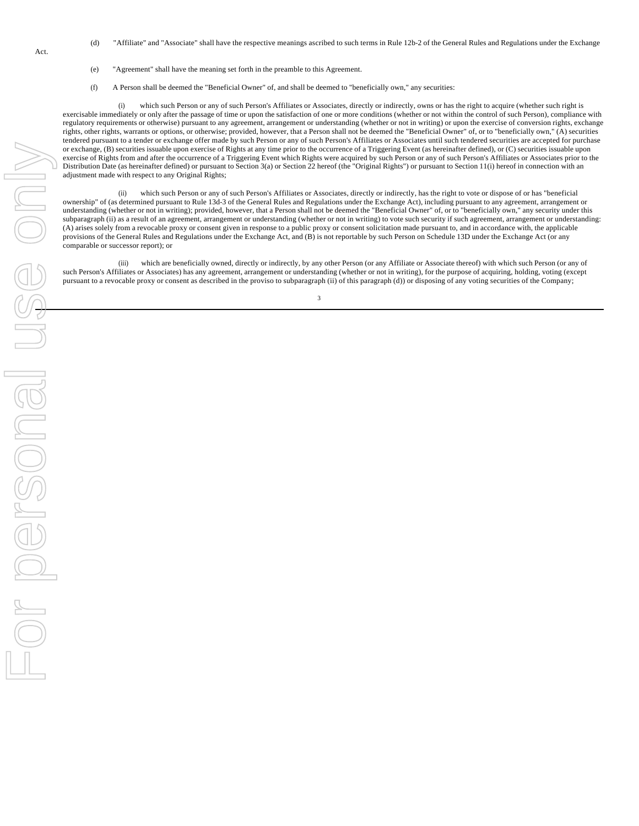- (d) "Affiliate" and "Associate" shall have the respective meanings ascribed to such terms in Rule 12b-2 of the General Rules and Regulations under the Exchange
- (e) "Agreement" shall have the meaning set forth in the preamble to this Agreement.
- (f) A Person shall be deemed the "Beneficial Owner" of, and shall be deemed to "beneficially own," any securities:

(i) which such Person or any of such Person's Affiliates or Associates, directly or indirectly, owns or has the right to acquire (whether such right is exercisable immediately or only after the passage of time or upon the satisfaction of one or more conditions (whether or not within the control of such Person), compliance with regulatory requirements or otherwise) pursuant to any agreement, arrangement or understanding (whether or not in writing) or upon the exercise of conversion rights, exchange rights, other rights, warrants or options, or otherwise; provided, however, that a Person shall not be deemed the "Beneficial Owner" of, or to "beneficially own," (A) securities tendered pursuant to a tender or exchange offer made by such Person or any of such Person's Affiliates or Associates until such tendered securities are accepted for purchase or exchange, (B) securities issuable upon exercise of Rights at any time prior to the occurrence of a Triggering Event (as hereinafter defined), or (C) securities issuable upon exercise of Rights from and after the occurrence of a Triggering Event which Rights were acquired by such Person or any of such Person's Affiliates or Associates prior to the Distribution Date (as hereinafter defined) or pursuant to Section 3(a) or Section 22 hereof (the "Original Rights") or pursuant to Section 11(i) hereof in connection with an adjustment made with respect to any Original Rights;

(ii) which such Person or any of such Person's Affiliates or Associates, directly or indirectly, has the right to vote or dispose of or has "beneficial ownership" of (as determined pursuant to Rule 13d-3 of the General Rules and Regulations under the Exchange Act), including pursuant to any agreement, arrangement or understanding (whether or not in writing); provided, however, that a Person shall not be deemed the "Beneficial Owner" of, or to "beneficially own," any security under this subparagraph (ii) as a result of an agreement, arrangement or understanding (whether or not in writing) to vote such security if such agreement, arrangement or understanding: (A) arises solely from a revocable proxy or consent given in response to a public proxy or consent solicitation made pursuant to, and in accordance with, the applicable provisions of the General Rules and Regulations under the Exchange Act, and (B) is not reportable by such Person on Schedule 13D under the Exchange Act (or any comparable or successor report); or

(iii) which are beneficially owned, directly or indirectly, by any other Person (or any Affiliate or Associate thereof) with which such Person (or any of such Person's Affiliates or Associates) has any agreement, arrangement or understanding (whether or not in writing), for the purpose of acquiring, holding, voting (except pursuant to a revocable proxy or consent as described in the proviso to subparagraph (ii) of this paragraph (d)) or disposing of any voting securities of the Company;

3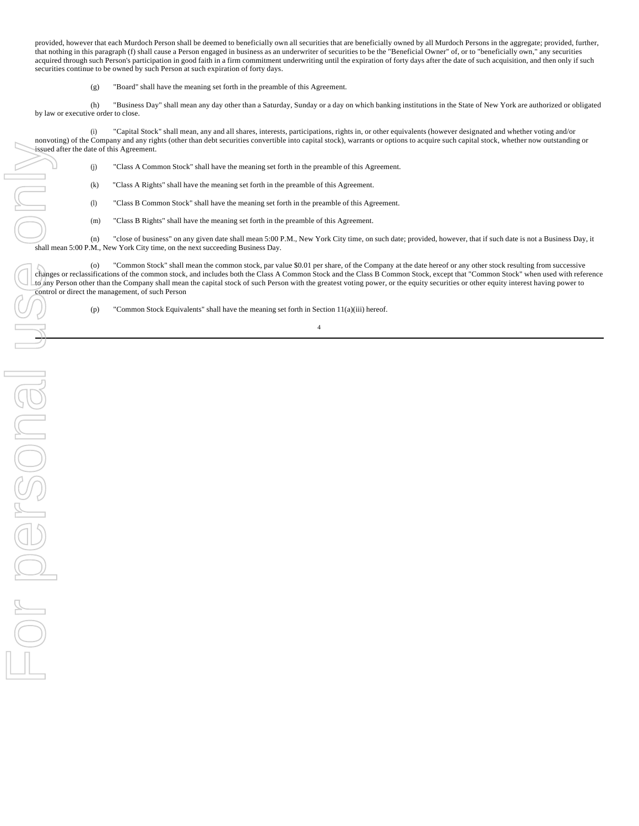provided, however that each Murdoch Person shall be deemed to beneficially own all securities that are beneficially owned by all Murdoch Persons in the aggregate; provided, further, that nothing in this paragraph (f) shall cause a Person engaged in business as an underwriter of securities to be the "Beneficial Owner" of, or to "beneficially own," any securities acquired through such Person's participation in good faith in a firm commitment underwriting until the expiration of forty days after the date of such acquisition, and then only if such securities continue to be owned by such Person at such expiration of forty days.

(g) "Board" shall have the meaning set forth in the preamble of this Agreement.

(h) "Business Day" shall mean any day other than a Saturday, Sunday or a day on which banking institutions in the State of New York are authorized or obligated by law or executive order to close.

(i) "Capital Stock" shall mean, any and all shares, interests, participations, rights in, or other equivalents (however designated and whether voting and/or nonvoting) of the Company and any rights (other than debt securities convertible into capital stock), warrants or options to acquire such capital stock, whether now outstanding or issued after the date of this Agreement.

(j) "Class A Common Stock" shall have the meaning set forth in the preamble of this Agreement.

(k) "Class A Rights" shall have the meaning set forth in the preamble of this Agreement.

(l) "Class B Common Stock" shall have the meaning set forth in the preamble of this Agreement.

(m) "Class B Rights" shall have the meaning set forth in the preamble of this Agreement.

(n) "close of business" on any given date shall mean 5:00 P.M., New York City time, on such date; provided, however, that if such date is not a Business Day, it shall mean 5:00 P.M., New York City time, on the next succeeding Business Day.

(o) "Common Stock" shall mean the common stock, par value \$0.01 per share, of the Company at the date hereof or any other stock resulting from successive changes or reclassifications of the common stock, and includes both the Class A Common Stock and the Class B Common Stock, except that "Common Stock" when used with reference The Changes or reclassifications of the common stock, and includes bout the Cass A common stock and the capital stock of such Person with the greatest voting power, or the equity securities or other equity interest having control or direct the management, of such Person

(p) "Common Stock Equivalents" shall have the meaning set forth in Section 11(a)(iii) hereof.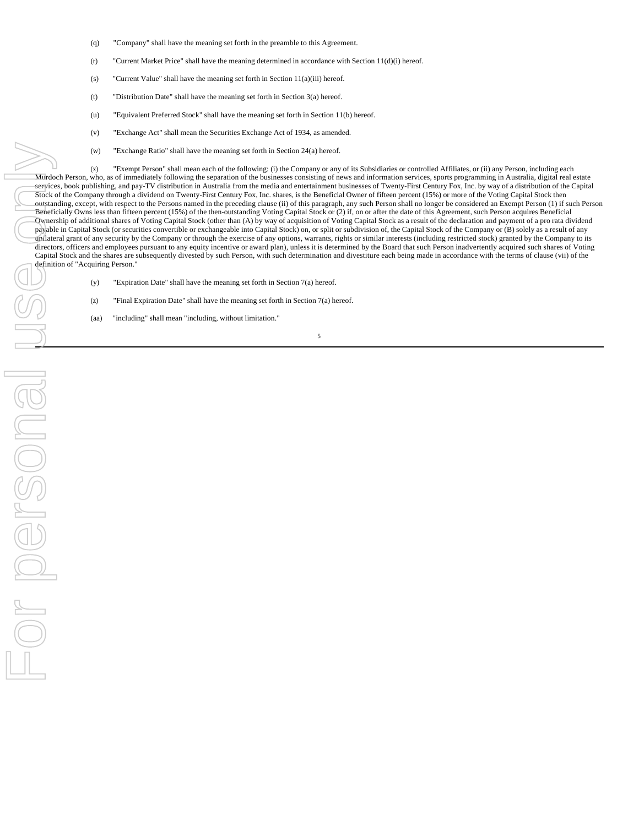- (q) "Company" shall have the meaning set forth in the preamble to this Agreement.
- $(r)$  "Current Market Price" shall have the meaning determined in accordance with Section 11(d)(i) hereof.
- (s) "Current Value" shall have the meaning set forth in Section 11(a)(iii) hereof.
- (t) "Distribution Date" shall have the meaning set forth in Section 3(a) hereof.
- (u) "Equivalent Preferred Stock" shall have the meaning set forth in Section 11(b) hereof.
- (v) "Exchange Act" shall mean the Securities Exchange Act of 1934, as amended.
- (w) "Exchange Ratio" shall have the meaning set forth in Section 24(a) hereof.

(x) "Exempt Person" shall mean each of the following: (i) the Company or any of its Subsidiaries or controlled Affiliates, or (ii) any Person, including each Murdoch Person, who, as of immediately following the separation of the businesses consisting of news and information services, sports programming in Australia, digital real estate services, book publishing, and pay-TV distribution in Australia from the media and entertainment businesses of Twenty-First Century Fox, Inc. by way of a distribution of the Capital Stock of the Company through a dividend on Twenty-First Century Fox, Inc. shares, is the Beneficial Owner of fifteen percent (15%) or more of the Voting Capital Stock then outstanding, except, with respect to the Persons named in the preceding clause (ii) of this paragraph, any such Person shall no longer be considered an Exempt Person (1) if such Person Beneficially Owns less than fifteen percent (15%) of the then-outstanding Voting Capital Stock or (2) if, on or after the date of this Agreement, such Person acquires Beneficial Ownership of additional shares of Voting Capital Stock (other than (A) by way of acquisition of Voting Capital Stock as a result of the declaration and payment of a pro rata dividend payable in Capital Stock (or securities convertible or exchangeable into Capital Stock) on, or split or subdivision of, the Capital Stock of the Company or (B) solely as a result of any unilateral grant of any security by the Company or through the exercise of any options, warrants, rights or similar interests (including restricted stock) granted by the Company to its directors, officers and employees pursuant to any equity incentive or award plan), unless it is determined by the Board that such Person inadvertently acquired such shares of Voting Capital Stock and the shares are subsequently divested by such Person, with such determination and divestiture each being made in accordance with the terms of clause (vii) of the definition of "Acquiring Person."

- (y) "Expiration Date" shall have the meaning set forth in Section 7(a) hereof.
- (z) "Final Expiration Date" shall have the meaning set forth in Section 7(a) hereof.
- (aa) "including" shall mean "including, without limitation."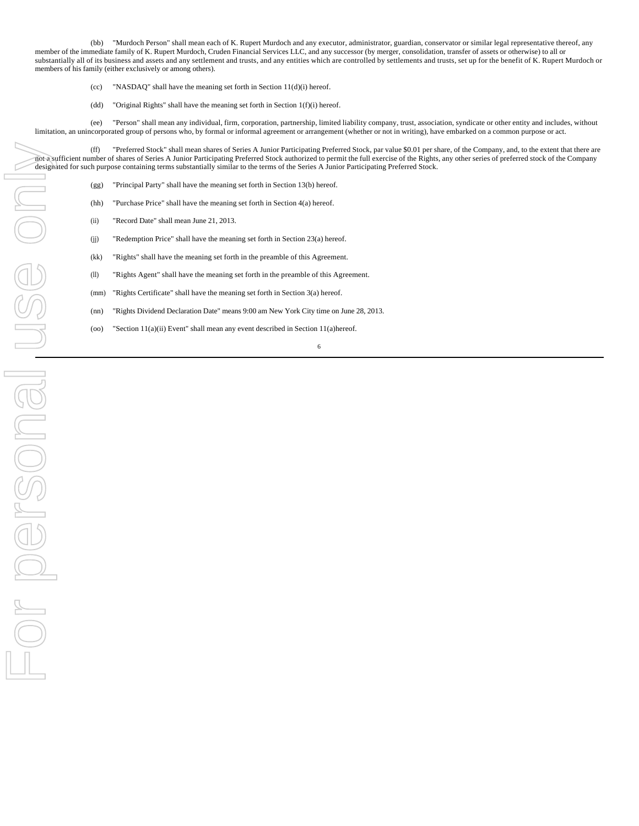(bb) "Murdoch Person" shall mean each of K. Rupert Murdoch and any executor, administrator, guardian, conservator or similar legal representative thereof, any member of the immediate family of K. Rupert Murdoch, Cruden Financial Services LLC, and any successor (by merger, consolidation, transfer of assets or otherwise) to all or substantially all of its business and assets and any settlement and trusts, and any entities which are controlled by settlements and trusts, set up for the benefit of K. Rupert Murdoch or members of his family (either exclusively or among others).

- (cc) "NASDAQ" shall have the meaning set forth in Section  $11(d)(i)$  hereof.
- (dd) "Original Rights" shall have the meaning set forth in Section 1(f)(i) hereof.

(ee) "Person" shall mean any individual, firm, corporation, partnership, limited liability company, trust, association, syndicate or other entity and includes, without limitation, an unincorporated group of persons who, by formal or informal agreement or arrangement (whether or not in writing), have embarked on a common purpose or act.

(ff) "Preferred Stock" shall mean shares of Series A Junior Participating Preferred Stock, par value \$0.01 per share, of the Company, and, to the extent that there are not a sufficient number of shares of Series A Junior Participating Preferred Stock authorized to permit the full exercise of the Rights, any other series of preferred stock of the Company designated for such purpose containing terms substantially similar to the terms of the Series A Junior Participating Preferred Stock.

- (gg) "Principal Party" shall have the meaning set forth in Section 13(b) hereof.
- (hh) "Purchase Price" shall have the meaning set forth in Section 4(a) hereof.
- (ii) "Record Date" shall mean June 21, 2013.
- (jj) "Redemption Price" shall have the meaning set forth in Section 23(a) hereof.
- (kk) "Rights" shall have the meaning set forth in the preamble of this Agreement.
- (ll) "Rights Agent" shall have the meaning set forth in the preamble of this Agreement.
- (mm) "Rights Certificate" shall have the meaning set forth in Section 3(a) hereof.
- (nn) "Rights Dividend Declaration Date" means 9:00 am New York City time on June 28, 2013.
- (oo) "Section 11(a)(ii) Event" shall mean any event described in Section 11(a)hereof.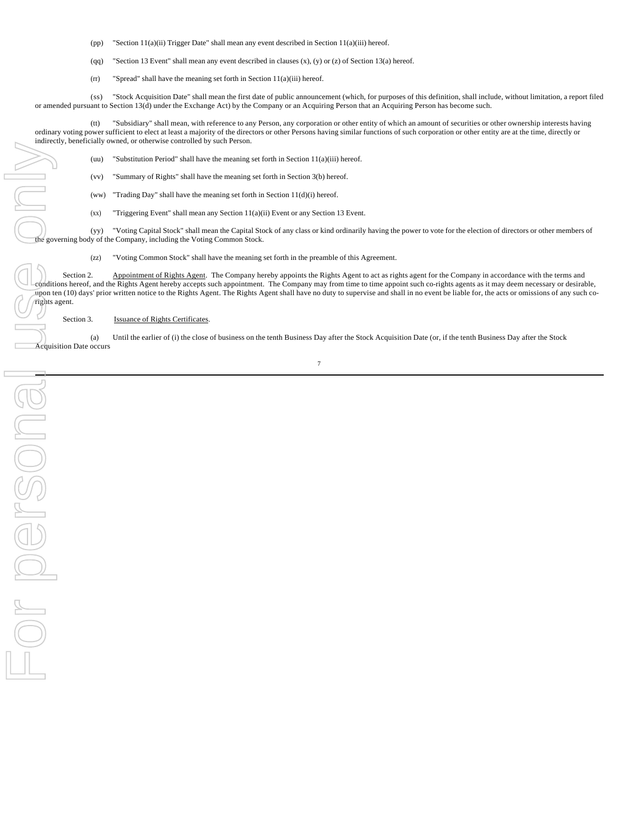- (pp) "Section 11(a)(ii) Trigger Date" shall mean any event described in Section 11(a)(iii) hereof.
- (qq) "Section 13 Event" shall mean any event described in clauses  $(x)$ ,  $(y)$  or  $(z)$  of Section 13(a) hereof.
- (rr) "Spread" shall have the meaning set forth in Section 11(a)(iii) hereof.

(ss) "Stock Acquisition Date" shall mean the first date of public announcement (which, for purposes of this definition, shall include, without limitation, a report filed or amended pursuant to Section 13(d) under the Exchange Act) by the Company or an Acquiring Person that an Acquiring Person has become such.

(tt) "Subsidiary" shall mean, with reference to any Person, any corporation or other entity of which an amount of securities or other ownership interests having ordinary voting power sufficient to elect at least a majority of the directors or other Persons having similar functions of such corporation or other entity are at the time, directly or indirectly, beneficially owned, or otherwise controlled by such Person.

(uu) "Substitution Period" shall have the meaning set forth in Section  $11(a)(iii)$  hereof.

(vv) "Summary of Rights" shall have the meaning set forth in Section 3(b) hereof.

(ww) "Trading Day" shall have the meaning set forth in Section  $11(d)(i)$  hereof.

(xx) "Triggering Event" shall mean any Section 11(a)(ii) Event or any Section 13 Event.

(yy) "Voting Capital Stock" shall mean the Capital Stock of any class or kind ordinarily having the power to vote for the election of directors or other members of the governing body of the Company, including the Voting Common Stock.

(zz) "Voting Common Stock" shall have the meaning set forth in the preamble of this Agreement.

Section 2. Appointment of Rights Agent. The Company hereby appoints the Rights Agent to act as rights agent for the Company in accordance with the terms and conditions hereof, and the Rights Agent hereby accepts such appointment. The Company may from time to time appoint such co-rights agents as it may deem necessary or desirable, upon ten (10) days' prior written notice to the Rights Agent. The Rights Agent shall have no duty to supervise and shall in no event be liable for, the acts or omissions of any such corights agent.

Section 3. **Issuance of Rights Certificates** 

(a) Until the earlier of (i) the close of business on the tenth Business Day after the Stock Acquisition Date (or, if the tenth Business Day after the Stock Acquisition Date occurs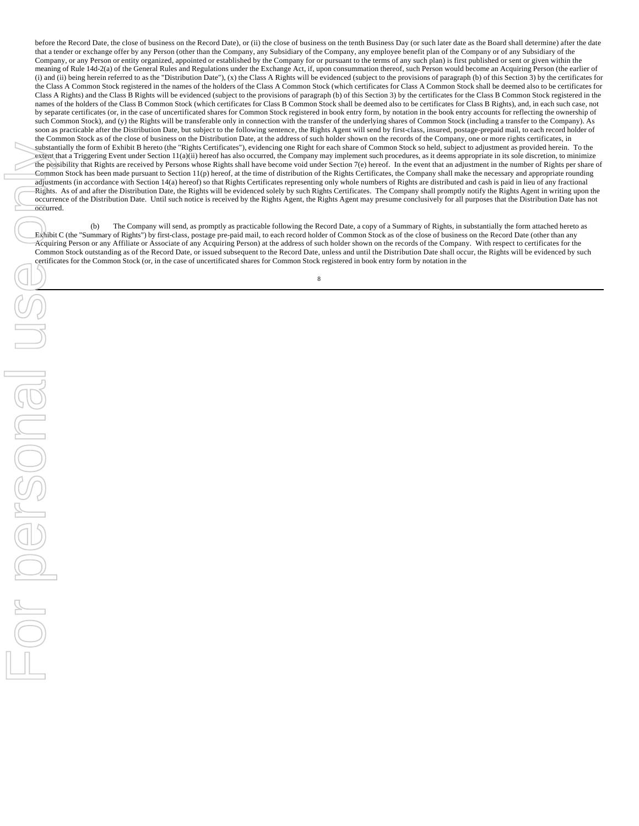before the Record Date, the close of business on the Record Date), or (ii) the close of business on the tenth Business Day (or such later date as the Board shall determine) after the date that a tender or exchange offer by any Person (other than the Company, any Subsidiary of the Company, any employee benefit plan of the Company or of any Subsidiary of the Company, or any Person or entity organized, appointed or established by the Company for or pursuant to the terms of any such plan) is first published or sent or given within the meaning of Rule 14d-2(a) of the General Rules and Regulations under the Exchange Act, if, upon consummation thereof, such Person would become an Acquiring Person (the earlier of (i) and (ii) being herein referred to as the "Distribution Date"), (x) the Class A Rights will be evidenced (subject to the provisions of paragraph (b) of this Section 3) by the certificates for the Class A Common Stock registered in the names of the holders of the Class A Common Stock (which certificates for Class A Common Stock shall be deemed also to be certificates for Class A Rights) and the Class B Rights will be evidenced (subject to the provisions of paragraph (b) of this Section 3) by the certificates for the Class B Common Stock registered in the names of the holders of the Class B Common Stock (which certificates for Class B Common Stock shall be deemed also to be certificates for Class B Rights), and, in each such case, not by separate certificates (or, in the case of uncertificated shares for Common Stock registered in book entry form, by notation in the book entry accounts for reflecting the ownership of such Common Stock), and (y) the Rights will be transferable only in connection with the transfer of the underlying shares of Common Stock (including a transfer to the Company). As soon as practicable after the Distribution Date, but subject to the following sentence, the Rights Agent will send by first-class, insured, postage-prepaid mail, to each record holder of the Common Stock as of the close of business on the Distribution Date, at the address of such holder shown on the records of the Company, one or more rights certificates, in substantially the form of Exhibit B hereto (the "Rights Certificates"), evidencing one Right for each share of Common Stock so held, subject to adjustment as provided herein. To the extent that a Triggering Event under Section 11(a)(ii) hereof has also occurred, the Company may implement such procedures, as it deems appropriate in its sole discretion, to minimize the possibility that Rights are received by Persons whose Rights shall have become void under Section 7(e) hereof. In the event that an adjustment in the number of Rights per share of Common Stock has been made pursuant to Section 11(p) hereof, at the time of distribution of the Rights Certificates, the Company shall make the necessary and appropriate rounding adjustments (in accordance with Section 14(a) hereof) so that Rights Certificates representing only whole numbers of Rights are distributed and cash is paid in lieu of any fractional Rights. As of and after the Distribution Date, the Rights will be evidenced solely by such Rights Certificates. The Company shall promptly notify the Rights Agent in writing upon the occurrence of the Distribution Date. Until such notice is received by the Rights Agent, the Rights Agent may presume conclusively for all purposes that the Distribution Date has not occurred.

(b) The Company will send, as promptly as practicable following the Record Date, a copy of a Summary of Rights, in substantially the form attached hereto as Exhibit C (the "Summary of Rights") by first-class, postage pre-paid mail, to each record holder of Common Stock as of the close of business on the Record Date (other than any Acquiring Person or any Affiliate or Associate of any Acquiring Person) at the address of such holder shown on the records of the Company. With respect to certificates for the Common Stock outstanding as of the Record Date, or issued subsequent to the Record Date, unless and until the Distribution Date shall occur, the Rights will be evidenced by such certificates for the Common Stock (or, in the case of uncertificated shares for Common Stock registered in book entry form by notation in the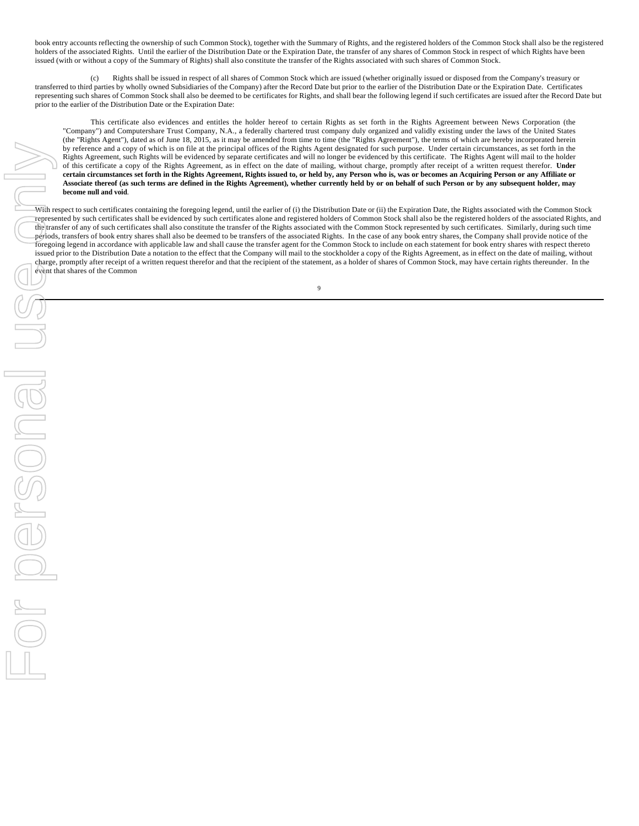book entry accounts reflecting the ownership of such Common Stock), together with the Summary of Rights, and the registered holders of the Common Stock shall also be the registered holders of the associated Rights. Until the earlier of the Distribution Date or the Expiration Date, the transfer of any shares of Common Stock in respect of which Rights have been issued (with or without a copy of the Summary of Rights) shall also constitute the transfer of the Rights associated with such shares of Common Stock.

(c) Rights shall be issued in respect of all shares of Common Stock which are issued (whether originally issued or disposed from the Company's treasury or transferred to third parties by wholly owned Subsidiaries of the Company) after the Record Date but prior to the earlier of the Distribution Date or the Expiration Date. Certificates representing such shares of Common Stock shall also be deemed to be certificates for Rights, and shall bear the following legend if such certificates are issued after the Record Date but prior to the earlier of the Distribution Date or the Expiration Date:

This certificate also evidences and entitles the holder hereof to certain Rights as set forth in the Rights Agreement between News Corporation (the "Company") and Computershare Trust Company, N.A., a federally chartered trust company duly organized and validly existing under the laws of the United States (the "Rights Agent"), dated as of June 18, 2015, as it may be amended from time to time (the "Rights Agreement"), the terms of which are hereby incorporated herein by reference and a copy of which is on file at the principal offices of the Rights Agent designated for such purpose. Under certain circumstances, as set forth in the Rights Agreement, such Rights will be evidenced by separate certificates and will no longer be evidenced by this certificate. The Rights Agent will mail to the holder of this certificate a copy of the Rights Agreement, as in effect on the date of mailing, without charge, promptly after receipt of a written request therefor. **Under certain circumstances set forth in the Rights Agreement, Rights issued to, or held by, any Person who is, was or becomes an Acquiring Person or any Affiliate or Associate thereof (as such terms are defined in the Rights Agreement), whether currently held by or on behalf of such Person or by any subsequent holder, may become null and void**.

With respect to such certificates containing the foregoing legend, until the earlier of (i) the Distribution Date or (ii) the Expiration Date, the Rights associated with the Common Stock represented by such certificates shall be evidenced by such certificates alone and registered holders of Common Stock shall also be the registered holders of the associated Rights, and the transfer of any of such certificates shall also constitute the transfer of the Rights associated with the Common Stock represented by such certificates. Similarly, during such time periods, transfers of book entry shares shall also be deemed to be transfers of the associated Rights. In the case of any book entry shares, the Company shall provide notice of the foregoing legend in accordance with applicable law and shall cause the transfer agent for the Common Stock to include on each statement for book entry shares with respect thereto issued prior to the Distribution Date a notation to the effect that the Company will mail to the stockholder a copy of the Rights Agreement, as in effect on the date of mailing, without charge, promptly after receipt of a written request therefor and that the recipient of the statement, as a holder of shares of Common Stock, may have certain rights thereunder.In the event that shares of the Common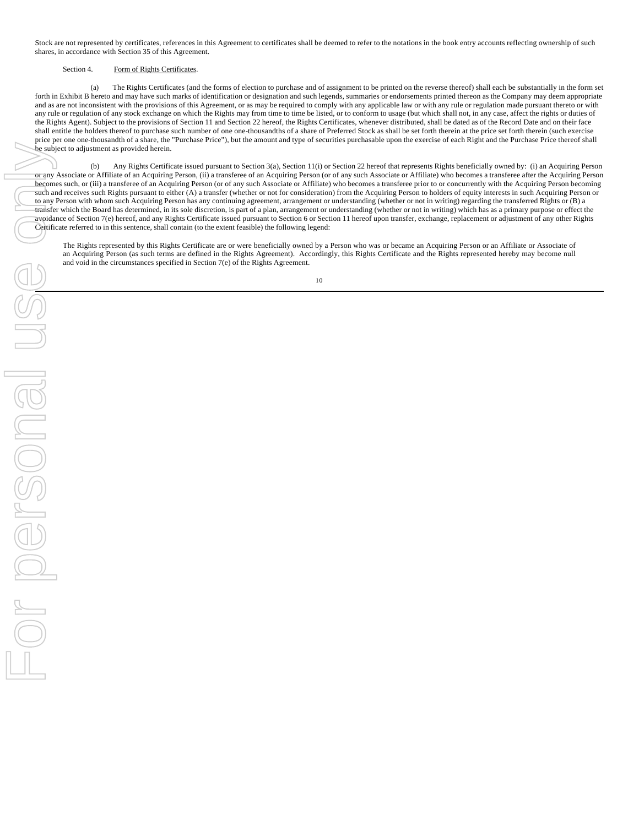Stock are not represented by certificates, references in this Agreement to certificates shall be deemed to refer to the notations in the book entry accounts reflecting ownership of such shares, in accordance with Section 35 of this Agreement.

### Section 4. Form of Rights Certificates.

(a) The Rights Certificates (and the forms of election to purchase and of assignment to be printed on the reverse thereof) shall each be substantially in the form set forth in Exhibit B hereto and may have such marks of identification or designation and such legends, summaries or endorsements printed thereon as the Company may deem appropriate and as are not inconsistent with the provisions of this Agreement, or as may be required to comply with any applicable law or with any rule or regulation made pursuant thereto or with any rule or regulation of any stock exchange on which the Rights may from time to time be listed, or to conform to usage (but which shall not, in any case, affect the rights or duties of the Rights Agent). Subject to the provisions of Section 11 and Section 22 hereof, the Rights Certificates, whenever distributed, shall be dated as of the Record Date and on their face shall entitle the holders thereof to purchase such number of one one-thousandths of a share of Preferred Stock as shall be set forth therein at the price set forth therein (such exercise price per one one-thousandth of a share, the "Purchase Price"), but the amount and type of securities purchasable upon the exercise of each Right and the Purchase Price thereof shall be subject to adjustment as provided herein.

(b) Any Rights Certificate issued pursuant to Section 3(a), Section 11(i) or Section 22 hereof that represents Rights beneficially owned by: (i) an Acquiring Person or any Associate or Affiliate of an Acquiring Person, (ii) a transferee of an Acquiring Person (or of any such Associate or Affiliate) who becomes a transferee after the Acquiring Person becomes such, or (iii) a transferee of an Acquiring Person (or of any such Associate or Affiliate) who becomes a transferee prior to or concurrently with the Acquiring Person becoming such and receives such Rights pursuant to either (A) a transfer (whether or not for consideration) from the Acquiring Person to holders of equity interests in such Acquiring Person or to any Person with whom such Acquiring Person has any continuing agreement, arrangement or understanding (whether or not in writing) regarding the transferred Rights or (B) a transfer which the Board has determined, in its sole discretion, is part of a plan, arrangement or understanding (whether or not in writing) which has as a primary purpose or effect the avoidance of Section 7(e) hereof, and any Rights Certificate issued pursuant to Section 6 or Section 11 hereof upon transfer, exchange, replacement or adjustment of any other Rights Certificate referred to in this sentence, shall contain (to the extent feasible) the following legend:

The Rights represented by this Rights Certificate are or were beneficially owned by a Person who was or became an Acquiring Person or an Affiliate or Associate of an Acquiring Person (as such terms are defined in the Rights Agreement). Accordingly, this Rights Certificate and the Rights represented hereby may become null and void in the circumstances specified in Section 7(e) of the Rights Agreement.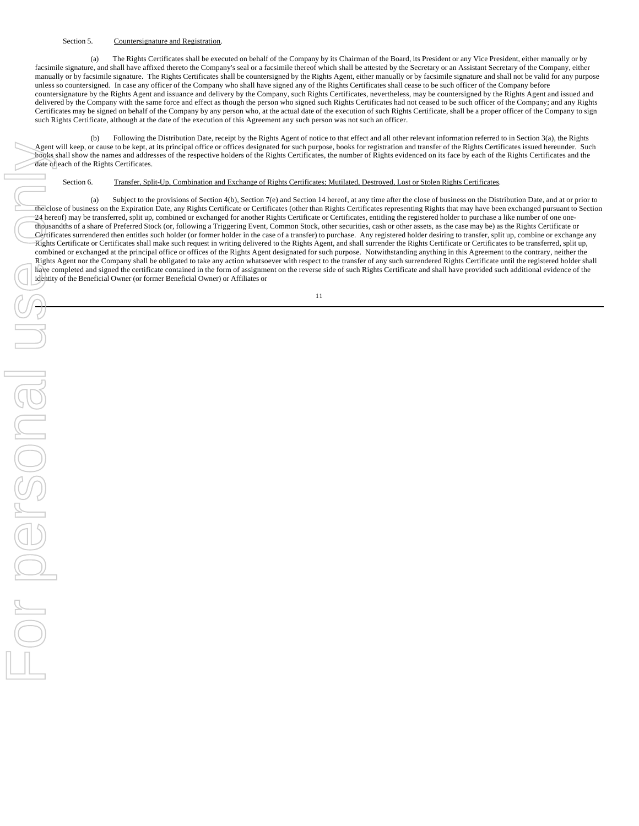### Section 5. Countersignature and Registration.

(a) The Rights Certificates shall be executed on behalf of the Company by its Chairman of the Board, its President or any Vice President, either manually or by facsimile signature, and shall have affixed thereto the Company's seal or a facsimile thereof which shall be attested by the Secretary or an Assistant Secretary of the Company, either manually or by facsimile signature. The Rights Certificates shall be countersigned by the Rights Agent, either manually or by facsimile signature and shall not be valid for any purpose unless so countersigned. In case any officer of the Company who shall have signed any of the Rights Certificates shall cease to be such officer of the Company before countersignature by the Rights Agent and issuance and delivery by the Company, such Rights Certificates, nevertheless, may be countersigned by the Rights Agent and issued and delivered by the Company with the same force and effect as though the person who signed such Rights Certificates had not ceased to be such officer of the Company; and any Rights Certificates may be signed on behalf of the Company by any person who, at the actual date of the execution of such Rights Certificate, shall be a proper officer of the Company to sign such Rights Certificate, although at the date of the execution of this Agreement any such person was not such an officer.

(b) Following the Distribution Date, receipt by the Rights Agent of notice to that effect and all other relevant information referred to in Section 3(a), the Rights Agent will keep, or cause to be kept, at its principal office or offices designated for such purpose, books for registration and transfer of the Rights Certificates issued hereunder. Such books shall show the names and addresses of the respective holders of the Rights Certificates, the number of Rights evidenced on its face by each of the Rights Certificates and the date of each of the Rights Certificates.

### Section 6. Transfer, Split-Up, Combination and Exchange of Rights Certificates; Mutilated, Destroyed, Lost or Stolen Rights Certificates.

(a) Subject to the provisions of Section 4(b), Section 7(e) and Section 14 hereof, at any time after the close of business on the Distribution Date, and at or prior to the close of business on the Expiration Date, any Rights Certificate or Certificates (other than Rights Certificates representing Rights that may have been exchanged pursuant to Section 24 hereof) may be transferred, split up, combined or exchanged for another Rights Certificate or Certificates, entitling the registered holder to purchase a like number of one onethousandths of a share of Preferred Stock (or, following a Triggering Event, Common Stock, other securities, cash or other assets, as the case may be) as the Rights Certificate or Certificates surrendered then entitles such holder (or former holder in the case of a transfer) to purchase. Any registered holder desiring to transfer, split up, combine or exchange any Rights Certificate or Certificates shall make such request in writing delivered to the Rights Agent, and shall surrender the Rights Certificate or Certificates to be transferred, split up, combined or exchanged at the principal office or offices of the Rights Agent designated for such purpose. Notwithstanding anything in this Agreement to the contrary, neither the Rights Agent nor the Company shall be obligated to take any action whatsoever with respect to the transfer of any such surrendered Rights Certificate until the registered holder shall have completed and signed the certificate contained in the form of assignment on the reverse side of such Rights Certificate and shall have provided such additional evidence of the identity of the Beneficial Owner (or former Beneficial Owner) or Affiliates or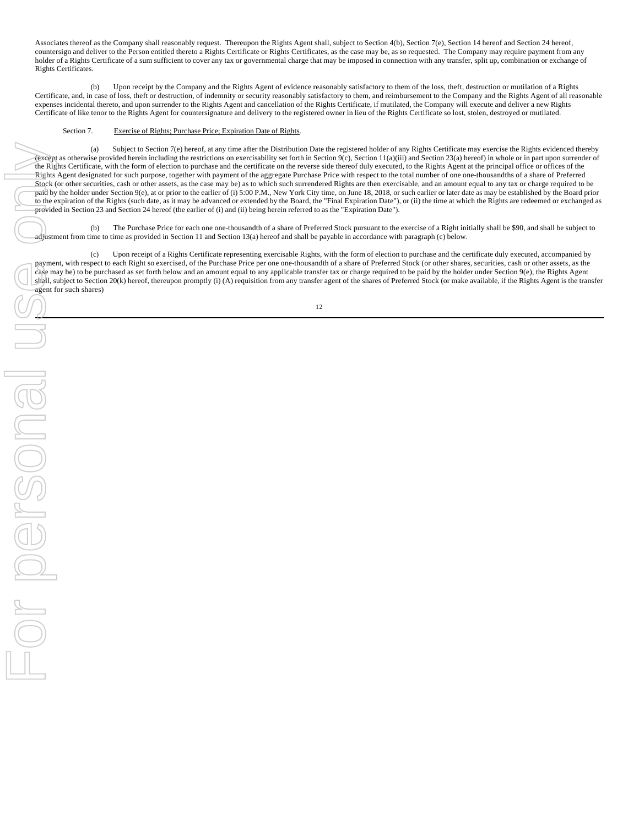Associates thereof as the Company shall reasonably request. Thereupon the Rights Agent shall, subject to Section 4(b), Section 7(e), Section 14 hereof and Section 24 hereof, countersign and deliver to the Person entitled thereto a Rights Certificate or Rights Certificates, as the case may be, as so requested. The Company may require payment from any holder of a Rights Certificate of a sum sufficient to cover any tax or governmental charge that may be imposed in connection with any transfer, split up, combination or exchange of Rights Certificates.

(b) Upon receipt by the Company and the Rights Agent of evidence reasonably satisfactory to them of the loss, theft, destruction or mutilation of a Rights Certificate, and, in case of loss, theft or destruction, of indemnity or security reasonably satisfactory to them, and reimbursement to the Company and the Rights Agent of all reasonable expenses incidental thereto, and upon surrender to the Rights Agent and cancellation of the Rights Certificate, if mutilated, the Company will execute and deliver a new Rights Certificate of like tenor to the Rights Agent for countersignature and delivery to the registered owner in lieu of the Rights Certificate so lost, stolen, destroyed or mutilated.

### Section 7. Exercise of Rights; Purchase Price; Expiration Date of Rights.

(a) Subject to Section 7(e) hereof, at any time after the Distribution Date the registered holder of any Rights Certificate may exercise the Rights evidenced thereby (except as otherwise provided herein including the restrictions on exercisability set forth in Section 9(c), Section 11(a)(iii) and Section 23(a) hereof) in whole or in part upon surrender of the Rights Certificate, with the form of election to purchase and the certificate on the reverse side thereof duly executed, to the Rights Agent at the principal office or offices of the Rights Agent designated for such purpose, together with payment of the aggregate Purchase Price with respect to the total number of one one-thousandths of a share of Preferred Stock (or other securities, cash or other assets, as the case may be) as to which such surrendered Rights are then exercisable, and an amount equal to any tax or charge required to be paid by the holder under Section 9(e), at or prior to the earlier of (i) 5:00 P.M., New York City time, on June 18, 2018, or such earlier or later date as may be established by the Board prior to the expiration of the Rights (such date, as it may be advanced or extended by the Board, the "Final Expiration Date"), or (ii) the time at which the Rights are redeemed or exchanged as provided in Section 23 and Section 24 hereof (the earlier of (i) and (ii) being herein referred to as the "Expiration Date").

(b) The Purchase Price for each one one-thousandth of a share of Preferred Stock pursuant to the exercise of a Right initially shall be \$90, and shall be subject to adjustment from time to time as provided in Section 11 and Section 13(a) hereof and shall be payable in accordance with paragraph (c) below.

(c) Upon receipt of a Rights Certificate representing exercisable Rights, with the form of election to purchase and the certificate duly executed, accompanied by payment, with respect to each Right so exercised, of the Purchase Price per one one-thousandth of a share of Preferred Stock (or other shares, securities, cash or other assets, as the case may be) to be purchased as set forth below and an amount equal to any applicable transfer tax or charge required to be paid by the holder under Section 9(e), the Rights Agent shall, subject to Section 20(k) hereof, thereupon promptly (i) (A) requisition from any transfer agent of the shares of Preferred Stock (or make available, if the Rights Agent is the transfer agent for such shares)

12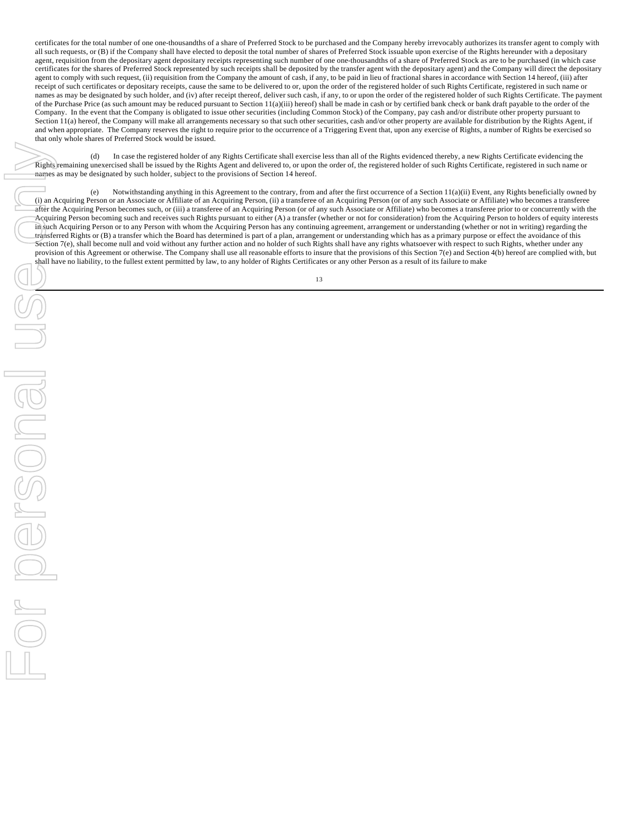certificates for the total number of one one-thousandths of a share of Preferred Stock to be purchased and the Company hereby irrevocably authorizes its transfer agent to comply with all such requests, or (B) if the Company shall have elected to deposit the total number of shares of Preferred Stock issuable upon exercise of the Rights hereunder with a depositary agent, requisition from the depositary agent depositary receipts representing such number of one one-thousandths of a share of Preferred Stock as are to be purchased (in which case certificates for the shares of Preferred Stock represented by such receipts shall be deposited by the transfer agent with the depositary agent) and the Company will direct the depositary agent to comply with such request, (ii) requisition from the Company the amount of cash, if any, to be paid in lieu of fractional shares in accordance with Section 14 hereof, (iii) after receipt of such certificates or depositary receipts, cause the same to be delivered to or, upon the order of the registered holder of such Rights Certificate, registered in such name or names as may be designated by such holder, and (iv) after receipt thereof, deliver such cash, if any, to or upon the order of the registered holder of such Rights Certificate. The payment of the Purchase Price (as such amount may be reduced pursuant to Section 11(a)(iii) hereof) shall be made in cash or by certified bank check or bank draft payable to the order of the Company. In the event that the Company is obligated to issue other securities (including Common Stock) of the Company, pay cash and/or distribute other property pursuant to Section 11(a) hereof, the Company will make all arrangements necessary so that such other securities, cash and/or other property are available for distribution by the Rights Agent, if and when appropriate. The Company reserves the right to require prior to the occurrence of a Triggering Event that, upon any exercise of Rights, a number of Rights be exercised so that only whole shares of Preferred Stock would be issued.

(d) In case the registered holder of any Rights Certificate shall exercise less than all of the Rights evidenced thereby, a new Rights Certificate evidencing the Rights remaining unexercised shall be issued by the Rights Agent and delivered to, or upon the order of, the registered holder of such Rights Certificate, registered in such name or names as may be designated by such holder, subject to the provisions of Section 14 hereof.

(e) Notwithstanding anything in this Agreement to the contrary, from and after the first occurrence of a Section 11(a)(ii) Event, any Rights beneficially owned by (i) an Acquiring Person or an Associate or Affiliate of an Acquiring Person, (ii) a transferee of an Acquiring Person (or of any such Associate or Affiliate) who becomes a transferee after the Acquiring Person becomes such, or (iii) a transferee of an Acquiring Person (or of any such Associate or Affiliate) who becomes a transferee prior to or concurrently with the Acquiring Person becoming such and receives such Rights pursuant to either (A) a transfer (whether or not for consideration) from the Acquiring Person to holders of equity interests in such Acquiring Person or to any Person with whom the Acquiring Person has any continuing agreement, arrangement or understanding (whether or not in writing) regarding the transferred Rights or (B) a transfer which the Board has determined is part of a plan, arrangement or understanding which has as a primary purpose or effect the avoidance of this Section 7(e), shall become null and void without any further action and no holder of such Rights shall have any rights whatsoever with respect to such Rights, whether under any provision of this Agreement or otherwise. The Company shall use all reasonable efforts to insure that the provisions of this Section 7(e) and Section 4(b) hereof are complied with, but shall have no liability, to the fullest extent permitted by law, to any holder of Rights Certificates or any other Person as a result of its failure to make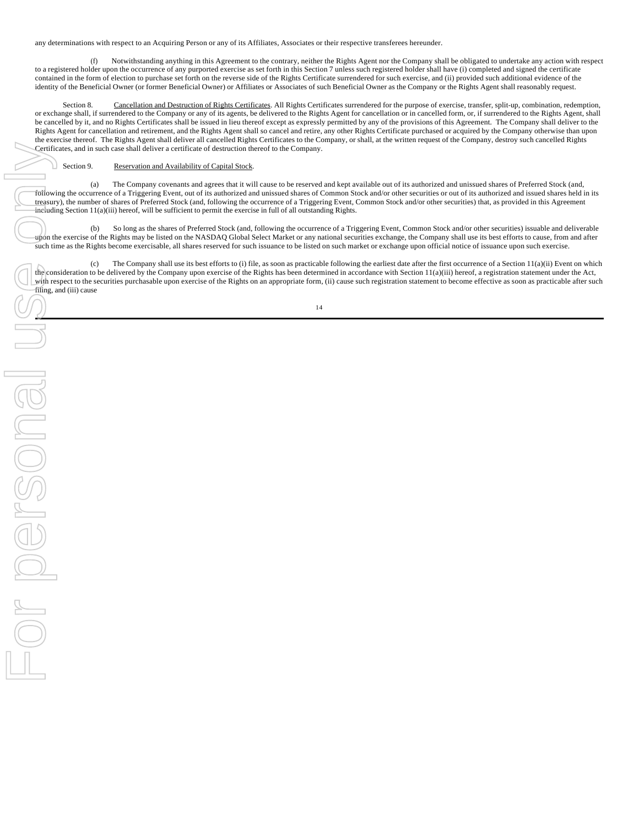any determinations with respect to an Acquiring Person or any of its Affiliates, Associates or their respective transferees hereunder.

(f) Notwithstanding anything in this Agreement to the contrary, neither the Rights Agent nor the Company shall be obligated to undertake any action with respect to a registered holder upon the occurrence of any purported exercise as set forth in this Section 7 unless such registered holder shall have (i) completed and signed the certificate contained in the form of election to purchase set forth on the reverse side of the Rights Certificate surrendered for such exercise, and (ii) provided such additional evidence of the identity of the Beneficial Owner (or former Beneficial Owner) or Affiliates or Associates of such Beneficial Owner as the Company or the Rights Agent shall reasonably request.

Section 8. Cancellation and Destruction of Rights Certificates. All Rights Certificates surrendered for the purpose of exercise, transfer, split-up, combination, redemption, or exchange shall, if surrendered to the Company or any of its agents, be delivered to the Rights Agent for cancellation or in cancelled form, or, if surrendered to the Rights Agent, shall be cancelled by it, and no Rights Certificates shall be issued in lieu thereof except as expressly permitted by any of the provisions of this Agreement. The Company shall deliver to the Rights Agent for cancellation and retirement, and the Rights Agent shall so cancel and retire, any other Rights Certificate purchased or acquired by the Company otherwise than upon the exercise thereof. The Rights Agent shall deliver all cancelled Rights Certificates to the Company, or shall, at the written request of the Company, destroy such cancelled Rights Certificates, and in such case shall deliver a certificate of destruction thereof to the Company.

Section 9. Reservation and Availability of Capital Stock.

(a) The Company covenants and agrees that it will cause to be reserved and kept available out of its authorized and unissued shares of Preferred Stock (and, following the occurrence of a Triggering Event, out of its authorized and unissued shares of Common Stock and/or other securities or out of its authorized and issued shares held in its treasury), the number of shares of Preferred Stock (and, following the occurrence of a Triggering Event, Common Stock and/or other securities) that, as provided in this Agreement  $\frac{d}{dt}$  including Section 11(a)(iii) hereof, will be sufficient to permit the exercise in full of all outstanding Rights.

(b) So long as the shares of Preferred Stock (and, following the occurrence of a Triggering Event, Common Stock and/or other securities) issuable and deliverable upon the exercise of the Rights may be listed on the NASDAQ Global Select Market or any national securities exchange, the Company shall use its best efforts to cause, from and after such time as the Rights become exercisable, all shares reserved for such issuance to be listed on such market or exchange upon official notice of issuance upon such exercise.

(c) The Company shall use its best efforts to (i) file, as soon as practicable following the earliest date after the first occurrence of a Section 11(a)(ii) Event on which the consideration to be delivered by the Company upon exercise of the Rights has been determined in accordance with Section 11(a)(iii) hereof, a registration statement under the Act, with respect to the securities purchasable upon exercise of the Rights on an appropriate form, (ii) cause such registration statement to become effective as soon as practicable after such filing, and (iii) cause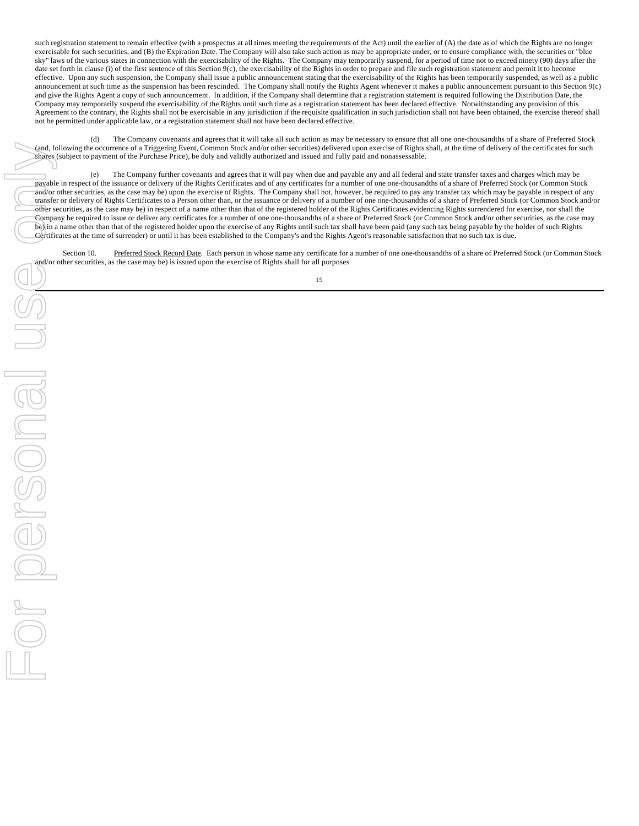such registration statement to remain effective (with a prospectus at all times meeting the requirements of the Act) until the earlier of (A) the date as of which the Rights are no longer exercisable for such securities, and (B) the Expiration Date. The Company will also take such action as may be appropriate under, or to ensure compliance with, the securities or "blue sky" laws of the various states in connection with the exercisability of the Rights. The Company may temporarily suspend, for a period of time not to exceed ninety (90) days after the date set forth in clause (i) of the first sentence of this Section 9(c), the exercisability of the Rights in order to prepare and file such registration statement and permit it to become effective. Upon any such suspension, the Company shall issue a public announcement stating that the exercisability of the Rights has been temporarily suspended, as well as a public announcement at such time as the suspension has been rescinded. The Company shall notify the Rights Agent whenever it makes a public announcement pursuant to this Section 9(c) and give the Rights Agent a copy of such announcement. In addition, if the Company shall determine that a registration statement is required following the Distribution Date, the Company may temporarily suspend the exercisability of the Rights until such time as a registration statement has been declared effective. Notwithstanding any provision of this Agreement to the contrary, the Rights shall not be exercisable in any jurisdiction if the requisite qualification in such jurisdiction shall not have been obtained, the exercise thereof shall not be permitted under applicable law, or a registration statement shall not have been declared effective.

(d) The Company covenants and agrees that it will take all such action as may be necessary to ensure that all one one-thousandths of a share of Preferred Stock (and, following the occurrence of a Triggering Event, Common Stock and/or other securities) delivered upon exercise of Rights shall, at the time of delivery of the certificates for such shares (subject to payment of the Purchase Price), be duly and validly authorized and issued and fully paid and nonassessable.

(e) The Company further covenants and agrees that it will pay when due and payable any and all federal and state transfer taxes and charges which may be payable in respect of the issuance or delivery of the Rights Certificates and of any certificates for a number of one one-thousandths of a share of Preferred Stock (or Common Stock and/or other securities, as the case may be) upon the exercise of Rights. The Company shall not, however, be required to pay any transfer tax which may be payable in respect of any transfer or delivery of Rights Certificates to a Person other than, or the issuance or delivery of a number of one one-thousandths of a share of Preferred Stock (or Common Stock and/or other securities, as the case may be) in respect of a name other than that of the registered holder of the Rights Certificates evidencing Rights surrendered for exercise, nor shall the Company be required to issue or deliver any certificates for a number of one one-thousandths of a share of Preferred Stock (or Common Stock and/or other securities, as the case may be) in a name other than that of the registered holder upon the exercise of any Rights until such tax shall have been paid (any such tax being payable by the holder of such Rights Certificates at the time of surrender) or until it has been established to the Company's and the Rights Agent's reasonable satisfaction that no such tax is due.

Section 10. Preferred Stock Record Date. Each person in whose name any certificate for a number of one one-thousandths of a share of Preferred Stock (or Common Stock and/or other securities, as the case may be) is issued upon the exercise of Rights shall for all purposes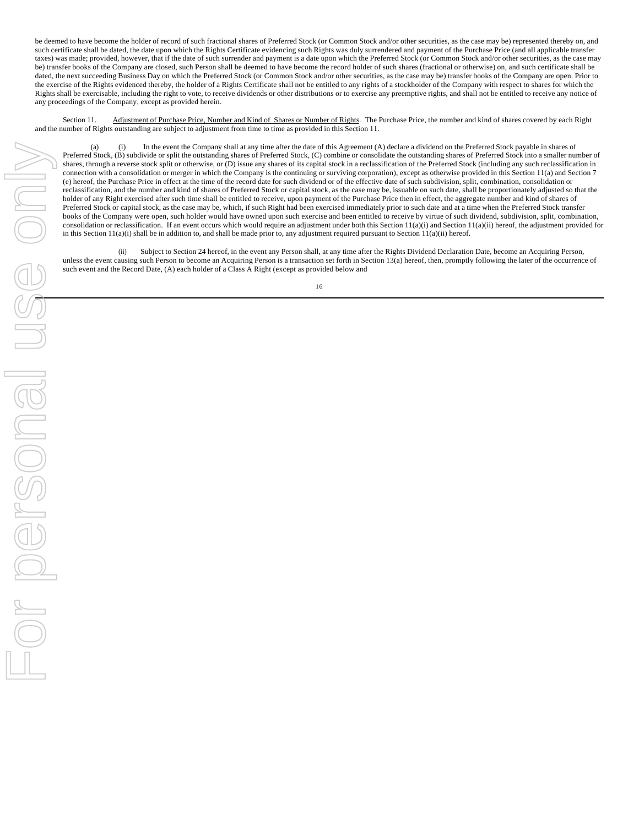be deemed to have become the holder of record of such fractional shares of Preferred Stock (or Common Stock and/or other securities, as the case may be) represented thereby on, and such certificate shall be dated, the date upon which the Rights Certificate evidencing such Rights was duly surrendered and payment of the Purchase Price (and all applicable transfer taxes) was made; provided, however, that if the date of such surrender and payment is a date upon which the Preferred Stock (or Common Stock and/or other securities, as the case may be) transfer books of the Company are closed, such Person shall be deemed to have become the record holder of such shares (fractional or otherwise) on, and such certificate shall be dated, the next succeeding Business Day on which the Preferred Stock (or Common Stock and/or other securities, as the case may be) transfer books of the Company are open. Prior to the exercise of the Rights evidenced thereby, the holder of a Rights Certificate shall not be entitled to any rights of a stockholder of the Company with respect to shares for which the Rights shall be exercisable, including the right to vote, to receive dividends or other distributions or to exercise any preemptive rights, and shall not be entitled to receive any notice of any proceedings of the Company, except as provided herein.

Section 11. Adjustment of Purchase Price, Number and Kind of Shares or Number of Rights. The Purchase Price, the number and kind of shares covered by each Right and the number of Rights outstanding are subject to adjustment from time to time as provided in this Section 11.

(a) (i) In the event the Company shall at any time after the date of this Agreement (A) declare a dividend on the Preferred Stock payable in shares of Preferred Stock, (B) subdivide or split the outstanding shares of Preferred Stock, (C) combine or consolidate the outstanding shares of Preferred Stock into a smaller number of shares, through a reverse stock split or otherwise, or (D) issue any shares of its capital stock in a reclassification of the Preferred Stock (including any such reclassification in connection with a consolidation or merger in which the Company is the continuing or surviving corporation), except as otherwise provided in this Section 11(a) and Section 7 (e) hereof, the Purchase Price in effect at the time of the record date for such dividend or of the effective date of such subdivision, split, combination, consolidation or reclassification, and the number and kind of shares of Preferred Stock or capital stock, as the case may be, issuable on such date, shall be proportionately adjusted so that the holder of any Right exercised after such time shall be entitled to receive, upon payment of the Purchase Price then in effect, the aggregate number and kind of shares of Preferred Stock or capital stock, as the case may be, which, if such Right had been exercised immediately prior to such date and at a time when the Preferred Stock transfer books of the Company were open, such holder would have owned upon such exercise and been entitled to receive by virtue of such dividend, subdivision, split, combination, consolidation or reclassification. If an event occurs which would require an adjustment under both this Section 11(a)(i) and Section 11(a)(ii) hereof, the adjustment provided for in this Section 11(a)(i) shall be in addition to, and shall be made prior to, any adjustment required pursuant to Section 11(a)(ii) hereof.

(ii) Subject to Section 24 hereof, in the event any Person shall, at any time after the Rights Dividend Declaration Date, become an Acquiring Person, unless the event causing such Person to become an Acquiring Person is a transaction set forth in Section 13(a) hereof, then, promptly following the later of the occurrence of such event and the Record Date, (A) each holder of a Class A Right (except as provided below and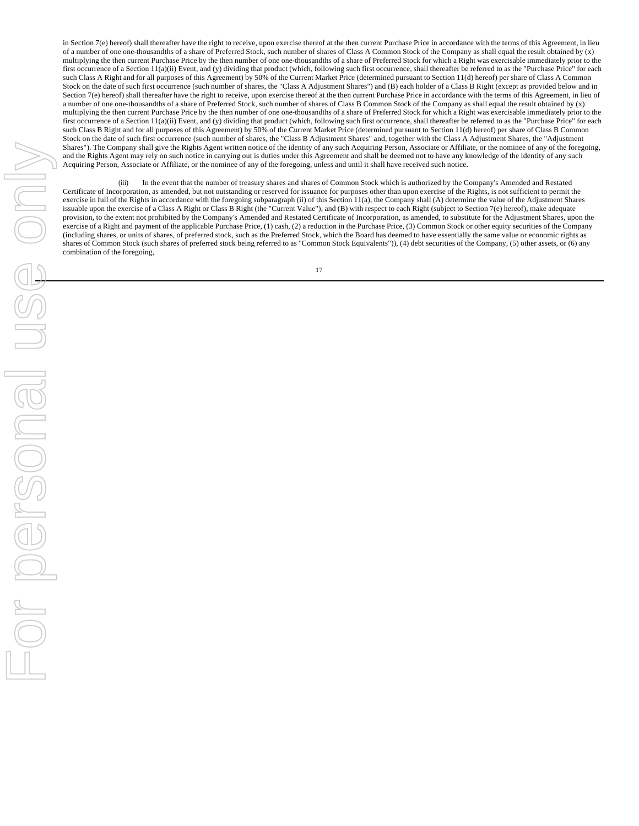in Section  $7(e)$  hereof) shall thereafter have the right to receive, upon exercise thereof at the then current Purchase Price in accordance with the terms of this Agreement, in lieu of a number of one one-thousandths of a share of Preferred Stock, such number of shares of Class A Common Stock of the Company as shall equal the result obtained by (x) multiplying the then current Purchase Price by the then number of one one-thousandths of a share of Preferred Stock for which a Right was exercisable immediately prior to the first occurrence of a Section 11(a)(ii) Event, and (y) dividing that product (which, following such first occurrence, shall thereafter be referred to as the "Purchase Price" for each such Class A Right and for all purposes of this Agreement) by 50% of the Current Market Price (determined pursuant to Section 11(d) hereof) per share of Class A Common Stock on the date of such first occurrence (such number of shares, the "Class A Adjustment Shares") and (B) each holder of a Class B Right (except as provided below and in Section 7(e) hereof) shall thereafter have the right to receive, upon exercise thereof at the then current Purchase Price in accordance with the terms of this Agreement, in lieu of a number of one one-thousandths of a share of Preferred Stock, such number of shares of Class B Common Stock of the Company as shall equal the result obtained by (x) multiplying the then current Purchase Price by the then number of one one-thousandths of a share of Preferred Stock for which a Right was exercisable immediately prior to the first occurrence of a Section 11(a)(ii) Event, and (y) dividing that product (which, following such first occurrence, shall thereafter be referred to as the "Purchase Price" for each such Class B Right and for all purposes of this Agreement) by 50% of the Current Market Price (determined pursuant to Section 11(d) hereof) per share of Class B Common Stock on the date of such first occurrence (such number of shares, the "Class B Adjustment Shares" and, together with the Class A Adjustment Shares, the "Adjustment Shares"). The Company shall give the Rights Agent written notice of the identity of any such Acquiring Person, Associate or Affiliate, or the nominee of any of the foregoing, and the Rights Agent may rely on such notice in carrying out is duties under this Agreement and shall be deemed not to have any knowledge of the identity of any such Acquiring Person, Associate or Affiliate, or the nominee of any of the foregoing, unless and until it shall have received such notice.

(iii) In the event that the number of treasury shares and shares of Common Stock which is authorized by the Company's Amended and Restated Certificate of Incorporation, as amended, but not outstanding or reserved for issuance for purposes other than upon exercise of the Rights, is not sufficient to permit the exercise in full of the Rights in accordance with the foregoing subparagraph (ii) of this Section 11(a), the Company shall (A) determine the value of the Adjustment Shares issuable upon the exercise of a Class A Right or Class B Right (the "Current Value"), and (B) with respect to each Right (subject to Section 7(e) hereof), make adequate provision, to the extent not prohibited by the Company's Amended and Restated Certificate of Incorporation, as amended, to substitute for the Adjustment Shares, upon the exercise of a Right and payment of the applicable Purchase Price, (1) cash, (2) a reduction in the Purchase Price, (3) Common Stock or other equity securities of the Company (including shares, or units of shares, of preferred stock, such as the Preferred Stock, which the Board has deemed to have essentially the same value or economic rights as shares of Common Stock (such shares of preferred stock being referred to as "Common Stock Equivalents")), (4) debt securities of the Company, (5) other assets, or (6) any combination of the foregoing,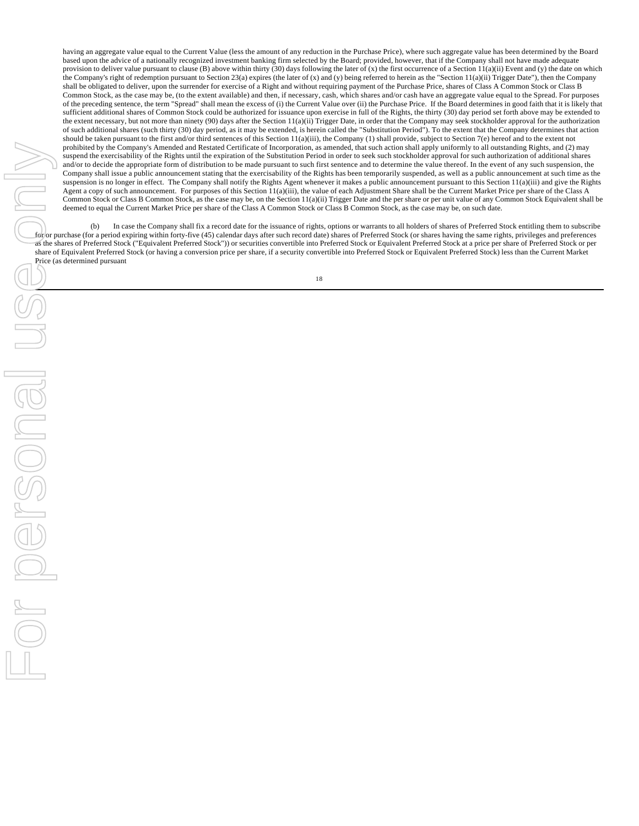having an aggregate value equal to the Current Value (less the amount of any reduction in the Purchase Price), where such aggregate value has been determined by the Board based upon the advice of a nationally recognized investment banking firm selected by the Board; provided, however, that if the Company shall not have made adequate provision to deliver value pursuant to clause (B) above within thirty (30) days following the later of (x) the first occurrence of a Section 11(a)(ii) Event and (y) the date on which the Company's right of redemption pursuant to Section 23(a) expires (the later of (x) and (y) being referred to herein as the "Section 11(a)(ii) Trigger Date"), then the Company shall be obligated to deliver, upon the surrender for exercise of a Right and without requiring payment of the Purchase Price, shares of Class A Common Stock or Class B Common Stock, as the case may be, (to the extent available) and then, if necessary, cash, which shares and/or cash have an aggregate value equal to the Spread. For purposes of the preceding sentence, the term "Spread" shall mean the excess of (i) the Current Value over (ii) the Purchase Price. If the Board determines in good faith that it is likely that sufficient additional shares of Common Stock could be authorized for issuance upon exercise in full of the Rights, the thirty (30) day period set forth above may be extended to the extent necessary, but not more than ninety (90) days after the Section 11(a)(ii) Trigger Date, in order that the Company may seek stockholder approval for the authorization of such additional shares (such thirty (30) day period, as it may be extended, is herein called the "Substitution Period"). To the extent that the Company determines that action should be taken pursuant to the first and/or third sentences of this Section 11(a)(iii), the Company (1) shall provide, subject to Section 7(e) hereof and to the extent not prohibited by the Company's Amended and Restated Certificate of Incorporation, as amended, that such action shall apply uniformly to all outstanding Rights, and (2) may suspend the exercisability of the Rights until the expiration of the Substitution Period in order to seek such stockholder approval for such authorization of additional shares and/or to decide the appropriate form of distribution to be made pursuant to such first sentence and to determine the value thereof. In the event of any such suspension, the Company shall issue a public announcement stating that the exercisability of the Rights has been temporarily suspended, as well as a public announcement at such time as the suspension is no longer in effect. The Company shall notify the Rights Agent whenever it makes a public announcement pursuant to this Section 11(a)(iii) and give the Rights Agent a copy of such announcement. For purposes of this Section 11(a)(iii), the value of each Adjustment Share shall be the Current Market Price per share of the Class A Common Stock or Class B Common Stock, as the case may be, on the Section 11(a)(ii) Trigger Date and the per share or per unit value of any Common Stock Equivalent shall be deemed to equal the Current Market Price per share of the Class A Common Stock or Class B Common Stock, as the case may be, on such date.

(b) In case the Company shall fix a record date for the issuance of rights, options or warrants to all holders of shares of Preferred Stock entitling them to subscribe for or purchase (for a period expiring within forty-five (45) calendar days after such record date) shares of Preferred Stock (or shares having the same rights, privileges and preferences as the shares of Preferred Stock ("Equivalent Preferred Stock")) or securities convertible into Preferred Stock or Equivalent Preferred Stock at a price per share of Preferred Stock or per share of Equivalent Preferred Stock (or having a conversion price per share, if a security convertible into Preferred Stock or Equivalent Preferred Stock) less than the Current Market Price (as determined pursuant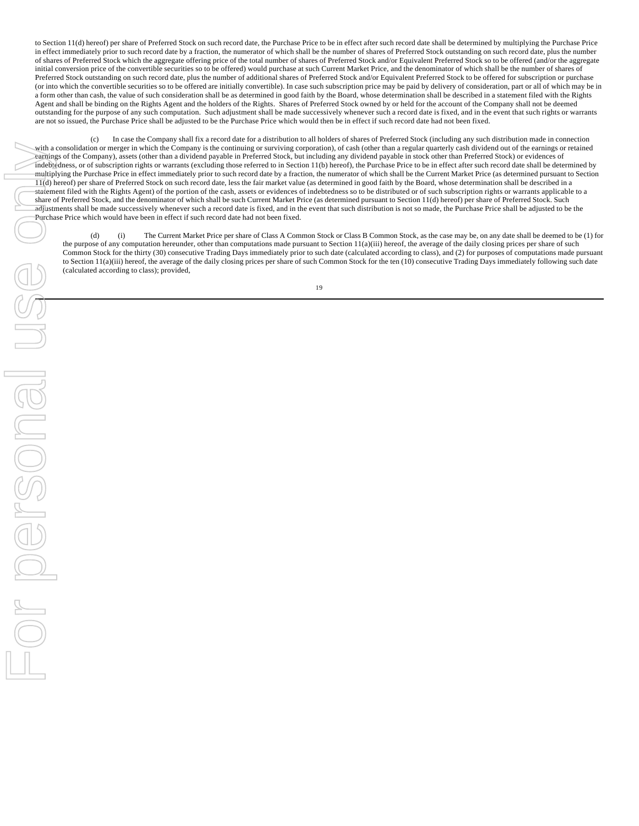to Section 11(d) hereof) per share of Preferred Stock on such record date, the Purchase Price to be in effect after such record date shall be determined by multiplying the Purchase Price in effect immediately prior to such record date by a fraction, the numerator of which shall be the number of shares of Preferred Stock outstanding on such record date, plus the number of shares of Preferred Stock which the aggregate offering price of the total number of shares of Preferred Stock and/or Equivalent Preferred Stock so to be offered (and/or the aggregate initial conversion price of the convertible securities so to be offered) would purchase at such Current Market Price, and the denominator of which shall be the number of shares of Preferred Stock outstanding on such record date, plus the number of additional shares of Preferred Stock and/or Equivalent Preferred Stock to be offered for subscription or purchase (or into which the convertible securities so to be offered are initially convertible). In case such subscription price may be paid by delivery of consideration, part or all of which may be in a form other than cash, the value of such consideration shall be as determined in good faith by the Board, whose determination shall be described in a statement filed with the Rights Agent and shall be binding on the Rights Agent and the holders of the Rights. Shares of Preferred Stock owned by or held for the account of the Company shall not be deemed outstanding for the purpose of any such computation. Such adjustment shall be made successively whenever such a record date is fixed, and in the event that such rights or warrants are not so issued, the Purchase Price shall be adjusted to be the Purchase Price which would then be in effect if such record date had not been fixed.

(c) In case the Company shall fix a record date for a distribution to all holders of shares of Preferred Stock (including any such distribution made in connection with a consolidation or merger in which the Company is the continuing or surviving corporation), of cash (other than a regular quarterly cash dividend out of the earnings or retained earnings of the Company), assets (other than a dividend payable in Preferred Stock, but including any dividend payable in stock other than Preferred Stock) or evidences of indebtedness, or of subscription rights or warrants (excluding those referred to in Section 11(b) hereof), the Purchase Price to be in effect after such record date shall be determined by multiplying the Purchase Price in effect immediately prior to such record date by a fraction, the numerator of which shall be the Current Market Price (as determined pursuant to Section 11(d) hereof) per share of Preferred Stock on such record date, less the fair market value (as determined in good faith by the Board, whose determination shall be described in a statement filed with the Rights Agent) of the portion of the cash, assets or evidences of indebtedness so to be distributed or of such subscription rights or warrants applicable to a share of Preferred Stock, and the denominator of which shall be such Current Market Price (as determined pursuant to Section 11(d) hereof) per share of Preferred Stock. Such adjustments shall be made successively whenever such a record date is fixed, and in the event that such distribution is not so made, the Purchase Price shall be adjusted to be the Purchase Price which would have been in effect if such record date had not been fixed.

(d) (i) The Current Market Price per share of Class A Common Stock or Class B Common Stock, as the case may be, on any date shall be deemed to be (1) for the purpose of any computation hereunder, other than computations made pursuant to Section 11(a)(iii) hereof, the average of the daily closing prices per share of such Common Stock for the thirty (30) consecutive Trading Days immediately prior to such date (calculated according to class), and (2) for purposes of computations made pursuant to Section 11(a)(iii) hereof, the average of the daily closing prices per share of such Common Stock for the ten (10) consecutive Trading Days immediately following such date (calculated according to class); provided,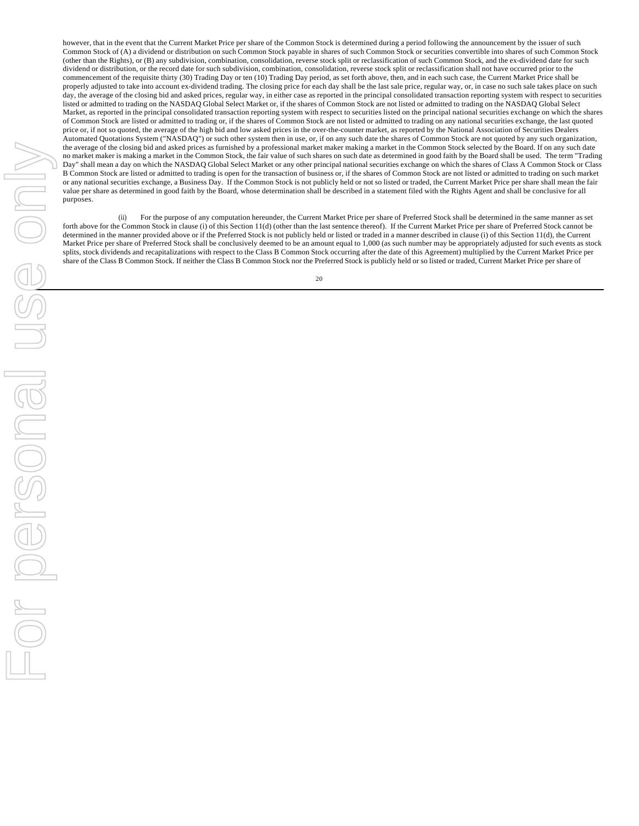however, that in the event that the Current Market Price per share of the Common Stock is determined during a period following the announcement by the issuer of such Common Stock of (A) a dividend or distribution on such Common Stock payable in shares of such Common Stock or securities convertible into shares of such Common Stock (other than the Rights), or (B) any subdivision, combination, consolidation, reverse stock split or reclassification of such Common Stock, and the ex-dividend date for such dividend or distribution, or the record date for such subdivision, combination, consolidation, reverse stock split or reclassification shall not have occurred prior to the commencement of the requisite thirty (30) Trading Day or ten (10) Trading Day period, as set forth above, then, and in each such case, the Current Market Price shall be properly adjusted to take into account ex-dividend trading. The closing price for each day shall be the last sale price, regular way, or, in case no such sale takes place on such day, the average of the closing bid and asked prices, regular way, in either case as reported in the principal consolidated transaction reporting system with respect to securities listed or admitted to trading on the NASDAQ Global Select Market or, if the shares of Common Stock are not listed or admitted to trading on the NASDAQ Global Select Market, as reported in the principal consolidated transaction reporting system with respect to securities listed on the principal national securities exchange on which the shares of Common Stock are listed or admitted to trading or, if the shares of Common Stock are not listed or admitted to trading on any national securities exchange, the last quoted price or, if not so quoted, the average of the high bid and low asked prices in the over-the-counter market, as reported by the National Association of Securities Dealers Automated Quotations System ("NASDAQ") or such other system then in use, or, if on any such date the shares of Common Stock are not quoted by any such organization, the average of the closing bid and asked prices as furnished by a professional market maker making a market in the Common Stock selected by the Board. If on any such date no market maker is making a market in the Common Stock, the fair value of such shares on such date as determined in good faith by the Board shall be used. The term "Trading Day" shall mean a day on which the NASDAQ Global Select Market or any other principal national securities exchange on which the shares of Class A Common Stock or Class B Common Stock are listed or admitted to trading is open for the transaction of business or, if the shares of Common Stock are not listed or admitted to trading on such market or any national securities exchange, a Business Day. If the Common Stock is not publicly held or not so listed or traded, the Current Market Price per share shall mean the fair value per share as determined in good faith by the Board, whose determination shall be described in a statement filed with the Rights Agent and shall be conclusive for all purposes.

(ii) For the purpose of any computation hereunder, the Current Market Price per share of Preferred Stock shall be determined in the same manner as set forth above for the Common Stock in clause (i) of this Section 11(d) (other than the last sentence thereof). If the Current Market Price per share of Preferred Stock cannot be determined in the manner provided above or if the Preferred Stock is not publicly held or listed or traded in a manner described in clause (i) of this Section 11(d), the Current Market Price per share of Preferred Stock shall be conclusively deemed to be an amount equal to 1,000 (as such number may be appropriately adjusted for such events as stock splits, stock dividends and recapitalizations with respect to the Class B Common Stock occurring after the date of this Agreement) multiplied by the Current Market Price per share of the Class B Common Stock. If neither the Class B Common Stock nor the Preferred Stock is publicly held or so listed or traded, Current Market Price per share of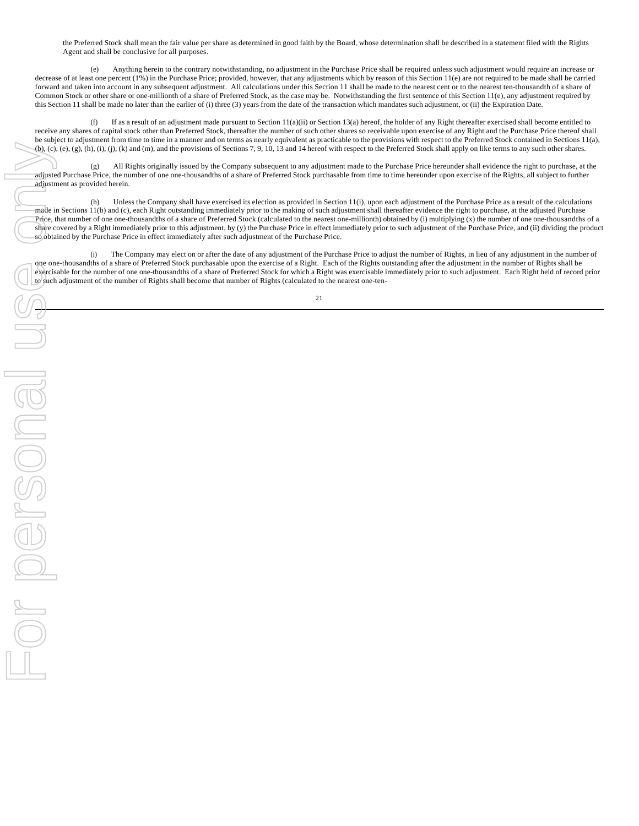the Preferred Stock shall mean the fair value per share as determined in good faith by the Board, whose determination shall be described in a statement filed with the Rights Agent and shall be conclusive for all purposes.

(e) Anything herein to the contrary notwithstanding, no adjustment in the Purchase Price shall be required unless such adjustment would require an increase or decrease of at least one percent (1%) in the Purchase Price; provided, however, that any adjustments which by reason of this Section 11(e) are not required to be made shall be carried forward and taken into account in any subsequent adjustment. All calculations under this Section 11 shall be made to the nearest cent or to the nearest ten-thousandth of a share of Common Stock or other share or one-millionth of a share of Preferred Stock, as the case may be. Notwithstanding the first sentence of this Section 11(e), any adjustment required by this Section 11 shall be made no later than the earlier of (i) three (3) years from the date of the transaction which mandates such adjustment, or (ii) the Expiration Date.

(f) If as a result of an adjustment made pursuant to Section  $11(a)(ii)$  or Section  $13(a)$  hereof, the holder of any Right thereafter exercised shall become entitled to receive any shares of capital stock other than Preferred Stock, thereafter the number of such other shares so receivable upon exercise of any Right and the Purchase Price thereof shall be subject to adjustment from time to time in a manner and on terms as nearly equivalent as practicable to the provisions with respect to the Preferred Stock contained in Sections 11(a), (b), (c), (e), (g), (h), (i), (j), (k) and (m), and the provisions of Sections 7, 9, 10, 13 and 14 hereof with respect to the Preferred Stock shall apply on like terms to any such other shares.

(g) All Rights originally issued by the Company subsequent to any adjustment made to the Purchase Price hereunder shall evidence the right to purchase, at the adjusted Purchase Price, the number of one one-thousandths of a share of Preferred Stock purchasable from time to time hereunder upon exercise of the Rights, all subject to further adjustment as provided herein.

(h) Unless the Company shall have exercised its election as provided in Section 11(i), upon each adjustment of the Purchase Price as a result of the calculations made in Sections 11(b) and (c), each Right outstanding immediately prior to the making of such adjustment shall thereafter evidence the right to purchase, at the adjusted Purchase Price, that number of one one-thousandths of a share of Preferred Stock (calculated to the nearest one-millionth) obtained by (i) multiplying (x) the number of one one-thousandths of a share covered by a Right immediately prior to this adjustment, by (y) the Purchase Price in effect immediately prior to such adjustment of the Purchase Price, and (ii) dividing the product so obtained by the Purchase Price in effect immediately after such adjustment of the Purchase Price.

(i) The Company may elect on or after the date of any adjustment of the Purchase Price to adjust the number of Rights, in lieu of any adjustment in the number of one one-thousandths of a share of Preferred Stock purchasable upon the exercise of a Right. Each of the Rights outstanding after the adjustment in the number of Rights shall be exercisable for the number of one one-thousandths of a share of Preferred Stock for which a Right was exercisable immediately prior to such adjustment. Each Right held of record prior to such adjustment of the number of Rights shall become that number of Rights (calculated to the nearest one-ten-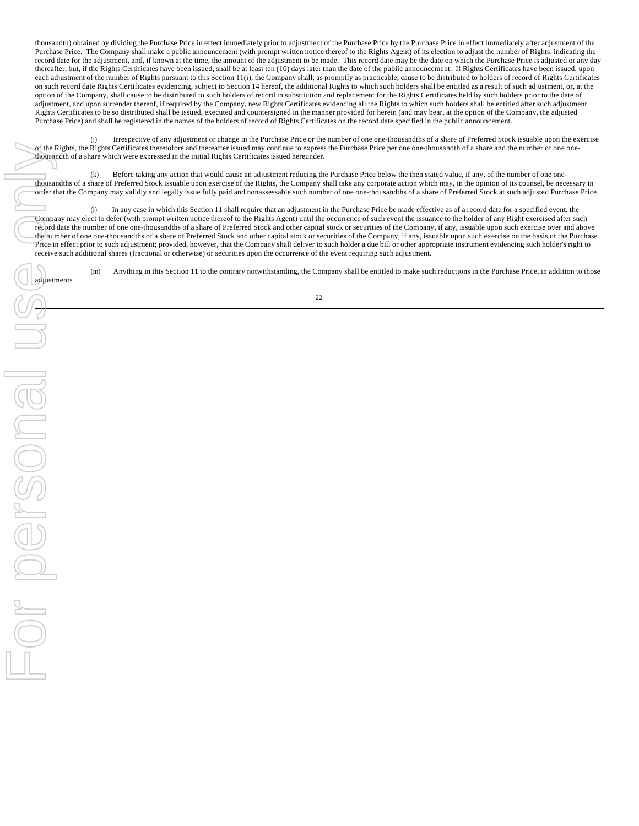thousandth) obtained by dividing the Purchase Price in effect immediately prior to adjustment of the Purchase Price by the Purchase Price in effect immediately after adjustment of the Purchase Price. The Company shall make a public announcement (with prompt written notice thereof to the Rights Agent) of its election to adjust the number of Rights, indicating the record date for the adjustment, and, if known at the time, the amount of the adjustment to be made. This record date may be the date on which the Purchase Price is adjusted or any day thereafter, but, if the Rights Certificates have been issued, shall be at least ten (10) days later than the date of the public announcement. If Rights Certificates have been issued, upon each adjustment of the number of Rights pursuant to this Section 11(i), the Company shall, as promptly as practicable, cause to be distributed to holders of record of Rights Certificates on such record date Rights Certificates evidencing, subject to Section 14 hereof, the additional Rights to which such holders shall be entitled as a result of such adjustment, or, at the option of the Company, shall cause to be distributed to such holders of record in substitution and replacement for the Rights Certificates held by such holders prior to the date of adjustment, and upon surrender thereof, if required by the Company, new Rights Certificates evidencing all the Rights to which such holders shall be entitled after such adjustment. Rights Certificates to be so distributed shall be issued, executed and countersigned in the manner provided for herein (and may bear, at the option of the Company, the adjusted Purchase Price) and shall be registered in the names of the holders of record of Rights Certificates on the record date specified in the public announcement.

Irrespective of any adjustment or change in the Purchase Price or the number of one one-thousandths of a share of Preferred Stock issuable upon the exercise of the Rights, the Rights Certificates theretofore and thereafter issued may continue to express the Purchase Price per one one-thousandth of a share and the number of one onethousandth of a share which were expressed in the initial Rights Certificates issued hereunder.

(k) Before taking any action that would cause an adjustment reducing the Purchase Price below the then stated value, if any, of the number of one onethousandths of a share of Preferred Stock issuable upon exercise of the Rights, the Company shall take any corporate action which may, in the opinion of its counsel, be necessary in order that the Company may validly and legally issue fully paid and nonassessable such number of one one-thousandths of a share of Preferred Stock at such adjusted Purchase Price.

(l) In any case in which this Section 11 shall require that an adjustment in the Purchase Price be made effective as of a record date for a specified event, the Company may elect to defer (with prompt written notice thereof to the Rights Agent) until the occurrence of such event the issuance to the holder of any Right exercised after such record date the number of one one-thousandths of a share of Preferred Stock and other capital stock or securities of the Company, if any, issuable upon such exercise over and above the number of one one-thousandths of a share of Preferred Stock and other capital stock or securities of the Company, if any, issuable upon such exercise on the basis of the Purchase Price in effect prior to such adjustment; provided, however, that the Company shall deliver to such holder a due bill or other appropriate instrument evidencing such holder's right to receive such additional shares (fractional or otherwise) or securities upon the occurrence of the event requiring such adjustment.

(m) Anything in this Section 11 to the contrary notwithstanding, the Company shall be entitled to make such reductions in the Purchase Price, in addition to those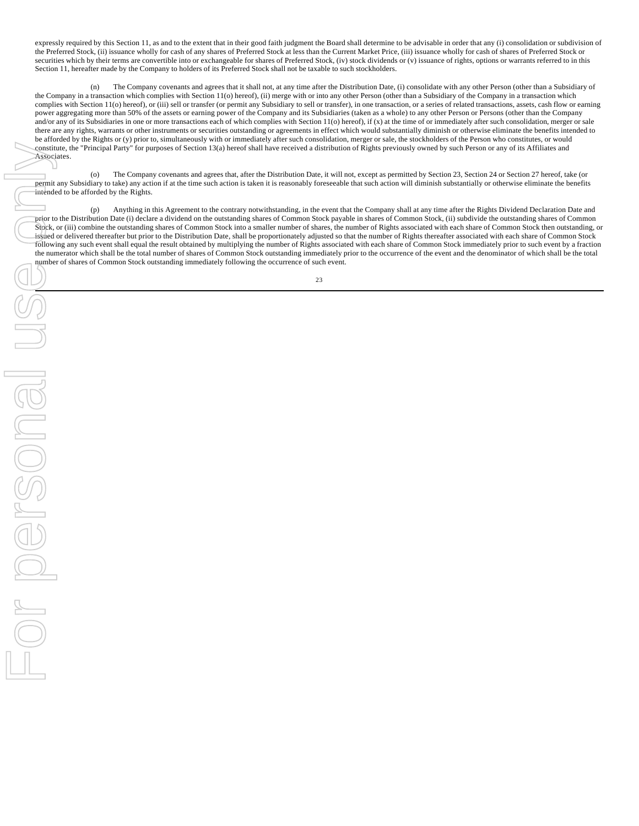expressly required by this Section 11, as and to the extent that in their good faith judgment the Board shall determine to be advisable in order that any (i) consolidation or subdivision of the Preferred Stock, (ii) issuance wholly for cash of any shares of Preferred Stock at less than the Current Market Price, (iii) issuance wholly for cash of shares of Preferred Stock or securities which by their terms are convertible into or exchangeable for shares of Preferred Stock, (iv) stock dividends or (v) issuance of rights, options or warrants referred to in this Section 11, hereafter made by the Company to holders of its Preferred Stock shall not be taxable to such stockholders.

(n) The Company covenants and agrees that it shall not, at any time after the Distribution Date, (i) consolidate with any other Person (other than a Subsidiary of the Company in a transaction which complies with Section 11(o) hereof), (ii) merge with or into any other Person (other than a Subsidiary of the Company in a transaction which complies with Section 11(o) hereof), or (iii) sell or transfer (or permit any Subsidiary to sell or transfer), in one transaction, or a series of related transactions, assets, cash flow or earning power aggregating more than 50% of the assets or earning power of the Company and its Subsidiaries (taken as a whole) to any other Person or Persons (other than the Company and/or any of its Subsidiaries in one or more transactions each of which complies with Section 11(o) hereof), if (x) at the time of or immediately after such consolidation, merger or sale there are any rights, warrants or other instruments or securities outstanding or agreements in effect which would substantially diminish or otherwise eliminate the benefits intended to be afforded by the Rights or (y) prior to, simultaneously with or immediately after such consolidation, merger or sale, the stockholders of the Person who constitutes, or would constitute, the "Principal Party" for purposes of Section 13(a) hereof shall have received a distribution of Rights previously owned by such Person or any of its Affiliates and Associates.

(o) The Company covenants and agrees that, after the Distribution Date, it will not, except as permitted by Section 23, Section 24 or Section 27 hereof, take (or permit any Subsidiary to take) any action if at the time such action is taken it is reasonably foreseeable that such action will diminish substantially or otherwise eliminate the benefits intended to be afforded by the Rights.

(p) Anything in this Agreement to the contrary notwithstanding, in the event that the Company shall at any time after the Rights Dividend Declaration Date and prior to the Distribution Date (i) declare a dividend on the outstanding shares of Common Stock payable in shares of Common Stock, (ii) subdivide the outstanding shares of Common Stock, or (iii) combine the outstanding shares of Common Stock into a smaller number of shares, the number of Rights associated with each share of Common Stock then outstanding, or issued or delivered thereafter but prior to the Distribution Date, shall be proportionately adjusted so that the number of Rights thereafter associated with each share of Common Stock following any such event shall equal the result obtained by multiplying the number of Rights associated with each share of Common Stock immediately prior to such event by a fraction the numerator which shall be the total number of shares of Common Stock outstanding immediately prior to the occurrence of the event and the denominator of which shall be the total number of shares of Common Stock outstanding immediately following the occurrence of such event.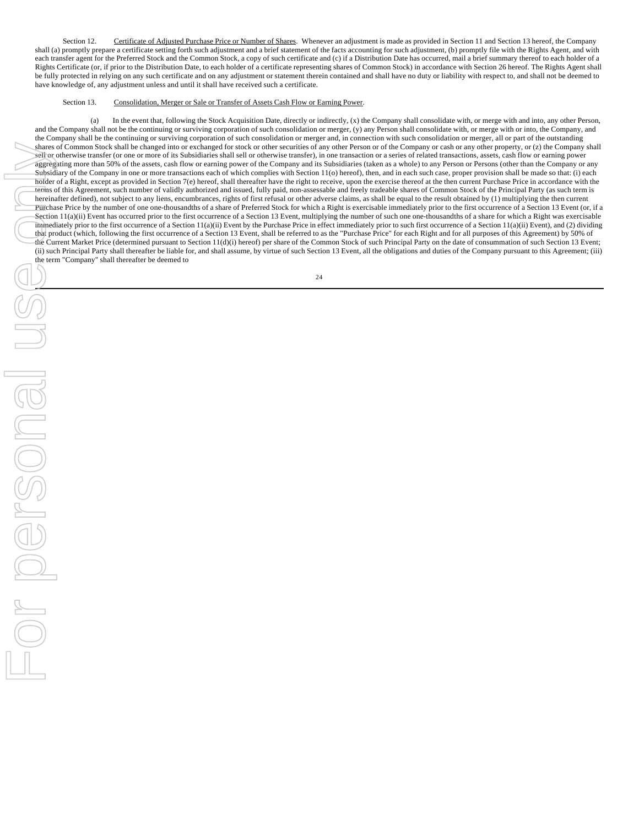Section 12. Certificate of Adjusted Purchase Price or Number of Shares. Whenever an adjustment is made as provided in Section 11 and Section 13 hereof, the Company shall (a) promptly prepare a certificate setting forth such adjustment and a brief statement of the facts accounting for such adjustment, (b) promptly file with the Rights Agent, and with each transfer agent for the Preferred Stock and the Common Stock, a copy of such certificate and (c) if a Distribution Date has occurred, mail a brief summary thereof to each holder of a Rights Certificate (or, if prior to the Distribution Date, to each holder of a certificate representing shares of Common Stock) in accordance with Section 26 hereof. The Rights Agent shall be fully protected in relying on any such certificate and on any adjustment or statement therein contained and shall have no duty or liability with respect to, and shall not be deemed to have knowledge of, any adjustment unless and until it shall have received such a certificate.

### Section 13. Consolidation, Merger or Sale or Transfer of Assets Cash Flow or Earning Power.

(a) In the event that, following the Stock Acquisition Date, directly or indirectly, (x) the Company shall consolidate with, or merge with and into, any other Person, and the Company shall not be the continuing or surviving corporation of such consolidation or merger, (y) any Person shall consolidate with, or merge with or into, the Company, and the Company shall be the continuing or surviving corporation of such consolidation or merger and, in connection with such consolidation or merger, all or part of the outstanding shares of Common Stock shall be changed into or exchanged for stock or other securities of any other Person or of the Company or cash or any other property, or (z) the Company shall sell or otherwise transfer (or one or more of its Subsidiaries shall sell or otherwise transfer), in one transaction or a series of related transactions, assets, cash flow or earning power aggregating more than 50% of the assets, cash flow or earning power of the Company and its Subsidiaries (taken as a whole) to any Person or Persons (other than the Company or any Subsidiary of the Company in one or more transactions each of which complies with Section 11(o) hereof), then, and in each such case, proper provision shall be made so that: (i) each holder of a Right, except as provided in Section 7(e) hereof, shall thereafter have the right to receive, upon the exercise thereof at the then current Purchase Price in accordance with the terms of this Agreement, such number of validly authorized and issued, fully paid, non-assessable and freely tradeable shares of Common Stock of the Principal Party (as such term is hereinafter defined), not subject to any liens, encumbrances, rights of first refusal or other adverse claims, as shall be equal to the result obtained by (1) multiplying the then current Purchase Price by the number of one one-thousandths of a share of Preferred Stock for which a Right is exercisable immediately prior to the first occurrence of a Section 13 Event (or, if a Section 11(a)(ii) Event has occurred prior to the first occurrence of a Section 13 Event, multiplying the number of such one one-thousandths of a share for which a Right was exercisable immediately prior to the first occurrence of a Section 11(a)(ii) Event by the Purchase Price in effect immediately prior to such first occurrence of a Section 11(a)(ii) Event), and (2) dividing that product (which, following the first occurrence of a Section 13 Event, shall be referred to as the "Purchase Price" for each Right and for all purposes of this Agreement) by 50% of the Current Market Price (determined pursuant to Section 11(d)(i) hereof) per share of the Common Stock of such Principal Party on the date of consummation of such Section 13 Event; (ii) such Principal Party shall thereafter be liable for, and shall assume, by virtue of such Section 13 Event, all the obligations and duties of the Company pursuant to this Agreement; (iii) the term "Company" shall thereafter be deemed to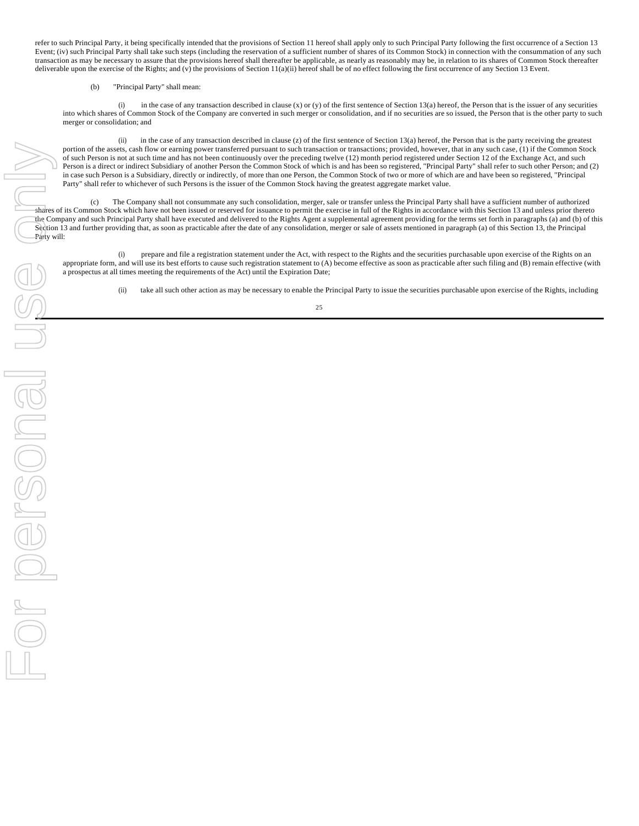refer to such Principal Party, it being specifically intended that the provisions of Section 11 hereof shall apply only to such Principal Party following the first occurrence of a Section 13 Event; (iv) such Principal Party shall take such steps (including the reservation of a sufficient number of shares of its Common Stock) in connection with the consummation of any such transaction as may be necessary to assure that the provisions hereof shall thereafter be applicable, as nearly as reasonably may be, in relation to its shares of Common Stock thereafter deliverable upon the exercise of the Rights; and (v) the provisions of Section 11(a)(ii) hereof shall be of no effect following the first occurrence of any Section 13 Event.

### (b) "Principal Party" shall mean:

(i) in the case of any transaction described in clause (x) or (y) of the first sentence of Section 13(a) hereof, the Person that is the issuer of any securities into which shares of Common Stock of the Company are converted in such merger or consolidation, and if no securities are so issued, the Person that is the other party to such merger or consolidation; and

(ii) in the case of any transaction described in clause (z) of the first sentence of Section 13(a) hereof, the Person that is the party receiving the greatest portion of the assets, cash flow or earning power transferred pursuant to such transaction or transactions; provided, however, that in any such case, (1) if the Common Stock of such Person is not at such time and has not been continuously over the preceding twelve (12) month period registered under Section 12 of the Exchange Act, and such Person is a direct or indirect Subsidiary of another Person the Common Stock of which is and has been so registered, "Principal Party" shall refer to such other Person; and (2) in case such Person is a Subsidiary, directly or indirectly, of more than one Person, the Common Stock of two or more of which are and have been so registered, "Principal Party" shall refer to whichever of such Persons is the issuer of the Common Stock having the greatest aggregate market value.

(c) The Company shall not consummate any such consolidation, merger, sale or transfer unless the Principal Party shall have a sufficient number of authorized shares of its Common Stock which have not been issued or reserved for issuance to permit the exercise in full of the Rights in accordance with this Section 13 and unless prior thereto the Company and such Principal Party shall have executed and delivered to the Rights Agent a supplemental agreement providing for the terms set forth in paragraphs (a) and (b) of this Section 13 and further providing that, as soon as practicable after the date of any consolidation, merger or sale of assets mentioned in paragraph (a) of this Section 13, the Principal Party will:

(i) prepare and file a registration statement under the Act, with respect to the Rights and the securities purchasable upon exercise of the Rights on an appropriate form, and will use its best efforts to cause such registration statement to (A) become effective as soon as practicable after such filing and (B) remain effective (with a prospectus at all times meeting the requirements of the Act) until the Expiration Date;

(ii) take all such other action as may be necessary to enable the Principal Party to issue the securities purchasable upon exercise of the Rights, including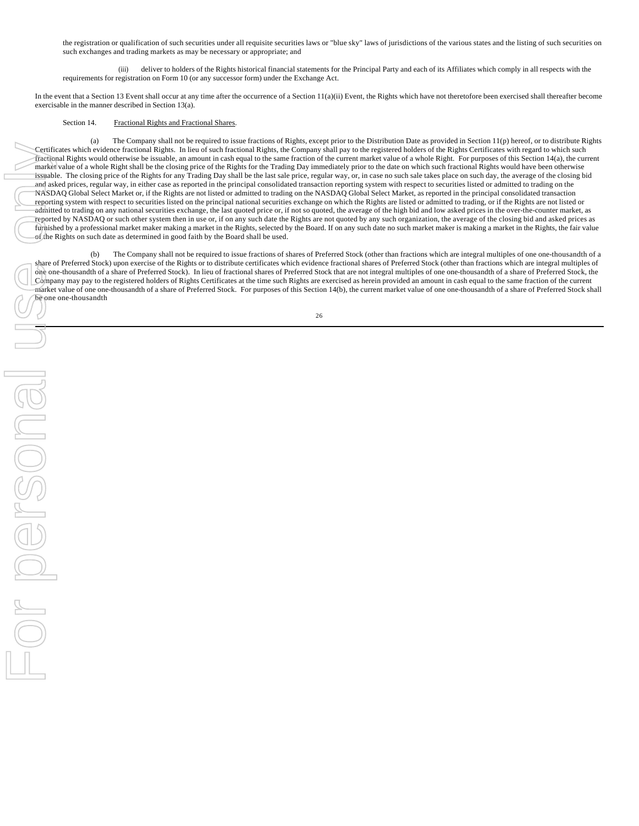the registration or qualification of such securities under all requisite securities laws or "blue sky" laws of jurisdictions of the various states and the listing of such securities on such exchanges and trading markets as may be necessary or appropriate; and

(iii) deliver to holders of the Rights historical financial statements for the Principal Party and each of its Affiliates which comply in all respects with the requirements for registration on Form 10 (or any successor form) under the Exchange Act.

In the event that a Section 13 Event shall occur at any time after the occurrence of a Section 11(a)(ii) Event, the Rights which have not theretofore been exercised shall thereafter become exercisable in the manner described in Section 13(a).

### Section 14. Fractional Rights and Fractional Shares.

(a) The Company shall not be required to issue fractions of Rights, except prior to the Distribution Date as provided in Section 11(p) hereof, or to distribute Rights Certificates which evidence fractional Rights. In lieu of such fractional Rights, the Company shall pay to the registered holders of the Rights Certificates with regard to which such fractional Rights would otherwise be issuable, an amount in cash equal to the same fraction of the current market value of a whole Right. For purposes of this Section 14(a), the current market value of a whole Right shall be the closing price of the Rights for the Trading Day immediately prior to the date on which such fractional Rights would have been otherwise issuable. The closing price of the Rights for any Trading Day shall be the last sale price, regular way, or, in case no such sale takes place on such day, the average of the closing bid and asked prices, regular way, in either case as reported in the principal consolidated transaction reporting system with respect to securities listed or admitted to trading on the NASDAQ Global Select Market or, if the Rights are not listed or admitted to trading on the NASDAQ Global Select Market, as reported in the principal consolidated transaction reporting system with respect to securities listed on the principal national securities exchange on which the Rights are listed or admitted to trading, or if the Rights are not listed or admitted to trading on any national securities exchange, the last quoted price or, if not so quoted, the average of the high bid and low asked prices in the over-the-counter market, as reported by NASDAQ or such other system then in use or, if on any such date the Rights are not quoted by any such organization, the average of the closing bid and asked prices as furnished by a professional market maker making a market in the Rights, selected by the Board. If on any such date no such market maker is making a market in the Rights, the fair value of the Rights on such date as determined in good faith by the Board shall be used.

(b) The Company shall not be required to issue fractions of shares of Preferred Stock (other than fractions which are integral multiples of one one-thousandth of a share of Preferred Stock) upon exercise of the Rights or to distribute certificates which evidence fractional shares of Preferred Stock (other than fractions which are integral multiples of one one-thousandth of a share of Preferred Stock). In lieu of fractional shares of Preferred Stock that are not integral multiples of one one-thousandth of a share of Preferred Stock, the Company may pay to the registered holders of Rights Certificates at the time such Rights are exercised as herein provided an amount in cash equal to the same fraction of the current market value of one one-thousandth of a share of Preferred Stock. For purposes of this Section 14(b), the current market value of one one-thousandth of a share of Preferred Stock shall be one one-thousandth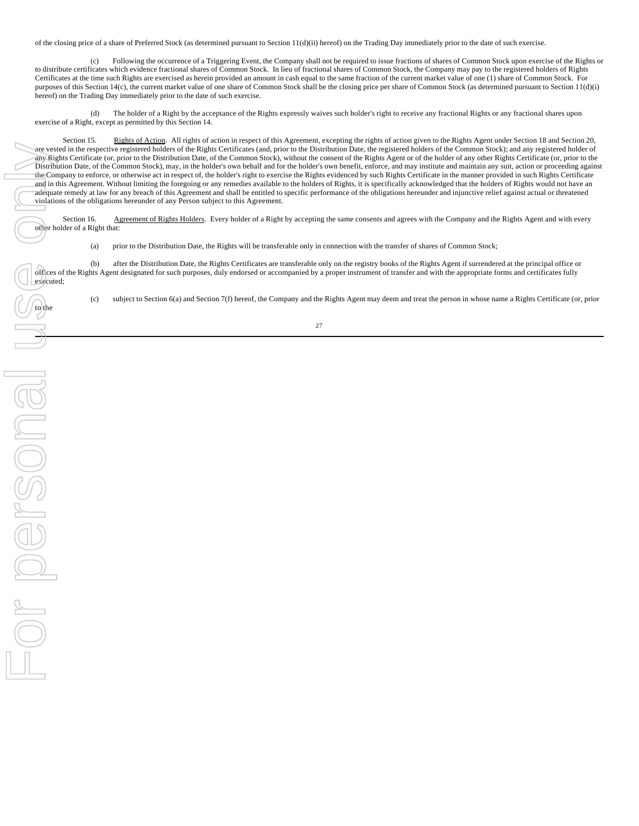of the closing price of a share of Preferred Stock (as determined pursuant to Section 11(d)(ii) hereof) on the Trading Day immediately prior to the date of such exercise.

(c) Following the occurrence of a Triggering Event, the Company shall not be required to issue fractions of shares of Common Stock upon exercise of the Rights or to distribute certificates which evidence fractional shares of Common Stock. In lieu of fractional shares of Common Stock, the Company may pay to the registered holders of Rights Certificates at the time such Rights are exercised as herein provided an amount in cash equal to the same fraction of the current market value of one (1) share of Common Stock. For purposes of this Section 14(c), the current market value of one share of Common Stock shall be the closing price per share of Common Stock (as determined pursuant to Section 11(d)(i) hereof) on the Trading Day immediately prior to the date of such exercise.

(d) The holder of a Right by the acceptance of the Rights expressly waives such holder's right to receive any fractional Rights or any fractional shares upon exercise of a Right, except as permitted by this Section 14.

Section 15. Rights of Action. All rights of action in respect of this Agreement, excepting the rights of action given to the Rights Agent under Section 18 and Section 20, are vested in the respective registered holders of the Rights Certificates (and, prior to the Distribution Date, the registered holders of the Common Stock); and any registered holder of any Rights Certificate (or, prior to the Distribution Date, of the Common Stock), without the consent of the Rights Agent or of the holder of any other Rights Certificate (or, prior to the Distribution Date, of the Common Stock), may, in the holder's own behalf and for the holder's own benefit, enforce, and may institute and maintain any suit, action or proceeding against the Company to enforce, or otherwise act in respect of, the holder's right to exercise the Rights evidenced by such Rights Certificate in the manner provided in such Rights Certificate and in this Agreement. Without limiting the foregoing or any remedies available to the holders of Rights, it is specifically acknowledged that the holders of Rights would not have an adequate remedy at law for any breach of this Agreement and shall be entitled to specific performance of the obligations hereunder and injunctive relief against actual or threatened violations of the obligations hereunder of any Person subject to this Agreement.

Section 16. Agreement of Rights Holders. Every holder of a Right by accepting the same consents and agrees with the Company and the Rights Agent and with every other holder of a Right that:

(a) prior to the Distribution Date, the Rights will be transferable only in connection with the transfer of shares of Common Stock;

(b) after the Distribution Date, the Rights Certificates are transferable only on the registry books of the Rights Agent if surrendered at the principal office or offices of the Rights Agent designated for such purposes, duly endorsed or accompanied by a proper instrument of transfer and with the appropriate forms and certificates fully

(c) subject to Section 6(a) and Section 7(f) hereof, the Company and the Rights Agent may deem and treat the person in whose name a Rights Certificate (or, prior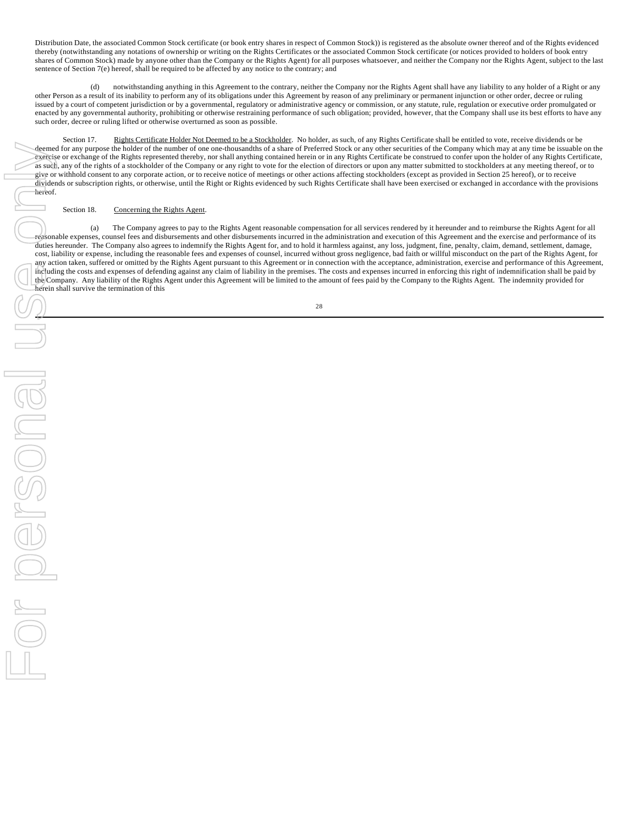Distribution Date, the associated Common Stock certificate (or book entry shares in respect of Common Stock)) is registered as the absolute owner thereof and of the Rights evidenced thereby (notwithstanding any notations of ownership or writing on the Rights Certificates or the associated Common Stock certificate (or notices provided to holders of book entry shares of Common Stock) made by anyone other than the Company or the Rights Agent) for all purposes whatsoever, and neither the Company nor the Rights Agent, subject to the last sentence of Section 7(e) hereof, shall be required to be affected by any notice to the contrary; and

(d) notwithstanding anything in this Agreement to the contrary, neither the Company nor the Rights Agent shall have any liability to any holder of a Right or any other Person as a result of its inability to perform any of its obligations under this Agreement by reason of any preliminary or permanent injunction or other order, decree or ruling issued by a court of competent jurisdiction or by a governmental, regulatory or administrative agency or commission, or any statute, rule, regulation or executive order promulgated or enacted by any governmental authority, prohibiting or otherwise restraining performance of such obligation; provided, however, that the Company shall use its best efforts to have any such order, decree or ruling lifted or otherwise overturned as soon as possible.

Section 17. Rights Certificate Holder Not Deemed to be a Stockholder. No holder, as such, of any Rights Certificate shall be entitled to vote, receive dividends or be deemed for any purpose the holder of the number of one one-thousandths of a share of Preferred Stock or any other securities of the Company which may at any time be issuable on the exercise or exchange of the Rights represented thereby, nor shall anything contained herein or in any Rights Certificate be construed to confer upon the holder of any Rights Certificate, as such, any of the rights of a stockholder of the Company or any right to vote for the election of directors or upon any matter submitted to stockholders at any meeting thereof, or to give or withhold consent to any corporate action, or to receive notice of meetings or other actions affecting stockholders (except as provided in Section 25 hereof), or to receive dividends or subscription rights, or otherwise, until the Right or Rights evidenced by such Rights Certificate shall have been exercised or exchanged in accordance with the provisions

### Section 18. Concerning the Rights Agent.

(a) The Company agrees to pay to the Rights Agent reasonable compensation for all services rendered by it hereunder and to reimburse the Rights Agent for all reasonable expenses, counsel fees and disbursements and other disbursements incurred in the administration and execution of this Agreement and the exercise and performance of its duties hereunder. The Company also agrees to indemnify the Rights Agent for, and to hold it harmless against, any loss, judgment, fine, penalty, claim, demand, settlement, damage, cost, liability or expense, including the reasonable fees and expenses of counsel, incurred without gross negligence, bad faith or willful misconduct on the part of the Rights Agent, for any action taken, suffered or omitted by the Rights Agent pursuant to this Agreement or in connection with the acceptance, administration, exercise and performance of this Agreement, including the costs and expenses of defending against any claim of liability in the premises. The costs and expenses incurred in enforcing this right of indemnification shall be paid by the Company. Any liability of the Rights Agent under this Agreement will be limited to the amount of fees paid by the Company to the Rights Agent. The indemnity provided for herein shall survive the termination of this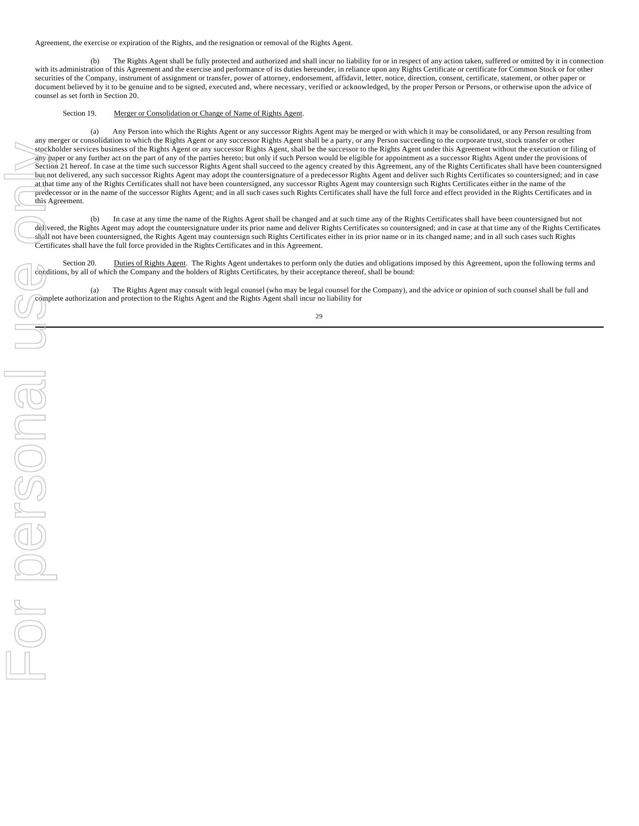Agreement, the exercise or expiration of the Rights, and the resignation or removal of the Rights Agent.

(b) The Rights Agent shall be fully protected and authorized and shall incur no liability for or in respect of any action taken, suffered or omitted by it in connection with its administration of this Agreement and the exercise and performance of its duties hereunder, in reliance upon any Rights Certificate or certificate for Common Stock or for other securities of the Company, instrument of assignment or transfer, power of attorney, endorsement, affidavit, letter, notice, direction, consent, certificate, statement, or other paper or document believed by it to be genuine and to be signed, executed and, where necessary, verified or acknowledged, by the proper Person or Persons, or otherwise upon the advice of counsel as set forth in Section 20.

## Section 19. Merger or Consolidation or Change of Name of Rights Agent.

(a) Any Person into which the Rights Agent or any successor Rights Agent may be merged or with which it may be consolidated, or any Person resulting from any merger or consolidation to which the Rights Agent or any successor Rights Agent shall be a party, or any Person succeeding to the corporate trust, stock transfer or other stockholder services business of the Rights Agent or any successor Rights Agent, shall be the successor to the Rights Agent under this Agreement without the execution or filing of any paper or any further act on the part of any of the parties hereto; but only if such Person would be eligible for appointment as a successor Rights Agent under the provisions of Section 21 hereof. In case at the time such successor Rights Agent shall succeed to the agency created by this Agreement, any of the Rights Certificates shall have been countersigned but not delivered, any such successor Rights Agent may adopt the countersignature of a predecessor Rights Agent and deliver such Rights Certificates so countersigned; and in case at that time any of the Rights Certificates shall not have been countersigned, any successor Rights Agent may countersign such Rights Certificates either in the name of the predecessor or in the name of the successor Rights Agent; and in all such cases such Rights Certificates shall have the full force and effect provided in the Rights Certificates and in this Agreement.

(b) In case at any time the name of the Rights Agent shall be changed and at such time any of the Rights Certificates shall have been countersigned but not delivered, the Rights Agent may adopt the countersignature under its prior name and deliver Rights Certificates so countersigned; and in case at that time any of the Rights Certificates shall not have been countersigned, the Rights Agent may countersign such Rights Certificates either in its prior name or in its changed name; and in all such cases such Rights Certificates shall have the full force provided in the Rights Certificates and in this Agreement.

Section 20. Duties of Rights Agent. The Rights Agent undertakes to perform only the duties and obligations imposed by this Agreement, upon the following terms and conditions, by all of which the Company and the holders of Rights Certificates, by their acceptance thereof, shall be bound:

(a) The Rights Agent may consult with legal counsel (who may be legal counsel for the Company), and the advice or opinion of such counsel shall be full and complete authorization and protection to the Rights Agent and the Rights Agent shall incur no liability for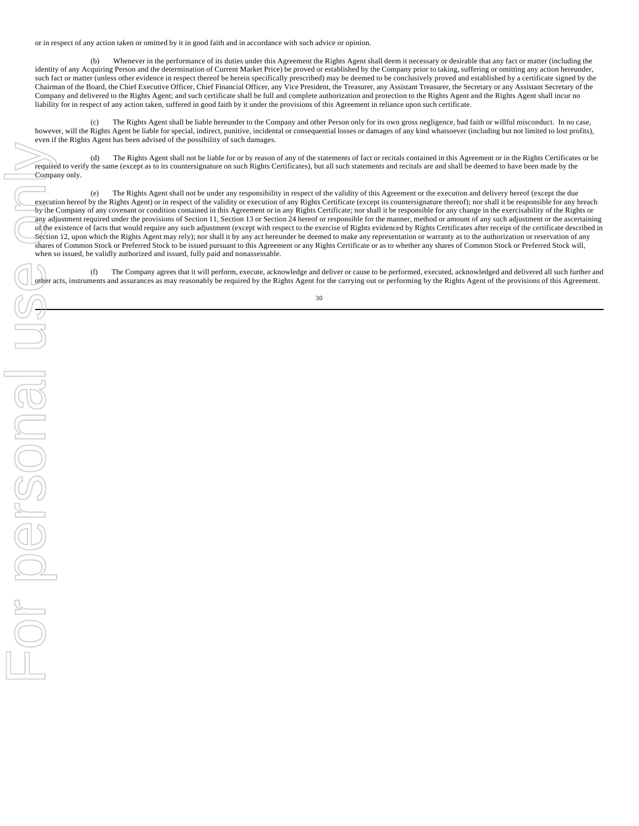or in respect of any action taken or omitted by it in good faith and in accordance with such advice or opinion.

(b) Whenever in the performance of its duties under this Agreement the Rights Agent shall deem it necessary or desirable that any fact or matter (including the identity of any Acquiring Person and the determination of Current Market Price) be proved or established by the Company prior to taking, suffering or omitting any action hereunder, such fact or matter (unless other evidence in respect thereof be herein specifically prescribed) may be deemed to be conclusively proved and established by a certificate signed by the Chairman of the Board, the Chief Executive Officer, Chief Financial Officer, any Vice President, the Treasurer, any Assistant Treasurer, the Secretary or any Assistant Secretary of the Company and delivered to the Rights Agent; and such certificate shall be full and complete authorization and protection to the Rights Agent and the Rights Agent shall incur no liability for in respect of any action taken, suffered in good faith by it under the provisions of this Agreement in reliance upon such certificate.

(c) The Rights Agent shall be liable hereunder to the Company and other Person only for its own gross negligence, bad faith or willful misconduct. In no case, however, will the Rights Agent be liable for special, indirect, punitive, incidental or consequential losses or damages of any kind whatsoever (including but not limited to lost profits), even if the Rights Agent has been advised of the possibility of such damages.

(d) The Rights Agent shall not be liable for or by reason of any of the statements of fact or recitals contained in this Agreement or in the Rights Certificates or be required to verify the same (except as to its countersignature on such Rights Certificates), but all such statements and recitals are and shall be deemed to have been made by the Company only.

(e) The Rights Agent shall not be under any responsibility in respect of the validity of this Agreement or the execution and delivery hereof (except the due execution hereof by the Rights Agent) or in respect of the validity or execution of any Rights Certificate (except its countersignature thereof); nor shall it be responsible for any breach by the Company of any covenant or condition contained in this Agreement or in any Rights Certificate; nor shall it be responsible for any change in the exercisability of the Rights or any adjustment required under the provisions of Section 11, Section 13 or Section 24 hereof or responsible for the manner, method or amount of any such adjustment or the ascertaining of the existence of facts that would require any such adjustment (except with respect to the exercise of Rights evidenced by Rights Certificates after receipt of the certificate described in Section 12, upon which the Rights Agent may rely); nor shall it by any act hereunder be deemed to make any representation or warranty as to the authorization or reservation of any shares of Common Stock or Preferred Stock to be issued pursuant to this Agreement or any Rights Certificate or as to whether any shares of Common Stock or Preferred Stock will, when so issued, be validly authorized and issued, fully paid and nonassessable.

(f) The Company agrees that it will perform, execute, acknowledge and deliver or cause to be performed, executed, acknowledged and delivered all such further and other acts, instruments and assurances as may reasonably be required by the Rights Agent for the carrying out or performing by the Rights Agent of the provisions of this Agreement.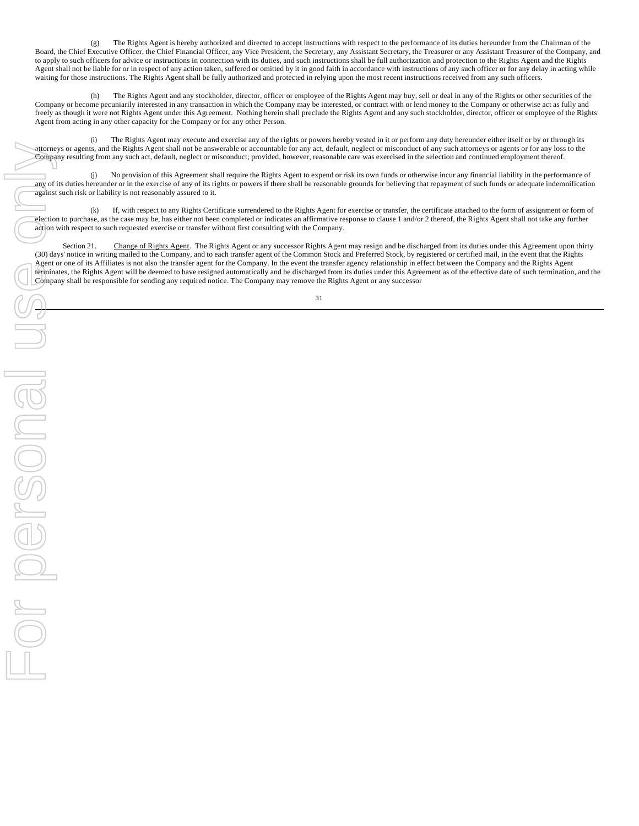(g) The Rights Agent is hereby authorized and directed to accept instructions with respect to the performance of its duties hereunder from the Chairman of the Board, the Chief Executive Officer, the Chief Financial Officer, any Vice President, the Secretary, any Assistant Secretary, the Treasurer or any Assistant Treasurer of the Company, and to apply to such officers for advice or instructions in connection with its duties, and such instructions shall be full authorization and protection to the Rights Agent and the Rights Agent shall not be liable for or in respect of any action taken, suffered or omitted by it in good faith in accordance with instructions of any such officer or for any delay in acting while waiting for those instructions. The Rights Agent shall be fully authorized and protected in relying upon the most recent instructions received from any such officers.

(h) The Rights Agent and any stockholder, director, officer or employee of the Rights Agent may buy, sell or deal in any of the Rights or other securities of the Company or become pecuniarily interested in any transaction in which the Company may be interested, or contract with or lend money to the Company or otherwise act as fully and freely as though it were not Rights Agent under this Agreement. Nothing herein shall preclude the Rights Agent and any such stockholder, director, officer or employee of the Rights Agent from acting in any other capacity for the Company or for any other Person.

(i) The Rights Agent may execute and exercise any of the rights or powers hereby vested in it or perform any duty hereunder either itself or by or through its attorneys or agents, and the Rights Agent shall not be answerable or accountable for any act, default, neglect or misconduct of any such attorneys or agents or for any loss to the Company resulting from any such act, default, neglect or misconduct; provided, however, reasonable care was exercised in the selection and continued employment thereof.

No provision of this Agreement shall require the Rights Agent to expend or risk its own funds or otherwise incur any financial liability in the performance of any of its duties hereunder or in the exercise of any of its rights or powers if there shall be reasonable grounds for believing that repayment of such funds or adequate indemnification against such risk or liability is not reasonably assured to it.

(k) If, with respect to any Rights Certificate surrendered to the Rights Agent for exercise or transfer, the certificate attached to the form of assignment or form of election to purchase, as the case may be, has either not been completed or indicates an affirmative response to clause 1 and/or 2 thereof, the Rights Agent shall not take any further action with respect to such requested exercise or transfer without first consulting with the Company.

Section 21. Change of Rights Agent. The Rights Agent or any successor Rights Agent may resign and be discharged from its duties under this Agreement upon thirty (30) days' notice in writing mailed to the Company, and to each transfer agent of the Common Stock and Preferred Stock, by registered or certified mail, in the event that the Rights Agent or one of its Affiliates is not also the transfer agent for the Company. In the event the transfer agency relationship in effect between the Company and the Rights Agent terminates, the Rights Agent will be deemed to have resigned automatically and be discharged from its duties under this Agreement as of the effective date of such termination, and the Company shall be responsible for sending any required notice. The Company may remove the Rights Agent or any successor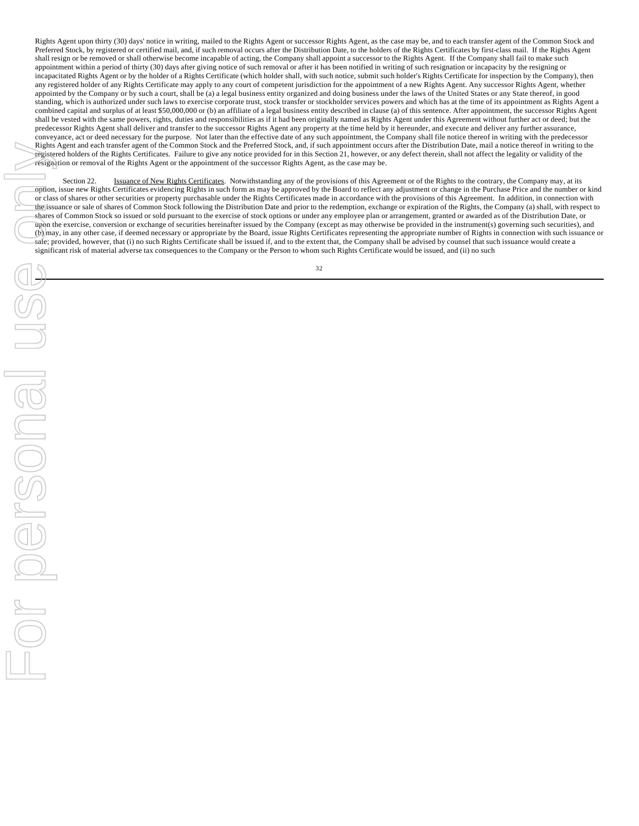Rights Agent upon thirty (30) days' notice in writing, mailed to the Rights Agent or successor Rights Agent, as the case may be, and to each transfer agent of the Common Stock and Preferred Stock, by registered or certified mail, and, if such removal occurs after the Distribution Date, to the holders of the Rights Certificates by first-class mail. If the Rights Agent shall resign or be removed or shall otherwise become incapable of acting, the Company shall appoint a successor to the Rights Agent. If the Company shall fail to make such appointment within a period of thirty (30) days after giving notice of such removal or after it has been notified in writing of such resignation or incapacity by the resigning or incapacitated Rights Agent or by the holder of a Rights Certificate (which holder shall, with such notice, submit such holder's Rights Certificate for inspection by the Company), then any registered holder of any Rights Certificate may apply to any court of competent jurisdiction for the appointment of a new Rights Agent. Any successor Rights Agent, whether appointed by the Company or by such a court, shall be (a) a legal business entity organized and doing business under the laws of the United States or any State thereof, in good standing, which is authorized under such laws to exercise corporate trust, stock transfer or stockholder services powers and which has at the time of its appointment as Rights Agent a combined capital and surplus of at least \$50,000,000 or (b) an affiliate of a legal business entity described in clause (a) of this sentence. After appointment, the successor Rights Agent shall be vested with the same powers, rights, duties and responsibilities as if it had been originally named as Rights Agent under this Agreement without further act or deed; but the predecessor Rights Agent shall deliver and transfer to the successor Rights Agent any property at the time held by it hereunder, and execute and deliver any further assurance, conveyance, act or deed necessary for the purpose. Not later than the effective date of any such appointment, the Company shall file notice thereof in writing with the predecessor Rights Agent and each transfer agent of the Common Stock and the Preferred Stock, and, if such appointment occurs after the Distribution Date, mail a notice thereof in writing to the registered holders of the Rights Certificates. Failure to give any notice provided for in this Section 21, however, or any defect therein, shall not affect the legality or validity of the resignation or removal of the Rights Agent or the appointment of the successor Rights Agent, as the case may be.

Section 22. **ISSUANCE OF NEW Rights Certificates**. Notwithstanding any of the provisions of this Agreement or of the Rights to the contrary, the Company may, at its option, issue new Rights Certificates evidencing Rights in such form as may be approved by the Board to reflect any adjustment or change in the Purchase Price and the number or kind or class of shares or other securities or property purchasable under the Rights Certificates made in accordance with the provisions of this Agreement. In addition, in connection with the issuance or sale of shares of Common Stock following the Distribution Date and prior to the redemption, exchange or expiration of the Rights, the Company (a) shall, with respect to shares of Common Stock so issued or sold pursuant to the exercise of stock options or under any employee plan or arrangement, granted or awarded as of the Distribution Date, or upon the exercise, conversion or exchange of securities hereinafter issued by the Company (except as may otherwise be provided in the instrument(s) governing such securities), and (b) may, in any other case, if deemed necessary or appropriate by the Board, issue Rights Certificates representing the appropriate number of Rights in connection with such issuance or sale; provided, however, that (i) no such Rights Certificate shall be issued if, and to the extent that, the Company shall be advised by counsel that such issuance would create a significant risk of material adverse tax consequences to the Company or the Person to whom such Rights Certificate would be issued, and (ii) no such

32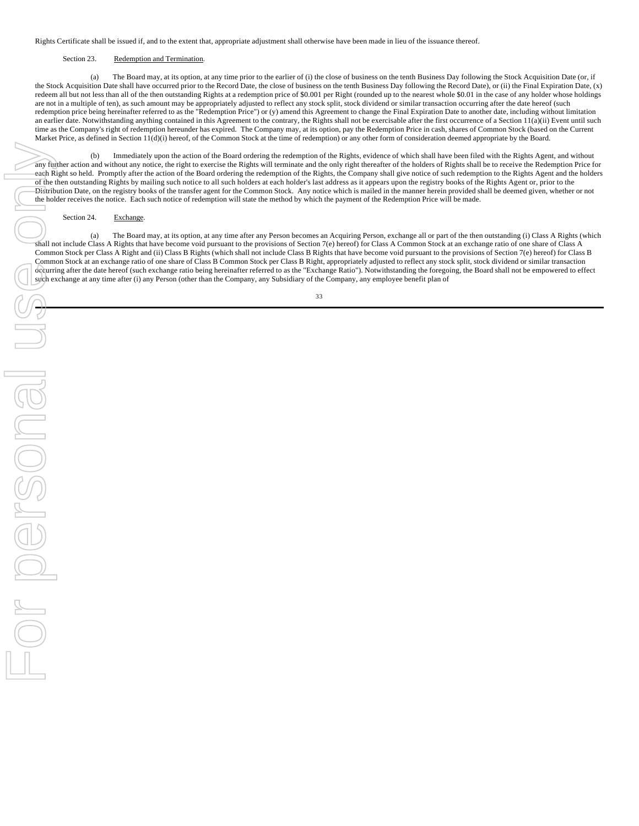Rights Certificate shall be issued if, and to the extent that, appropriate adjustment shall otherwise have been made in lieu of the issuance thereof.

## Section 23. Redemption and Termination.

(a) The Board may, at its option, at any time prior to the earlier of (i) the close of business on the tenth Business Day following the Stock Acquisition Date (or, if the Stock Acquisition Date shall have occurred prior to the Record Date, the close of business on the tenth Business Day following the Record Date), or (ii) the Final Expiration Date, (x) redeem all but not less than all of the then outstanding Rights at a redemption price of \$0.001 per Right (rounded up to the nearest whole \$0.01 in the case of any holder whose holdings are not in a multiple of ten), as such amount may be appropriately adjusted to reflect any stock split, stock dividend or similar transaction occurring after the date hereof (such redemption price being hereinafter referred to as the "Redemption Price") or (y) amend this Agreement to change the Final Expiration Date to another date, including without limitation an earlier date. Notwithstanding anything contained in this Agreement to the contrary, the Rights shall not be exercisable after the first occurrence of a Section 11(a)(ii) Event until such time as the Company's right of redemption hereunder has expired. The Company may, at its option, pay the Redemption Price in cash, shares of Common Stock (based on the Current Market Price, as defined in Section 11(d)(i) hereof, of the Common Stock at the time of redemption) or any other form of consideration deemed appropriate by the Board.

(b) Immediately upon the action of the Board ordering the redemption of the Rights, evidence of which shall have been filed with the Rights Agent, and without any further action and without any notice, the right to exercise the Rights will terminate and the only right thereafter of the holders of Rights shall be to receive the Redemption Price for each Right so held. Promptly after the action of the Board ordering the redemption of the Rights, the Company shall give notice of such redemption to the Rights Agent and the holders of the then outstanding Rights by mailing such notice to all such holders at each holder's last address as it appears upon the registry books of the Rights Agent or, prior to the Distribution Date, on the registry books of the transfer agent for the Common Stock. Any notice which is mailed in the manner herein provided shall be deemed given, whether or not the holder receives the notice. Each such notice of redemption will state the method by which the payment of the Redemption Price will be made.

## Section 24. Exchange.

(a) The Board may, at its option, at any time after any Person becomes an Acquiring Person, exchange all or part of the then outstanding (i) Class A Rights (which shall not include Class A Rights that have become void pursuant to the provisions of Section 7(e) hereof) for Class A Common Stock at an exchange ratio of one share of Class A Common Stock per Class A Right and (ii) Class B Rights (which shall not include Class B Rights that have become void pursuant to the provisions of Section 7(e) hereof) for Class B Common Stock at an exchange ratio of one share of Class B Common Stock per Class B Right, appropriately adjusted to reflect any stock split, stock dividend or similar transaction occurring after the date hereof (such exchange ratio being hereinafter referred to as the "Exchange Ratio"). Notwithstanding the foregoing, the Board shall not be empowered to effect such exchange at any time after (i) any Person (other than the Company, any Subsidiary of the Company, any employee benefit plan of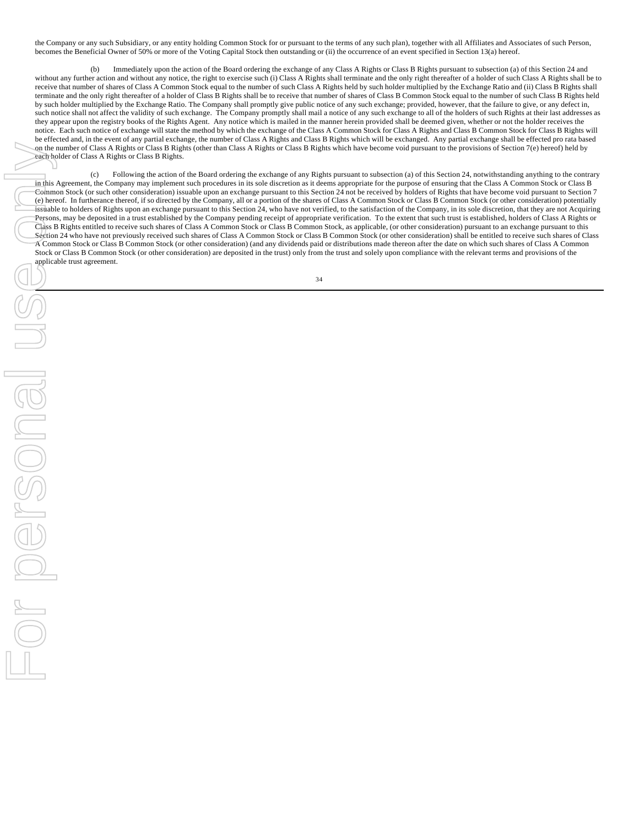the Company or any such Subsidiary, or any entity holding Common Stock for or pursuant to the terms of any such plan), together with all Affiliates and Associates of such Person, becomes the Beneficial Owner of 50% or more of the Voting Capital Stock then outstanding or (ii) the occurrence of an event specified in Section 13(a) hereof.

(b) Immediately upon the action of the Board ordering the exchange of any Class A Rights or Class B Rights pursuant to subsection (a) of this Section 24 and without any further action and without any notice, the right to exercise such (i) Class A Rights shall terminate and the only right thereafter of a holder of such Class A Rights shall be to receive that number of shares of Class A Common Stock equal to the number of such Class A Rights held by such holder multiplied by the Exchange Ratio and (ii) Class B Rights shall terminate and the only right thereafter of a holder of Class B Rights shall be to receive that number of shares of Class B Common Stock equal to the number of such Class B Rights held by such holder multiplied by the Exchange Ratio. The Company shall promptly give public notice of any such exchange; provided, however, that the failure to give, or any defect in, such notice shall not affect the validity of such exchange. The Company promptly shall mail a notice of any such exchange to all of the holders of such Rights at their last addresses as they appear upon the registry books of the Rights Agent. Any notice which is mailed in the manner herein provided shall be deemed given, whether or not the holder receives the notice. Each such notice of exchange will state the method by which the exchange of the Class A Common Stock for Class A Rights and Class B Common Stock for Class B Rights will be effected and, in the event of any partial exchange, the number of Class A Rights and Class B Rights which will be exchanged. Any partial exchange shall be effected pro rata based on the number of Class A Rights or Class B Rights (other than Class A Rights or Class B Rights which have become void pursuant to the provisions of Section 7(e) hereof) held by each holder of Class A Rights or Class B Rights.

(c) Following the action of the Board ordering the exchange of any Rights pursuant to subsection (a) of this Section 24, notwithstanding anything to the contrary in this Agreement, the Company may implement such procedures in its sole discretion as it deems appropriate for the purpose of ensuring that the Class A Common Stock or Class B Common Stock (or such other consideration) issuable upon an exchange pursuant to this Section 24 not be received by holders of Rights that have become void pursuant to Section 7 (e) hereof. In furtherance thereof, if so directed by the Company, all or a portion of the shares of Class A Common Stock or Class B Common Stock (or other consideration) potentially issuable to holders of Rights upon an exchange pursuant to this Section 24, who have not verified, to the satisfaction of the Company, in its sole discretion, that they are not Acquiring Persons, may be deposited in a trust established by the Company pending receipt of appropriate verification. To the extent that such trust is established, holders of Class A Rights or Class B Rights entitled to receive such shares of Class A Common Stock or Class B Common Stock, as applicable, (or other consideration) pursuant to an exchange pursuant to this Section 24 who have not previously received such shares of Class A Common Stock or Class B Common Stock (or other consideration) shall be entitled to receive such shares of Class A Common Stock or Class B Common Stock (or other consideration) (and any dividends paid or distributions made thereon after the date on which such shares of Class A Common Stock or Class B Common Stock (or other consideration) are deposited in the trust) only from the trust and solely upon compliance with the relevant terms and provisions of the applicable trust agreement.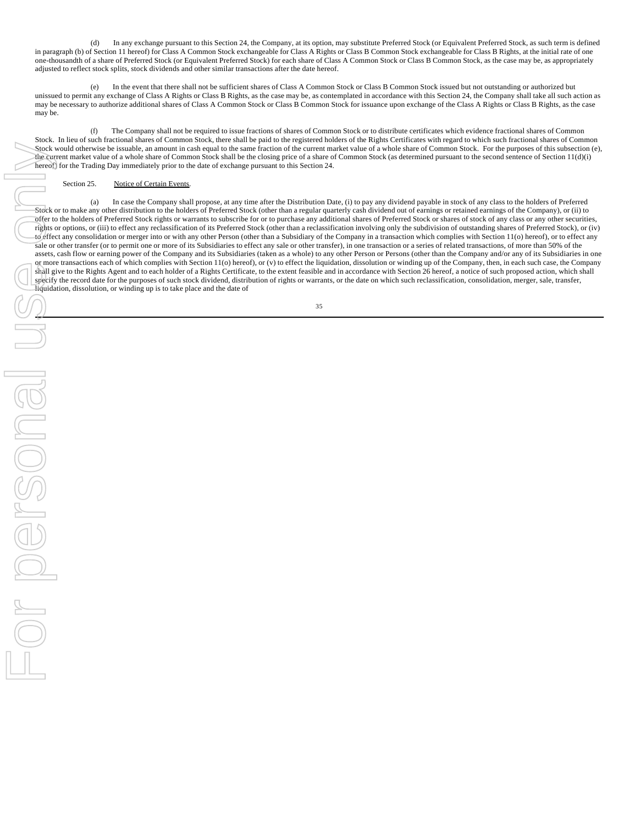(d) In any exchange pursuant to this Section 24, the Company, at its option, may substitute Preferred Stock (or Equivalent Preferred Stock, as such term is defined in paragraph (b) of Section 11 hereof) for Class A Common Stock exchangeable for Class A Rights or Class B Common Stock exchangeable for Class B Rights, at the initial rate of one one-thousandth of a share of Preferred Stock (or Equivalent Preferred Stock) for each share of Class A Common Stock or Class B Common Stock, as the case may be, as appropriately adjusted to reflect stock splits, stock dividends and other similar transactions after the date hereof.

(e) In the event that there shall not be sufficient shares of Class A Common Stock or Class B Common Stock issued but not outstanding or authorized but unissued to permit any exchange of Class A Rights or Class B Rights, as the case may be, as contemplated in accordance with this Section 24, the Company shall take all such action as may be necessary to authorize additional shares of Class A Common Stock or Class B Common Stock for issuance upon exchange of the Class A Rights or Class B Rights, as the case may be.

(f) The Company shall not be required to issue fractions of shares of Common Stock or to distribute certificates which evidence fractional shares of Common Stock. In lieu of such fractional shares of Common Stock, there shall be paid to the registered holders of the Rights Certificates with regard to which such fractional shares of Common Stock would otherwise be issuable, an amount in cash equal to the same fraction of the current market value of a whole share of Common Stock. For the purposes of this subsection (e), the current market value of a whole share of Common Stock shall be the closing price of a share of Common Stock (as determined pursuant to the second sentence of Section 11(d)(i) hereof) for the Trading Day immediately prior to the date of exchange pursuant to this Section 24.

## Section 25. Notice of Certain Events.

(a) In case the Company shall propose, at any time after the Distribution Date, (i) to pay any dividend payable in stock of any class to the holders of Preferred Stock or to make any other distribution to the holders of Preferred Stock (other than a regular quarterly cash dividend out of earnings or retained earnings of the Company), or (ii) to offer to the holders of Preferred Stock rights or warrants to subscribe for or to purchase any additional shares of Preferred Stock or shares of stock of any class or any other securities, rights or options, or (iii) to effect any reclassification of its Preferred Stock (other than a reclassification involving only the subdivision of outstanding shares of Preferred Stock), or (iv) to effect any consolidation or merger into or with any other Person (other than a Subsidiary of the Company in a transaction which complies with Section 11(o) hereof), or to effect any sale or other transfer (or to permit one or more of its Subsidiaries to effect any sale or other transfer), in one transaction or a series of related transactions, of more than 50% of the assets, cash flow or earning power of the Company and its Subsidiaries (taken as a whole) to any other Person or Persons (other than the Company and/or any of its Subsidiaries in one or more transactions each of which complies with Section 11(o) hereof), or (v) to effect the liquidation, dissolution or winding up of the Company, then, in each such case, the Company shall give to the Rights Agent and to each holder of a Rights Certificate, to the extent feasible and in accordance with Section 26 hereof, a notice of such proposed action, which shall specify the record date for the purposes of such stock dividend, distribution of rights or warrants, or the date on which such reclassification, consolidation, merger, sale, transfer, liquidation, dissolution, or winding up is to take place and the date of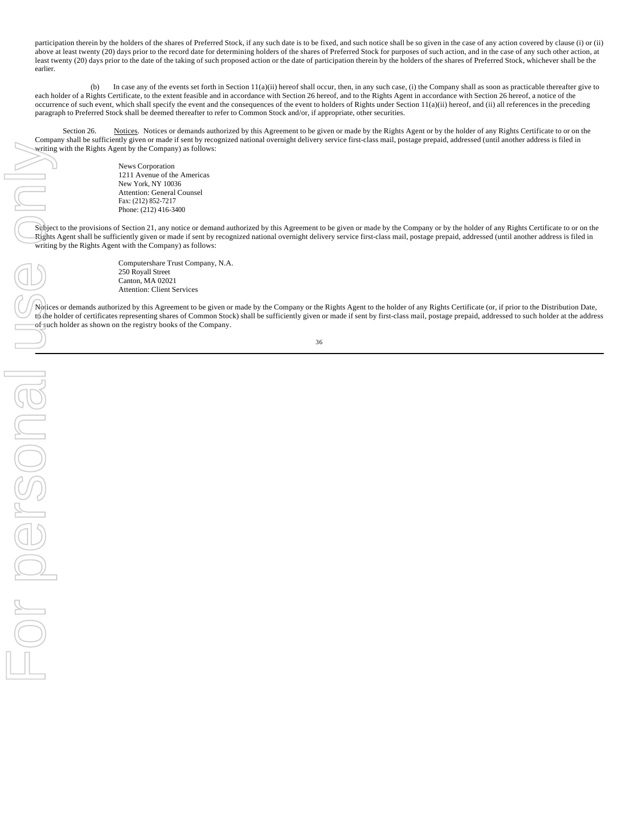participation therein by the holders of the shares of Preferred Stock, if any such date is to be fixed, and such notice shall be so given in the case of any action covered by clause (i) or (ii) above at least twenty (20) days prior to the record date for determining holders of the shares of Preferred Stock for purposes of such action, and in the case of any such other action, at least twenty (20) days prior to the date of the taking of such proposed action or the date of participation therein by the holders of the shares of Preferred Stock, whichever shall be the earlier.

(b) In case any of the events set forth in Section 11(a)(ii) hereof shall occur, then, in any such case, (i) the Company shall as soon as practicable thereafter give to each holder of a Rights Certificate, to the extent feasible and in accordance with Section 26 hereof, and to the Rights Agent in accordance with Section 26 hereof, a notice of the occurrence of such event, which shall specify the event and the consequences of the event to holders of Rights under Section 11(a)(ii) hereof, and (ii) all references in the preceding paragraph to Preferred Stock shall be deemed thereafter to refer to Common Stock and/or, if appropriate, other securities.

Section 26. Notices. Notices or demands authorized by this Agreement to be given or made by the Rights Agent or by the holder of any Rights Certificate to or on the Company shall be sufficiently given or made if sent by recognized national overnight delivery service first-class mail, postage prepaid, addressed (until another address is filed in writing with the Rights Agent by the Company) as follows:

> News Corporation 1211 Avenue of the Americas New York, NY 10036 Attention: General Counsel Fax: (212) 852-7217 Phone: (212) 416-3400

Subject to the provisions of Section 21, any notice or demand authorized by this Agreement to be given or made by the Company or by the holder of any Rights Certificate to or on the Rights Agent shall be sufficiently given or made if sent by recognized national overnight delivery service first-class mail, postage prepaid, addressed (until another address is filed in writing by the Rights Agent with the Company) as follows:

For personal use onlyFOR PORSONS

Computershare Trust Company, N.A. 250 Royall Street Canton, MA 02021 Attention: Client Services

Notices or demands authorized by this Agreement to be given or made by the Company or the Rights Agent to the holder of any Rights Certificate (or, if prior to the Distribution Date, to the holder of certificates representing shares of Common Stock) shall be sufficiently given or made if sent by first-class mail, postage prepaid, addressed to such holder at the address of such holder as shown on the registry books of the Company.

36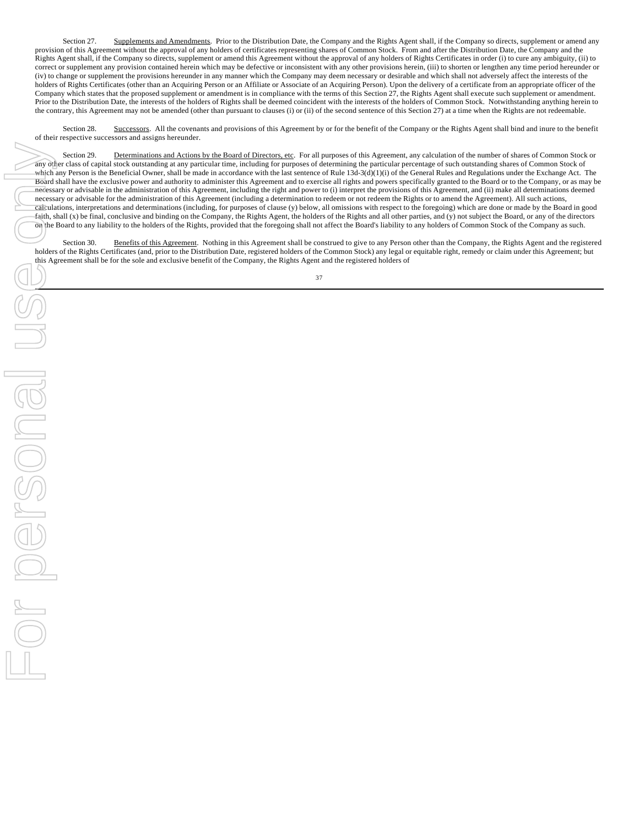Section 27. Supplements and Amendments. Prior to the Distribution Date, the Company and the Rights Agent shall, if the Company so directs, supplement or amend any provision of this Agreement without the approval of any holders of certificates representing shares of Common Stock. From and after the Distribution Date, the Company and the Rights Agent shall, if the Company so directs, supplement or amend this Agreement without the approval of any holders of Rights Certificates in order (i) to cure any ambiguity, (ii) to correct or supplement any provision contained herein which may be defective or inconsistent with any other provisions herein, (iii) to shorten or lengthen any time period hereunder or (iv) to change or supplement the provisions hereunder in any manner which the Company may deem necessary or desirable and which shall not adversely affect the interests of the holders of Rights Certificates (other than an Acquiring Person or an Affiliate or Associate of an Acquiring Person). Upon the delivery of a certificate from an appropriate officer of the Company which states that the proposed supplement or amendment is in compliance with the terms of this Section 27, the Rights Agent shall execute such supplement or amendment. Prior to the Distribution Date, the interests of the holders of Rights shall be deemed coincident with the interests of the holders of Common Stock. Notwithstanding anything herein to the contrary, this Agreement may not be amended (other than pursuant to clauses (i) or (ii) of the second sentence of this Section 27) at a time when the Rights are not redeemable.

Section 28. Successors. All the covenants and provisions of this Agreement by or for the benefit of the Company or the Rights Agent shall bind and inure to the benefit of their respective successors and assigns hereunder.

Section 29. Determinations and Actions by the Board of Directors, etc. For all purposes of this Agreement, any calculation of the number of shares of Common Stock or any other class of capital stock outstanding at any particular time, including for purposes of determining the particular percentage of such outstanding shares of Common Stock of which any Person is the Beneficial Owner, shall be made in accordance with the last sentence of Rule 13d-3(d)(1)(i) of the General Rules and Regulations under the Exchange Act. The Board shall have the exclusive power and authority to administer this Agreement and to exercise all rights and powers specifically granted to the Board or to the Company, or as may be necessary or advisable in the administration of this Agreement, including the right and power to (i) interpret the provisions of this Agreement, and (ii) make all determinations deemed necessary or advisable for the administration of this Agreement (including a determination to redeem or not redeem the Rights or to amend the Agreement). All such actions, calculations, interpretations and determinations (including, for purposes of clause (y) below, all omissions with respect to the foregoing) which are done or made by the Board in good faith, shall (x) be final, conclusive and binding on the Company, the Rights Agent, the holders of the Rights and all other parties, and (y) not subject the Board, or any of the directors on the Board to any liability to the holders of the Rights, provided that the foregoing shall not affect the Board's liability to any holders of Common Stock of the Company as such.

Section 30. Benefits of this Agreement. Nothing in this Agreement shall be construed to give to any Person other than the Company, the Rights Agent and the registered holders of the Rights Certificates (and, prior to the Distribution Date, registered holders of the Common Stock) any legal or equitable right, remedy or claim under this Agreement; but this Agreement shall be for the sole and exclusive benefit of the Company, the Rights Agent and the registered holders of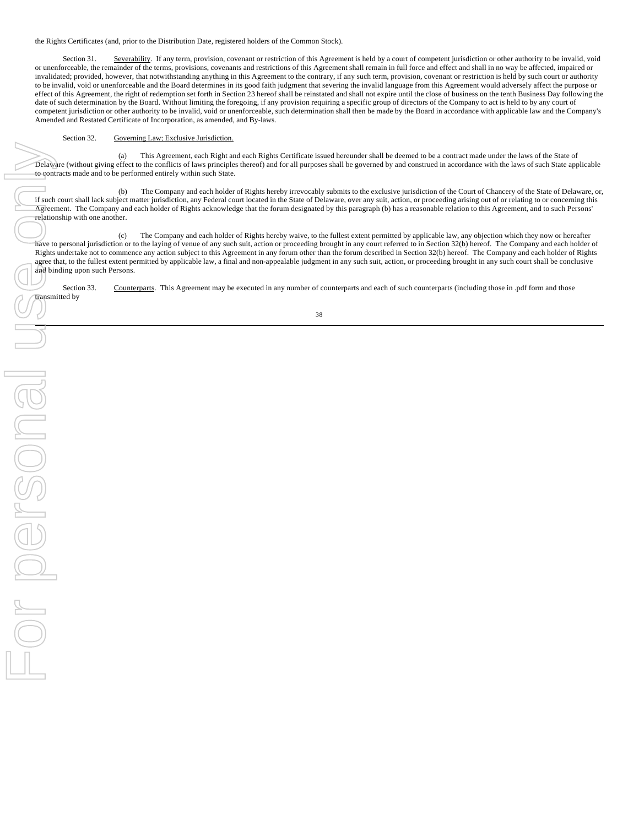the Rights Certificates (and, prior to the Distribution Date, registered holders of the Common Stock).

Section 31. Severability. If any term, provision, covenant or restriction of this Agreement is held by a court of competent jurisdiction or other authority to be invalid, void or unenforceable, the remainder of the terms, provisions, covenants and restrictions of this Agreement shall remain in full force and effect and shall in no way be affected, impaired or invalidated; provided, however, that notwithstanding anything in this Agreement to the contrary, if any such term, provision, covenant or restriction is held by such court or authority to be invalid, void or unenforceable and the Board determines in its good faith judgment that severing the invalid language from this Agreement would adversely affect the purpose or effect of this Agreement, the right of redemption set forth in Section 23 hereof shall be reinstated and shall not expire until the close of business on the tenth Business Day following the date of such determination by the Board. Without limiting the foregoing, if any provision requiring a specific group of directors of the Company to act is held to by any court of competent jurisdiction or other authority to be invalid, void or unenforceable, such determination shall then be made by the Board in accordance with applicable law and the Company's Amended and Restated Certificate of Incorporation, as amended, and By-laws.

# Section 32. Governing Law; Exclusive Jurisdiction.

This Agreement, each Right and each Rights Certificate issued hereunder shall be deemed to be a contract made under the laws of the State of Delaware (without giving effect to the conflicts of laws principles thereof) and for all purposes shall be governed by and construed in accordance with the laws of such State applicable to contracts made and to be performed entirely within such State.

(b) The Company and each holder of Rights hereby irrevocably submits to the exclusive jurisdiction of the Court of Chancery of the State of Delaware, or, if such court shall lack subject matter jurisdiction, any Federal court located in the State of Delaware, over any suit, action, or proceeding arising out of or relating to or concerning this Agreement. The Company and each holder of Rights acknowledge that the forum designated by this paragraph (b) has a reasonable relation to this Agreement, and to such Persons' relationship with one another.

(c) The Company and each holder of Rights hereby waive, to the fullest extent permitted by applicable law, any objection which they now or hereafter have to personal jurisdiction or to the laying of venue of any such suit, action or proceeding brought in any court referred to in Section 32(b) hereof. The Company and each holder of Rights undertake not to commence any action subject to this Agreement in any forum other than the forum described in Section 32(b) hereof. The Company and each holder of Rights agree that, to the fullest extent permitted by applicable law, a final and non-appealable judgment in any such suit, action, or proceeding brought in any such court shall be conclusive and binding upon such Persons.

Section 33. Counterparts. This Agreement may be executed in any number of counterparts and each of such counterparts (including those in .pdf form and those transmitted by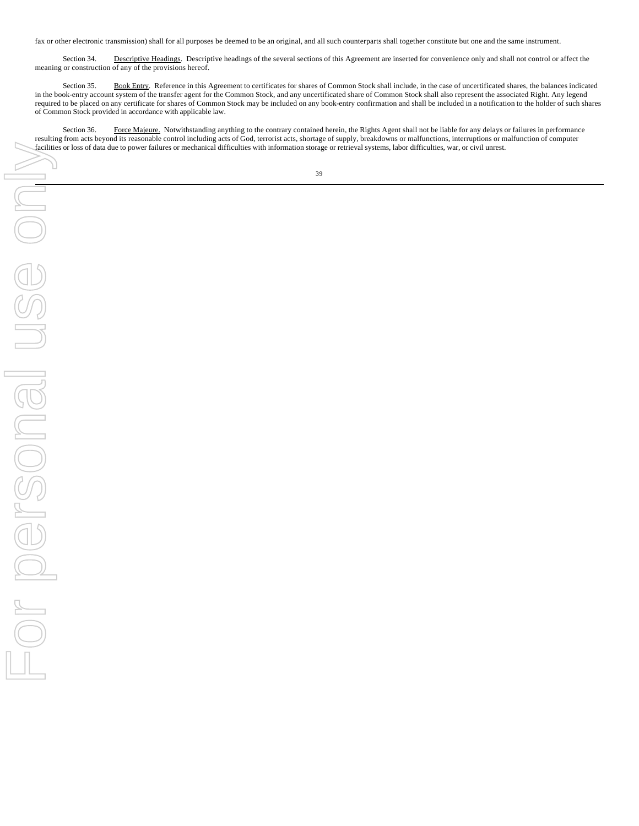fax or other electronic transmission) shall for all purposes be deemed to be an original, and all such counterparts shall together constitute but one and the same instrument.

Section 34. Descriptive Headings. Descriptive headings of the several sections of this Agreement are inserted for convenience only and shall not control or affect the meaning or construction of any of the provisions hereof.

Section 35. Book Entry. Reference in this Agreement to certificates for shares of Common Stock shall include, in the case of uncertificated shares, the balances indicated in the book-entry account system of the transfer agent for the Common Stock, and any uncertificated share of Common Stock shall also represent the associated Right. Any legend required to be placed on any certificate for shares of Common Stock may be included on any book-entry confirmation and shall be included in a notification to the holder of such shares of Common Stock provided in accordance with applicable law.

Section 36. Force Majeure. Notwithstanding anything to the contrary contained herein, the Rights Agent shall not be liable for any delays or failures in performance resulting from acts beyond its reasonable control including acts of God, terrorist acts, shortage of supply, breakdowns or malfunctions, interruptions or malfunction of computer facilities or loss of data due to power failures or mechanical difficulties with information storage or retrieval systems, labor difficulties, war, or civil unrest.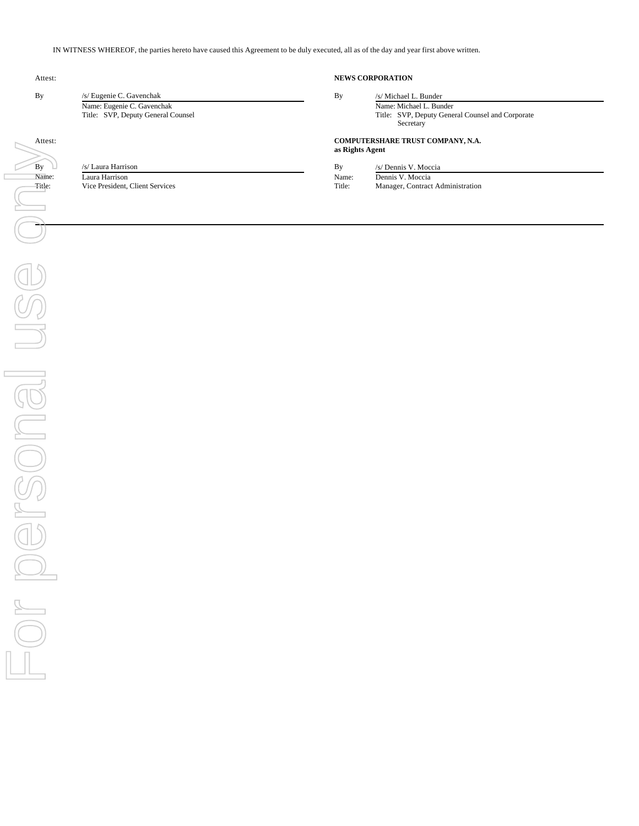IN WITNESS WHEREOF, the parties hereto have caused this Agreement to be duly executed, all as of the day and year first above written.

By /s/ Eugenie C. Gavenchak Name: Eugenie C. Gavenchak Title: SVP, Deputy General Counsel

# Attest: **NEWS CORPORATION**

| By | /s/ Michael L. Bunder                            |  |  |  |
|----|--------------------------------------------------|--|--|--|
|    | Name: Michael L. Bunder                          |  |  |  |
|    | Title: SVP, Deputy General Counsel and Corporate |  |  |  |
|    | Secretary                                        |  |  |  |

# Attest: **COMPUTERSHARE TRUST COMPANY, N.A.**

**as Rights Agent**

| By     | /s/ Laura Harrison              | Bv     | /s/ Dennis V. Moccia             |
|--------|---------------------------------|--------|----------------------------------|
| Name:  | Laura Harrison                  | Name:  | Dennis V. Moccia                 |
| Title: | Vice President, Client Services | Title: | Manager, Contract Administration |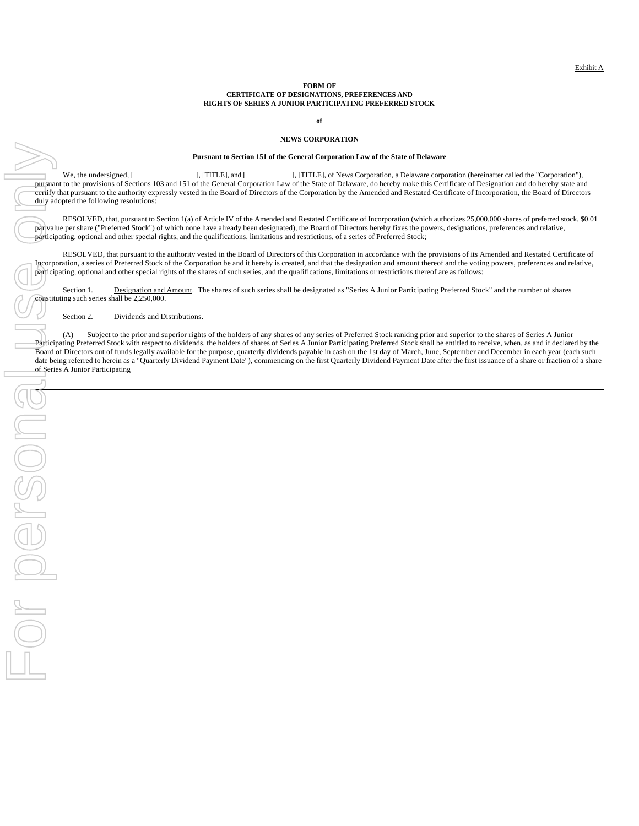#### **FORM OF CERTIFICATE OF DESIGNATIONS, PREFERENCES AND RIGHTS OF SERIES A JUNIOR PARTICIPATING PREFERRED STOCK**

**of**

## **NEWS CORPORATION**

## **Pursuant to Section 151 of the General Corporation Law of the State of Delaware**

We, the undersigned, [ ], [TITLE], and [ ], [TITLE], of News Corporation, a Delaware corporation (hereinafter called the "Corporation"), pursuant to the provisions of Sections 103 and 151 of the General Corporation Law of the State of Delaware, do hereby make this Certificate of Designation and do hereby state and certify that pursuant to the authority expressly vested in the Board of Directors of the Corporation by the Amended and Restated Certificate of Incorporation, the Board of Directors duly adopted the following resolutions:

RESOLVED, that, pursuant to Section 1(a) of Article IV of the Amended and Restated Certificate of Incorporation (which authorizes 25,000,000 shares of preferred stock, \$0.01 par value per share ("Preferred Stock") of which none have already been designated), the Board of Directors hereby fixes the powers, designations, preferences and relative, participating, optional and other special rights, and the qualifications, limitations and restrictions, of a series of Preferred Stock;

RESOLVED, that pursuant to the authority vested in the Board of Directors of this Corporation in accordance with the provisions of its Amended and Restated Certificate of Incorporation, a series of Preferred Stock of the Corporation be and it hereby is created, and that the designation and amount thereof and the voting powers, preferences and relative, participating, optional and other special rights of the shares of such series, and the qualifications, limitations or restrictions thereof are as follows:

Section 1. Designation and Amount. The shares of such series shall be designated as "Series A Junior Participating Preferred Stock" and the number of shares constituting such series shall be 2,250,000.

Section 2. Dividends and Distributions.

(A) Subject to the prior and superior rights of the holders of any shares of any series of Preferred Stock ranking prior and superior to the shares of Series A Junior Participating Preferred Stock with respect to dividends, the holders of shares of Series A Junior Participating Preferred Stock shall be entitled to receive, when, as and if declared by the Board of Directors out of funds legally available for the purpose, quarterly dividends payable in cash on the 1st day of March, June, September and December in each year (each such date being referred to herein as a "Quarterly Dividend Payment Date"), commencing on the first Quarterly Dividend Payment Date after the first issuance of a share or fraction of a share  $\sigma$  fraction of a share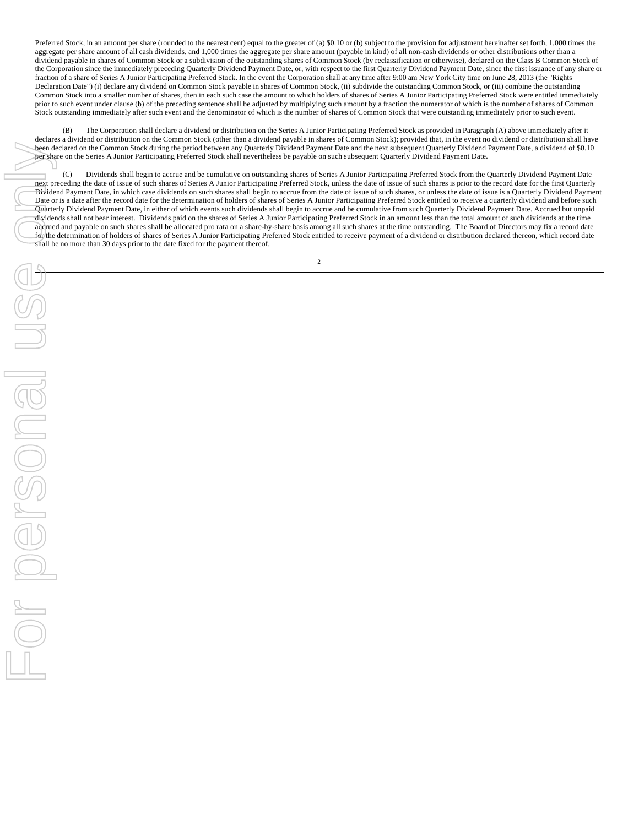Preferred Stock, in an amount per share (rounded to the nearest cent) equal to the greater of (a) \$0.10 or (b) subject to the provision for adjustment hereinafter set forth, 1,000 times the aggregate per share amount of all cash dividends, and 1,000 times the aggregate per share amount (payable in kind) of all non-cash dividends or other distributions other than a dividend payable in shares of Common Stock or a subdivision of the outstanding shares of Common Stock (by reclassification or otherwise), declared on the Class B Common Stock of the Corporation since the immediately preceding Quarterly Dividend Payment Date, or, with respect to the first Quarterly Dividend Payment Date, since the first issuance of any share or fraction of a share of Series A Junior Participating Preferred Stock. In the event the Corporation shall at any time after 9:00 am New York City time on June 28, 2013 (the "Rights Declaration Date") (i) declare any dividend on Common Stock payable in shares of Common Stock, (ii) subdivide the outstanding Common Stock, or (iii) combine the outstanding Common Stock into a smaller number of shares, then in each such case the amount to which holders of shares of Series A Junior Participating Preferred Stock were entitled immediately prior to such event under clause (b) of the preceding sentence shall be adjusted by multiplying such amount by a fraction the numerator of which is the number of shares of Common Stock outstanding immediately after such event and the denominator of which is the number of shares of Common Stock that were outstanding immediately prior to such event.

(B) The Corporation shall declare a dividend or distribution on the Series A Junior Participating Preferred Stock as provided in Paragraph (A) above immediately after it declares a dividend or distribution on the Common Stock (other than a dividend payable in shares of Common Stock); provided that, in the event no dividend or distribution shall have been declared on the Common Stock during the period between any Quarterly Dividend Payment Date and the next subsequent Quarterly Dividend Payment Date, a dividend of \$0.10 per share on the Series A Junior Participating Preferred Stock shall nevertheless be payable on such subsequent Quarterly Dividend Payment Date.

(C) Dividends shall begin to accrue and be cumulative on outstanding shares of Series A Junior Participating Preferred Stock from the Quarterly Dividend Payment Date next preceding the date of issue of such shares of Series A Junior Participating Preferred Stock, unless the date of issue of such shares is prior to the record date for the first Quarterly Dividend Payment Date, in which case dividends on such shares shall begin to accrue from the date of issue of such shares, or unless the date of issue is a Quarterly Dividend Payment Date or is a date after the record date for the determination of holders of shares of Series A Junior Participating Preferred Stock entitled to receive a quarterly dividend and before such Quarterly Dividend Payment Date, in either of which events such dividends shall begin to accrue and be cumulative from such Quarterly Dividend Payment Date. Accrued but unpaid dividends shall not bear interest. Dividends paid on the shares of Series A Junior Participating Preferred Stock in an amount less than the total amount of such dividends at the time accrued and payable on such shares shall be allocated pro rata on a share-by-share basis among all such shares at the time outstanding. The Board of Directors may fix a record date for the determination of holders of shares of Series A Junior Participating Preferred Stock entitled to receive payment of a dividend or distribution declared thereon, which record date shall be no more than 30 days prior to the date fixed for the payment thereof.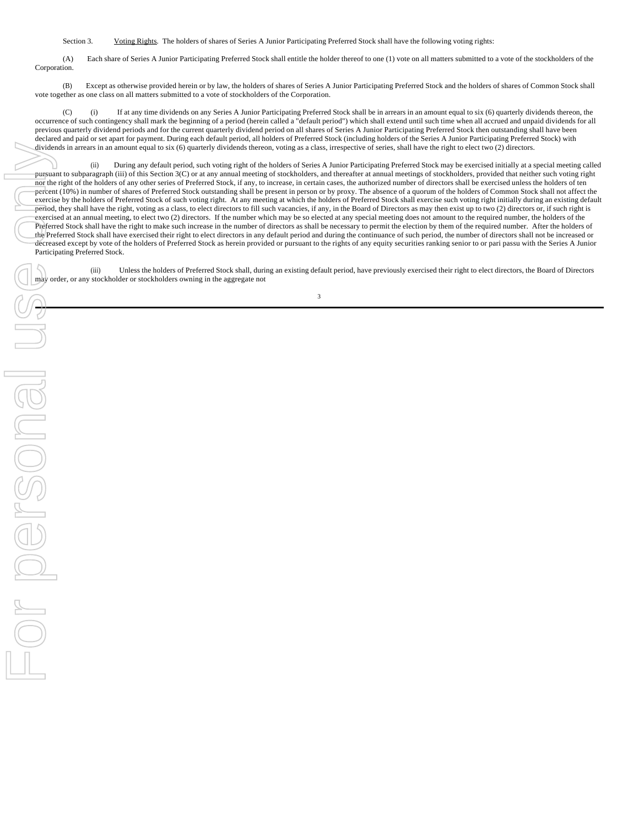Section 3. Voting Rights. The holders of shares of Series A Junior Participating Preferred Stock shall have the following voting rights:

(A) Each share of Series A Junior Participating Preferred Stock shall entitle the holder thereof to one (1) vote on all matters submitted to a vote of the stockholders of the Corporation.

(B) Except as otherwise provided herein or by law, the holders of shares of Series A Junior Participating Preferred Stock and the holders of shares of Common Stock shall vote together as one class on all matters submitted to a vote of stockholders of the Corporation.

(C) (i) If at any time dividends on any Series A Junior Participating Preferred Stock shall be in arrears in an amount equal to six (6) quarterly dividends thereon, the occurrence of such contingency shall mark the beginning of a period (herein called a "default period") which shall extend until such time when all accrued and unpaid dividends for all previous quarterly dividend periods and for the current quarterly dividend period on all shares of Series A Junior Participating Preferred Stock then outstanding shall have been declared and paid or set apart for payment. During each default period, all holders of Preferred Stock (including holders of the Series A Junior Participating Preferred Stock) with dividends in arrears in an amount equal to six (6) quarterly dividends thereon, voting as a class, irrespective of series, shall have the right to elect two (2) directors.

(ii) During any default period, such voting right of the holders of Series A Junior Participating Preferred Stock may be exercised initially at a special meeting called pursuant to subparagraph (iii) of this Section 3(C) or at any annual meeting of stockholders, and thereafter at annual meetings of stockholders, provided that neither such voting right nor the right of the holders of any other series of Preferred Stock, if any, to increase, in certain cases, the authorized number of directors shall be exercised unless the holders of ten percent (10%) in number of shares of Preferred Stock outstanding shall be present in person or by proxy. The absence of a quorum of the holders of Common Stock shall not affect the exercise by the holders of Preferred Stock of such voting right. At any meeting at which the holders of Preferred Stock shall exercise such voting right initially during an existing default period, they shall have the right, voting as a class, to elect directors to fill such vacancies, if any, in the Board of Directors as may then exist up to two (2) directors or, if such right is exercised at an annual meeting, to elect two (2) directors. If the number which may be so elected at any special meeting does not amount to the required number, the holders of the Preferred Stock shall have the right to make such increase in the number of directors as shall be necessary to permit the election by them of the required number. After the holders of the Preferred Stock shall have exercised their right to elect directors in any default period and during the continuance of such period, the number of directors shall not be increased or decreased except by vote of the holders of Preferred Stock as herein provided or pursuant to the rights of any equity securities ranking senior to or pari passu with the Series A Junior Participating Preferred Stock.

(iii) Unless the holders of Preferred Stock shall, during an existing default period, have previously exercised their right to elect directors, the Board of Directors may order, or any stockholder or stockholders owning in the aggregate not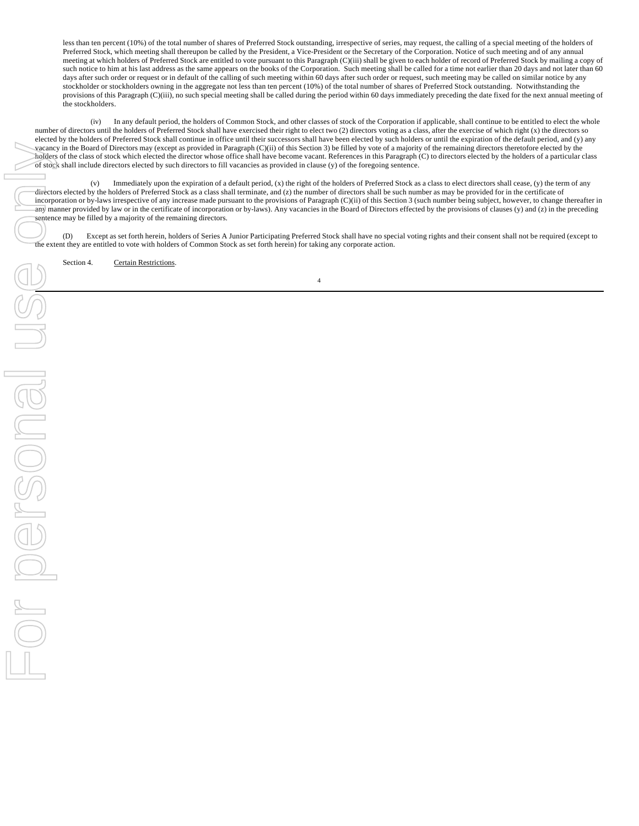less than ten percent (10%) of the total number of shares of Preferred Stock outstanding, irrespective of series, may request, the calling of a special meeting of the holders of Preferred Stock, which meeting shall thereupon be called by the President, a Vice-President or the Secretary of the Corporation. Notice of such meeting and of any annual meeting at which holders of Preferred Stock are entitled to vote pursuant to this Paragraph (C)(iii) shall be given to each holder of record of Preferred Stock by mailing a copy of such notice to him at his last address as the same appears on the books of the Corporation. Such meeting shall be called for a time not earlier than 20 days and not later than 60 days after such order or request or in default of the calling of such meeting within 60 days after such order or request, such meeting may be called on similar notice by any stockholder or stockholders owning in the aggregate not less than ten percent (10%) of the total number of shares of Preferred Stock outstanding. Notwithstanding the provisions of this Paragraph (C)(iii), no such special meeting shall be called during the period within 60 days immediately preceding the date fixed for the next annual meeting of the stockholders.

(iv) In any default period, the holders of Common Stock, and other classes of stock of the Corporation if applicable, shall continue to be entitled to elect the whole number of directors until the holders of Preferred Stock shall have exercised their right to elect two (2) directors voting as a class, after the exercise of which right (x) the directors so elected by the holders of Preferred Stock shall continue in office until their successors shall have been elected by such holders or until the expiration of the default period, and (y) any vacancy in the Board of Directors may (except as provided in Paragraph (C)(ii) of this Section 3) be filled by vote of a majority of the remaining directors theretofore elected by the holders of the class of stock which elected the director whose office shall have become vacant. References in this Paragraph (C) to directors elected by the holders of a particular class of stock shall include directors elected by such directors to fill vacancies as provided in clause (y) of the foregoing sentence.

(v) Immediately upon the expiration of a default period, (x) the right of the holders of Preferred Stock as a class to elect directors shall cease, (y) the term of any directors elected by the holders of Preferred Stock as a class shall terminate, and (z) the number of directors shall be such number as may be provided for in the certificate of incorporation or by-laws irrespective of any increase made pursuant to the provisions of Paragraph (C)(ii) of this Section 3 (such number being subject, however, to change thereafter in any manner provided by law or in the certificate of incorporation or by-laws). Any vacancies in the Board of Directors effected by the provisions of clauses (y) and (z) in the preceding sentence may be filled by a majority of the remaining directors.

(D) Except as set forth herein, holders of Series A Junior Participating Preferred Stock shall have no special voting rights and their consent shall not be required (except to the extent they are entitled to vote with holders of Common Stock as set forth herein) for taking any corporate action.

Section 4. Certain Restrictions.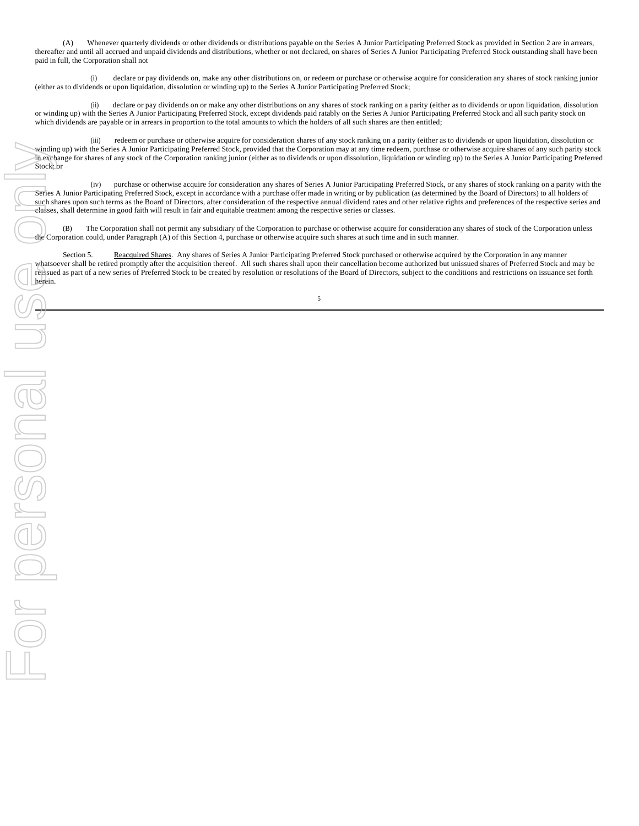(A) Whenever quarterly dividends or other dividends or distributions payable on the Series A Junior Participating Preferred Stock as provided in Section 2 are in arrears, thereafter and until all accrued and unpaid dividends and distributions, whether or not declared, on shares of Series A Junior Participating Preferred Stock outstanding shall have been paid in full, the Corporation shall not

 (i) declare or pay dividends on, make any other distributions on, or redeem or purchase or otherwise acquire for consideration any shares of stock ranking junior (either as to dividends or upon liquidation, dissolution or winding up) to the Series A Junior Participating Preferred Stock;

(ii) declare or pay dividends on or make any other distributions on any shares of stock ranking on a parity (either as to dividends or upon liquidation, dissolution or winding up) with the Series A Junior Participating Preferred Stock, except dividends paid ratably on the Series A Junior Participating Preferred Stock and all such parity stock on which dividends are payable or in arrears in proportion to the total amounts to which the holders of all such shares are then entitled;

(iii) redeem or purchase or otherwise acquire for consideration shares of any stock ranking on a parity (either as to dividends or upon liquidation, dissolution or winding up) with the Series A Junior Participating Preferred Stock, provided that the Corporation may at any time redeem, purchase or otherwise acquire shares of any such parity stock in exchange for shares of any stock of the Corporation ranking junior (either as to dividends or upon dissolution, liquidation or winding up) to the Series A Junior Participating Preferred Stock; or

(iv) purchase or otherwise acquire for consideration any shares of Series A Junior Participating Preferred Stock, or any shares of stock ranking on a parity with the Series A Junior Participating Preferred Stock, except in accordance with a purchase offer made in writing or by publication (as determined by the Board of Directors) to all holders of such shares upon such terms as the Board of Directors, after consideration of the respective annual dividend rates and other relative rights and preferences of the respective series and classes, shall determine in good faith will result in fair and equitable treatment among the respective series or classes.

(B) The Corporation shall not permit any subsidiary of the Corporation to purchase or otherwise acquire for consideration any shares of stock of the Corporation unless the Corporation could, under Paragraph (A) of this Section 4, purchase or otherwise acquire such shares at such time and in such manner.

Section 5. Reacquired Shares. Any shares of Series A Junior Participating Preferred Stock purchased or otherwise acquired by the Corporation in any manner whatsoever shall be retired promptly after the acquisition thereof. All such shares shall upon their cancellation become authorized but unissued shares of Preferred Stock and may be reissued as part of a new series of Preferred Stock to be created by resolution or resolutions of the Board of Directors, subject to the conditions and restrictions on issuance set forth

5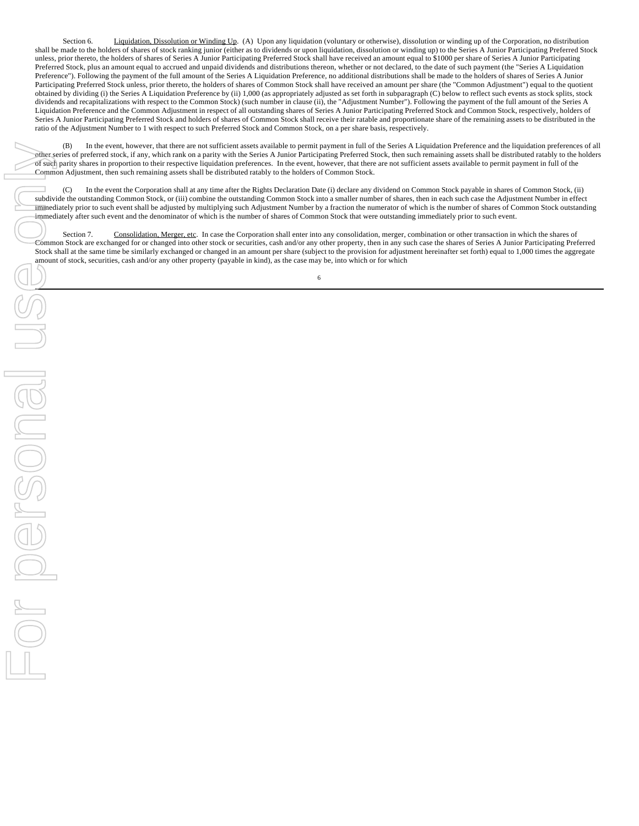Section 6. Liquidation, Dissolution or Winding Up. (A) Upon any liquidation (voluntary or otherwise), dissolution or winding up of the Corporation, no distribution shall be made to the holders of shares of stock ranking junior (either as to dividends or upon liquidation, dissolution or winding up) to the Series A Junior Participating Preferred Stock unless, prior thereto, the holders of shares of Series A Junior Participating Preferred Stock shall have received an amount equal to \$1000 per share of Series A Junior Participating Preferred Stock, plus an amount equal to accrued and unpaid dividends and distributions thereon, whether or not declared, to the date of such payment (the "Series A Liquidation Preference"). Following the payment of the full amount of the Series A Liquidation Preference, no additional distributions shall be made to the holders of shares of Series A Junior Participating Preferred Stock unless, prior thereto, the holders of shares of Common Stock shall have received an amount per share (the "Common Adjustment") equal to the quotient obtained by dividing (i) the Series A Liquidation Preference by (ii) 1,000 (as appropriately adjusted as set forth in subparagraph (C) below to reflect such events as stock splits, stock dividends and recapitalizations with respect to the Common Stock) (such number in clause (ii), the "Adjustment Number"). Following the payment of the full amount of the Series A Liquidation Preference and the Common Adjustment in respect of all outstanding shares of Series A Junior Participating Preferred Stock and Common Stock, respectively, holders of Series A Junior Participating Preferred Stock and holders of shares of Common Stock shall receive their ratable and proportionate share of the remaining assets to be distributed in the ratio of the Adjustment Number to 1 with respect to such Preferred Stock and Common Stock, on a per share basis, respectively.

(B) In the event, however, that there are not sufficient assets available to permit payment in full of the Series A Liquidation Preference and the liquidation preferences of all other series of preferred stock, if any, which rank on a parity with the Series A Junior Participating Preferred Stock, then such remaining assets shall be distributed ratably to the holders of such parity shares in proportion to their respective liquidation preferences. In the event, however, that there are not sufficient assets available to permit payment in full of the Common Adjustment, then such remaining assets shall be distributed ratably to the holders of Common Stock.

(C) In the event the Corporation shall at any time after the Rights Declaration Date (i) declare any dividend on Common Stock payable in shares of Common Stock, (ii) subdivide the outstanding Common Stock, or (iii) combine the outstanding Common Stock into a smaller number of shares, then in each such case the Adjustment Number in effect immediately prior to such event shall be adjusted by multiplying such Adjustment Number by a fraction the numerator of which is the number of shares of Common Stock outstanding immediately after such event and the denominator of which is the number of shares of Common Stock that were outstanding immediately prior to such event.

Section 7. Consolidation, Merger, etc. In case the Corporation shall enter into any consolidation, merger, combination or other transaction in which the shares of Common Stock are exchanged for or changed into other stock or securities, cash and/or any other property, then in any such case the shares of Series A Junior Participating Preferred Stock shall at the same time be similarly exchanged or changed in an amount per share (subject to the provision for adjustment hereinafter set forth) equal to 1,000 times the aggregate amount of stock, securities, cash and/or any other property (payable in kind), as the case may be, into which or for which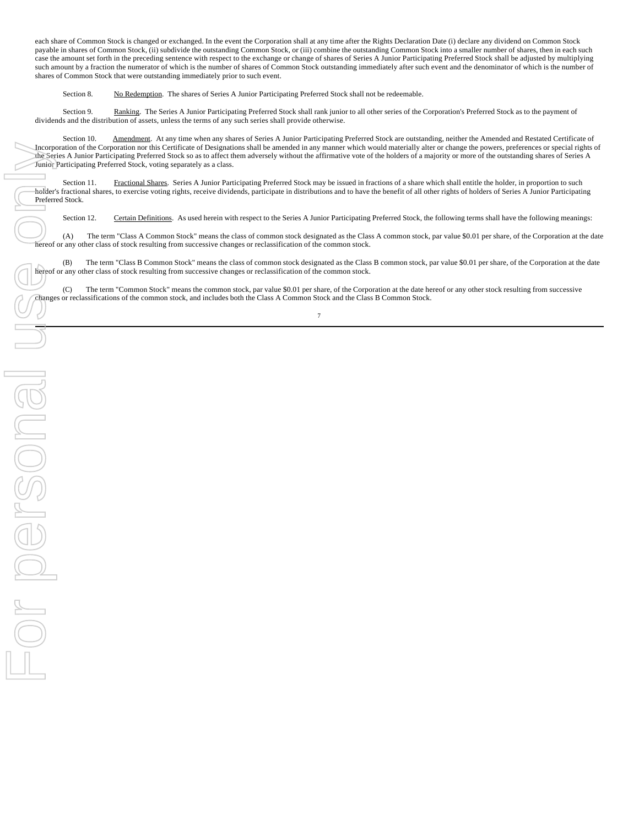each share of Common Stock is changed or exchanged. In the event the Corporation shall at any time after the Rights Declaration Date (i) declare any dividend on Common Stock payable in shares of Common Stock, (ii) subdivide the outstanding Common Stock, or (iii) combine the outstanding Common Stock into a smaller number of shares, then in each such case the amount set forth in the preceding sentence with respect to the exchange or change of shares of Series A Junior Participating Preferred Stock shall be adjusted by multiplying such amount by a fraction the numerator of which is the number of shares of Common Stock outstanding immediately after such event and the denominator of which is the number of shares of Common Stock that were outstanding immediately prior to such event.

Section 8. No Redemption. The shares of Series A Junior Participating Preferred Stock shall not be redeemable.

Section 9. Ranking. The Series A Junior Participating Preferred Stock shall rank junior to all other series of the Corporation's Preferred Stock as to the payment of dividends and the distribution of assets, unless the terms of any such series shall provide otherwise.

Section 10. Amendment. At any time when any shares of Series A Junior Participating Preferred Stock are outstanding, neither the Amended and Restated Certificate of Incorporation of the Corporation nor this Certificate of Designations shall be amended in any manner which would materially alter or change the powers, preferences or special rights of the Series A Junior Participating Preferred Stock so as to affect them adversely without the affirmative vote of the holders of a majority or more of the outstanding shares of Series A Junior Participating Preferred Stock, voting separately as a class.

Section 11. Fractional Shares. Series A Junior Participating Preferred Stock may be issued in fractions of a share which shall entitle the holder, in proportion to such holder's fractional shares, to exercise voting rights, receive dividends, participate in distributions and to have the benefit of all other rights of holders of Series A Junior Participating Preferred Stock.

Section 12. Certain Definitions. As used herein with respect to the Series A Junior Participating Preferred Stock, the following terms shall have the following meanings:

(A) The term "Class A Common Stock" means the class of common stock designated as the Class A common stock, par value \$0.01 per share, of the Corporation at the date hereof or any other class of stock resulting from successive changes or reclassification of the common stock.

(B) The term "Class B Common Stock" means the class of common stock designated as the Class B common stock, par value \$0.01 per share, of the Corporation at the date hereof or any other class of stock resulting from successive changes or reclassification of the common stock.

(C) The term "Common Stock" means the common stock, par value \$0.01 per share, of the Corporation at the date hereof or any other stock resulting from successive changes or reclassifications of the common stock, and includes both the Class A Common Stock and the Class B Common Stock.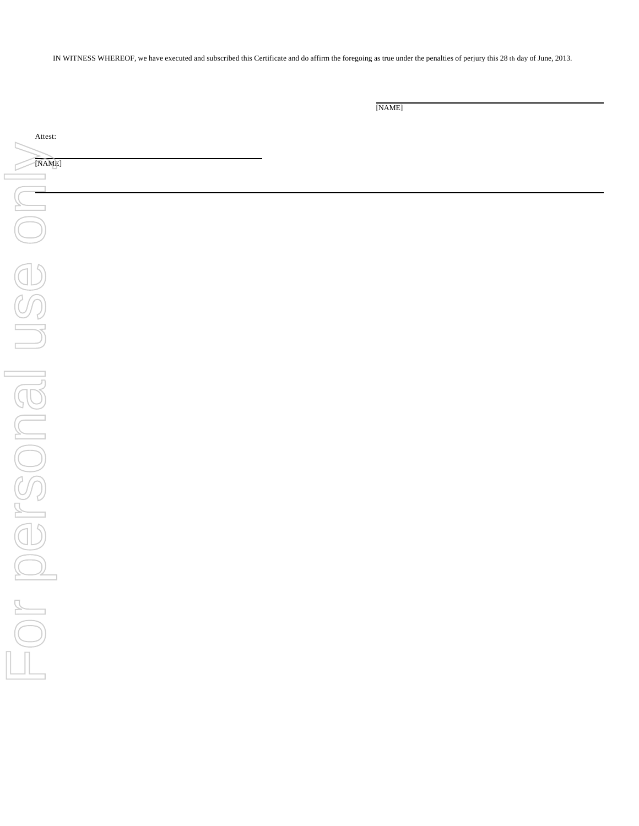IN WITNESS WHEREOF, we have executed and subscribed this Certificate and do affirm the foregoing as true under the penalties of perjury this 28 th day of June, 2013.

[NAME]

Attest: For personal use only  $[NAME]$  $\sim$  1 For personal use on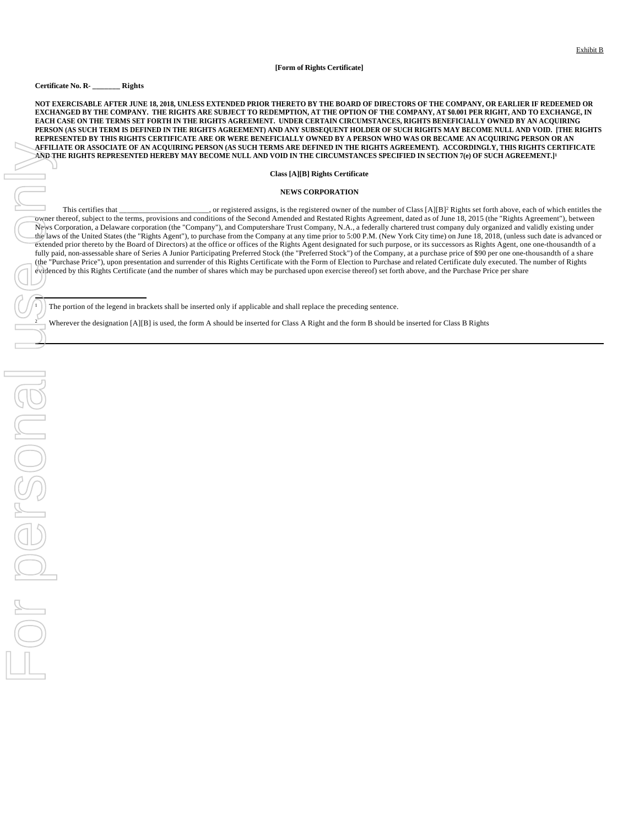#### **[Form of Rights Certificate]**

## **Certificate No. R- \_\_\_\_\_\_\_ Rights**

**NOT EXERCISABLE AFTER JUNE 18, 2018, UNLESS EXTENDED PRIOR THERETO BY THE BOARD OF DIRECTORS OF THE COMPANY, OR EARLIER IF REDEEMED OR EXCHANGED BY THE COMPANY. THE RIGHTS ARE SUBJECT TO REDEMPTION, AT THE OPTION OF THE COMPANY, AT \$0.001 PER RIGHT, AND TO EXCHANGE, IN EACH CASE ON THE TERMS SET FORTH IN THE RIGHTS AGREEMENT. UNDER CERTAIN CIRCUMSTANCES, RIGHTS BENEFICIALLY OWNED BY AN ACQUIRING PERSON (AS SUCH TERM IS DEFINED IN THE RIGHTS AGREEMENT) AND ANY SUBSEQUENT HOLDER OF SUCH RIGHTS MAY BECOME NULL AND VOID. [THE RIGHTS REPRESENTED BY THIS RIGHTS CERTIFICATE ARE OR WERE BENEFICIALLY OWNED BY A PERSON WHO WAS OR BECAME AN ACQUIRING PERSON OR AN AFFILIATE OR ASSOCIATE OF AN ACQUIRING PERSON (AS SUCH TERMS ARE DEFINED IN THE RIGHTS AGREEMENT). ACCORDINGLY, THIS RIGHTS CERTIFICATE AND THE RIGHTS REPRESENTED HEREBY MAY BECOME NULL AND VOID IN THE CIRCUMSTANCES SPECIFIED IN SECTION 7(e) OF SUCH AGREEMENT.]<sup>1</sup>**

## **Class [A][B] Rights Certificate**

#### **NEWS CORPORATION**

This certifies that \_\_\_\_\_\_\_\_\_\_\_\_\_\_\_\_\_\_\_\_\_\_, or registered assigns, is the registered owner of the number of Class [A][B]<sup>2</sup> Rights set forth above, each of which entitles the owner thereof, subject to the terms, provisions and conditions of the Second Amended and Restated Rights Agreement, dated as of June 18, 2015 (the "Rights Agreement"), between News Corporation, a Delaware corporation (the "Company"), and Computershare Trust Company, N.A., a federally chartered trust company duly organized and validly existing under the laws of the United States (the "Rights Agent"), to purchase from the Company at any time prior to 5:00 P.M. (New York City time) on June 18, 2018, (unless such date is advanced or extended prior thereto by the Board of Directors) at the office or offices of the Rights Agent designated for such purpose, or its successors as Rights Agent, one one-thousandth of a fully paid, non-assessable share of Series A Junior Participating Preferred Stock (the "Preferred Stock") of the Company, at a purchase price of \$90 per one one-thousandth of a share (the "Purchase Price"), upon presentation and surrender of this Rights Certificate with the Form of Election to Purchase and related Certificate duly executed. The number of Rights evidenced by this Rights Certificate (and the number of shares which may be purchased upon exercise thereof) set forth above, and the Purchase Price per share 2 Wherever the designation [A][B] is used, the form A should be inserted for Class A Right and the form B should be inserted for Class B Rights For personal use only

<sup>1</sup> The portion of the legend in brackets shall be inserted only if applicable and shall replace the preceding sentence.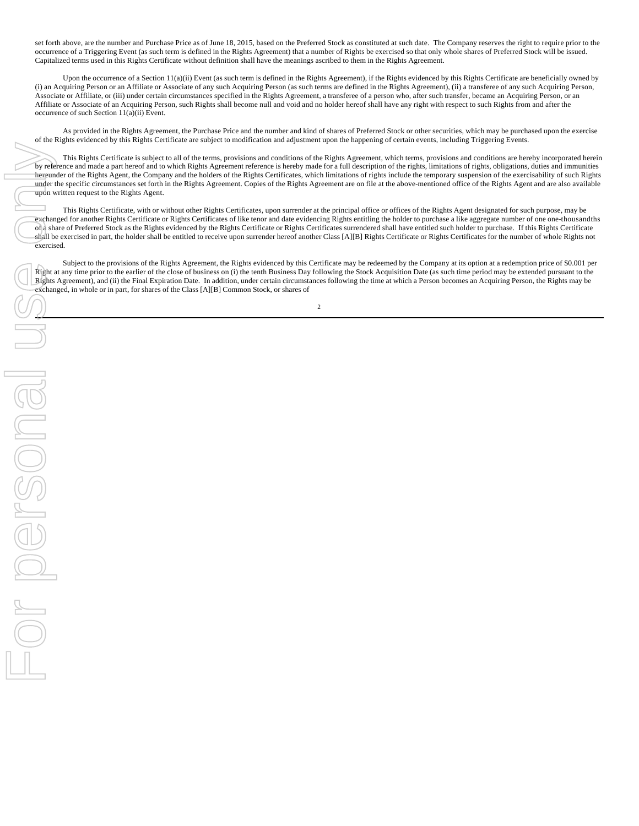set forth above, are the number and Purchase Price as of June 18, 2015, based on the Preferred Stock as constituted at such date. The Company reserves the right to require prior to the occurrence of a Triggering Event (as such term is defined in the Rights Agreement) that a number of Rights be exercised so that only whole shares of Preferred Stock will be issued. Capitalized terms used in this Rights Certificate without definition shall have the meanings ascribed to them in the Rights Agreement.

Upon the occurrence of a Section 11(a)(ii) Event (as such term is defined in the Rights Agreement), if the Rights evidenced by this Rights Certificate are beneficially owned by (i) an Acquiring Person or an Affiliate or Associate of any such Acquiring Person (as such terms are defined in the Rights Agreement), (ii) a transferee of any such Acquiring Person, Associate or Affiliate, or (iii) under certain circumstances specified in the Rights Agreement, a transferee of a person who, after such transfer, became an Acquiring Person, or an Affiliate or Associate of an Acquiring Person, such Rights shall become null and void and no holder hereof shall have any right with respect to such Rights from and after the occurrence of such Section 11(a)(ii) Event.

As provided in the Rights Agreement, the Purchase Price and the number and kind of shares of Preferred Stock or other securities, which may be purchased upon the exercise of the Rights evidenced by this Rights Certificate are subject to modification and adjustment upon the happening of certain events, including Triggering Events.

This Rights Certificate is subject to all of the terms, provisions and conditions of the Rights Agreement, which terms, provisions and conditions are hereby incorporated herein by reference and made a part hereof and to which Rights Agreement reference is hereby made for a full description of the rights, limitations of rights, obligations, duties and immunities hereunder of the Rights Agent, the Company and the holders of the Rights Certificates, which limitations of rights include the temporary suspension of the exercisability of such Rights under the specific circumstances set forth in the Rights Agreement. Copies of the Rights Agreement are on file at the above-mentioned office of the Rights Agent and are also available upon written request to the Rights Agent.

This Rights Certificate, with or without other Rights Certificates, upon surrender at the principal office or offices of the Rights Agent designated for such purpose, may be exchanged for another Rights Certificate or Rights Certificates of like tenor and date evidencing Rights entitling the holder to purchase a like aggregate number of one one-thousandths of a share of Preferred Stock as the Rights evidenced by the Rights Certificate or Rights Certificates surrendered shall have entitled such holder to purchase. If this Rights Certificate shall be exercised in part, the holder shall be entitled to receive upon surrender hereof another Class [A][B] Rights Certificate or Rights Certificates for the number of whole Rights not exercised.

Subject to the provisions of the Rights Agreement, the Rights evidenced by this Certificate may be redeemed by the Company at its option at a redemption price of \$0.001 per Right at any time prior to the earlier of the close of business on (i) the tenth Business Day following the Stock Acquisition Date (as such time period may be extended pursuant to the Rights Agreement), and (ii) the Final Expiration Date. In addition, under certain circumstances following the time at which a Person becomes an Acquiring Person, the Rights may be exchanged, in whole or in part, for shares of the Class [A][B] Common Stock, or shares of

2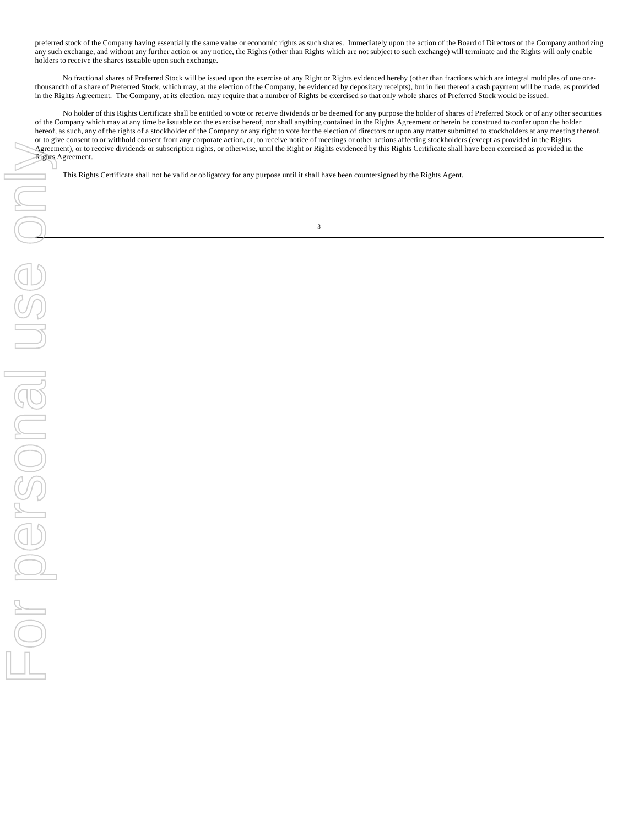preferred stock of the Company having essentially the same value or economic rights as such shares. Immediately upon the action of the Board of Directors of the Company authorizing any such exchange, and without any further action or any notice, the Rights (other than Rights which are not subject to such exchange) will terminate and the Rights will only enable holders to receive the shares issuable upon such exchange.

No fractional shares of Preferred Stock will be issued upon the exercise of any Right or Rights evidenced hereby (other than fractions which are integral multiples of one onethousandth of a share of Preferred Stock, which may, at the election of the Company, be evidenced by depositary receipts), but in lieu thereof a cash payment will be made, as provided in the Rights Agreement. The Company, at its election, may require that a number of Rights be exercised so that only whole shares of Preferred Stock would be issued.

No holder of this Rights Certificate shall be entitled to vote or receive dividends or be deemed for any purpose the holder of shares of Preferred Stock or of any other securities of the Company which may at any time be issuable on the exercise hereof, nor shall anything contained in the Rights Agreement or herein be construed to confer upon the holder hereof, as such, any of the rights of a stockholder of the Company or any right to vote for the election of directors or upon any matter submitted to stockholders at any meeting thereof, or to give consent to or withhold consent from any corporate action, or, to receive notice of meetings or other actions affecting stockholders (except as provided in the Rights Agreement), or to receive dividends or subscription rights, or otherwise, until the Right or Rights evidenced by this Rights Certificate shall have been exercised as provided in the Rights Agreement.

This Rights Certificate shall not be valid or obligatory for any purpose until it shall have been countersigned by the Rights Agent.

3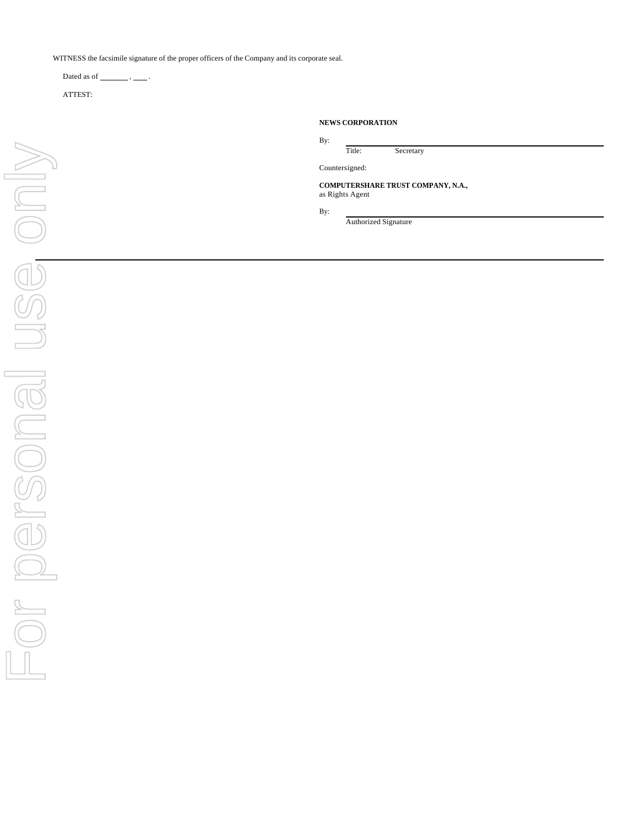WITNESS the facsimile signature of the proper officers of the Company and its corporate seal.

Dated as of  $\_\_\_\_\$ ,  $\_\_\_\$ .

ATTEST:

| <b>NEWS CORPORATION</b> |                                    |
|-------------------------|------------------------------------|
| By:                     |                                    |
| Title:                  | Secretary                          |
| Countersigned:          |                                    |
| as Rights Agent         | COMPUTERSHARE TRUST COMPANY, N.A., |

By:

Authorized Signature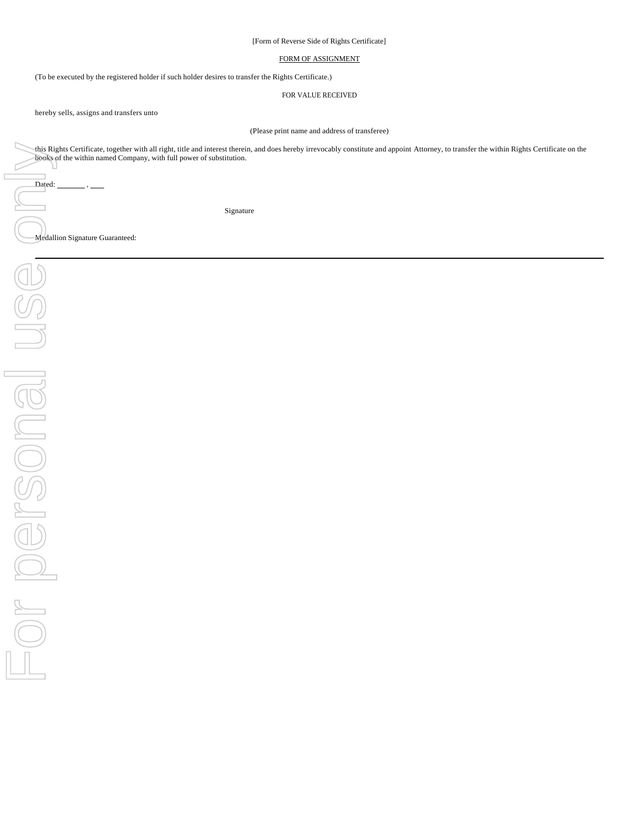[Form of Reverse Side of Rights Certificate]

# FORM OF ASSIGNMENT

(To be executed by the registered holder if such holder desires to transfer the Rights Certificate.)

FOR VALUE RECEIVED

hereby sells, assigns and transfers unto

(Please print name and address of transferee)

this Rights Certificate, together with all right, title and interest therein, and does hereby irrevocably constitute and appoint Attorney, to transfer the within Rights Certificate on the books of the within named Company, with full power of substitution.

Signature

Medallion Signature Guaranteed:

Dated: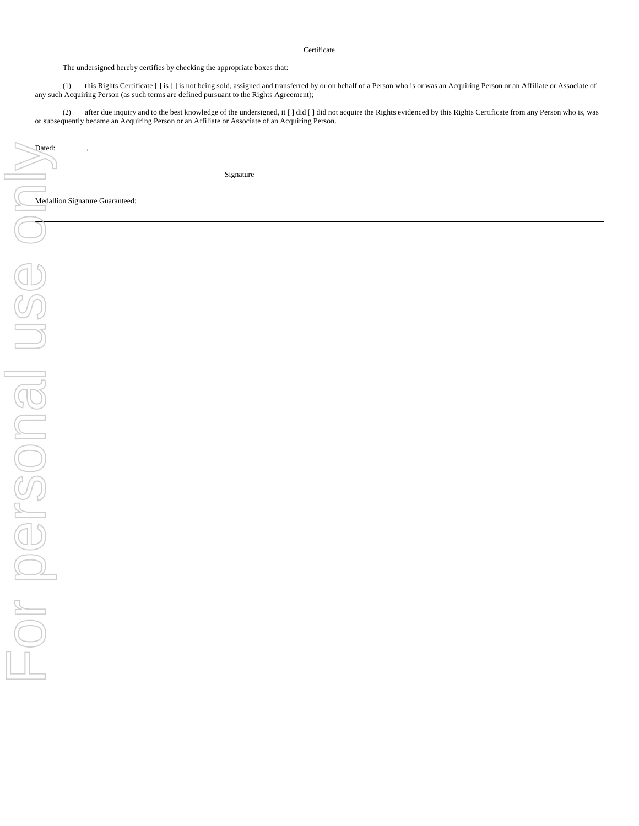# **Certificate**

The undersigned hereby certifies by checking the appropriate boxes that:

(1) this Rights Certificate [] is [] is not being sold, assigned and transferred by or on behalf of a Person who is or was an Acquiring Person or an Affiliate or Associate of any such Acquiring Person (as such terms are defined pursuant to the Rights Agreement);

(2) after due inquiry and to the best knowledge of the undersigned, it [ ] did [ ] did not acquire the Rights evidenced by this Rights Certificate from any Person who is, was or subsequently became an Acquiring Person or an Affiliate or Associate of an Acquiring Person.

Signature

Medallion Signature Guaranteed: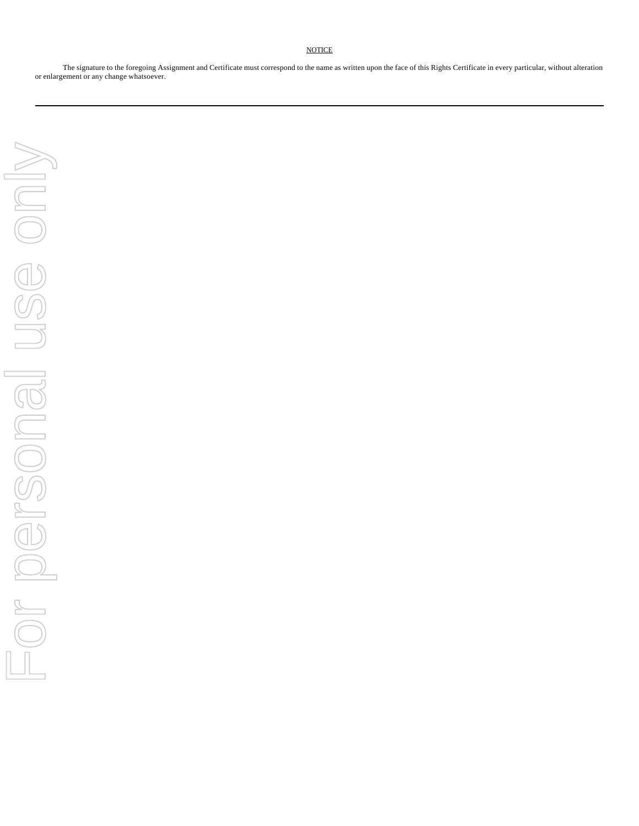The signature to the foregoing Assignment and Certificate must correspond to the name as written upon the face of this Rights Certificate in every particular, without alteration or enlargement or any change whatsoever.

**NOTICE**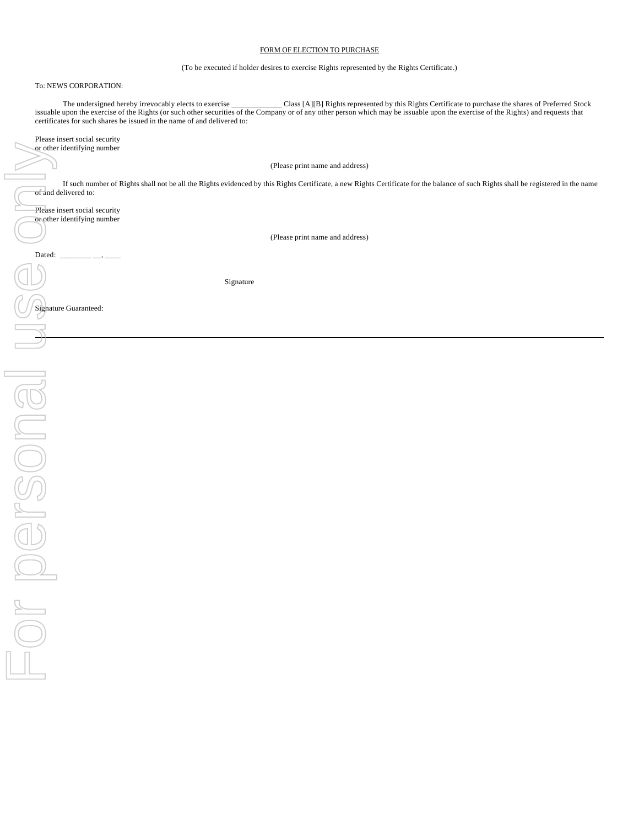## FORM OF ELECTION TO PURCHASE

(To be executed if holder desires to exercise Rights represented by the Rights Certificate.)

# To: NEWS CORPORATION:

The undersigned hereby irrevocably elects to exercise \_\_\_\_\_\_\_\_\_\_\_\_\_ Class [A][B] Rights represented by this Rights Certificate to purchase the shares of Preferred Stock issuable upon the exercise of the Rights (or such other securities of the Company or of any other person which may be issuable upon the exercise of the Rights) and requests that certificates for such shares be issued in the name of and delivered to:

| Please insert social security |  |
|-------------------------------|--|
| or other identifying number   |  |

(Please print name and address)

If such number of Rights shall not be all the Rights evidenced by this Rights Certificate, a new Rights Certificate for the balance of such Rights shall be registered in the name of and delivered to:

Please insert social security or other identifying number

(Please print name and address)

Signature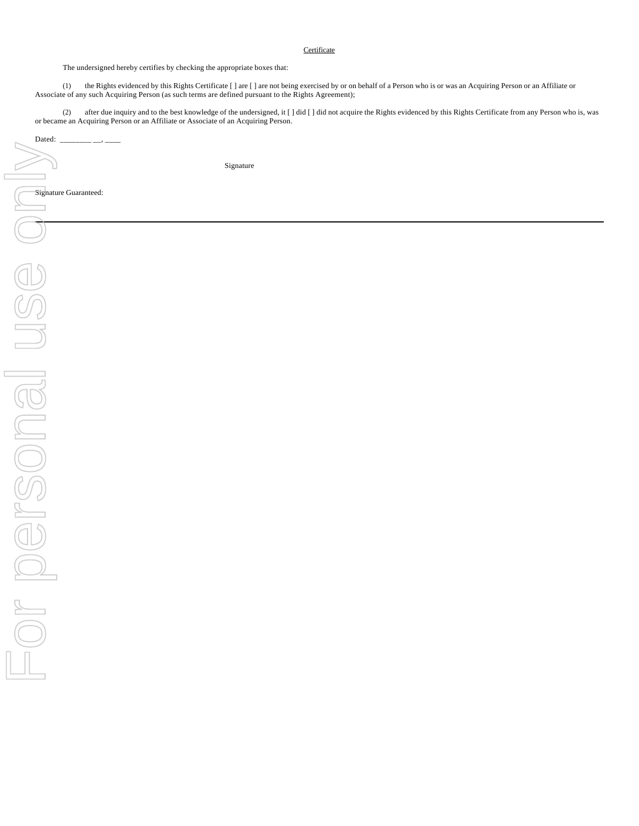# **Certificate**

The undersigned hereby certifies by checking the appropriate boxes that:

(1) the Rights evidenced by this Rights Certificate [ ] are [ ] are not being exercised by or on behalf of a Person who is or was an Acquiring Person or an Affiliate or Associate of any such Acquiring Person (as such terms are defined pursuant to the Rights Agreement);

(2) after due inquiry and to the best knowledge of the undersigned, it [ ] did [ ] did not acquire the Rights evidenced by this Rights Certificate from any Person who is, was or became an Acquiring Person or an Affiliate or Associate of an Acquiring Person.

Signature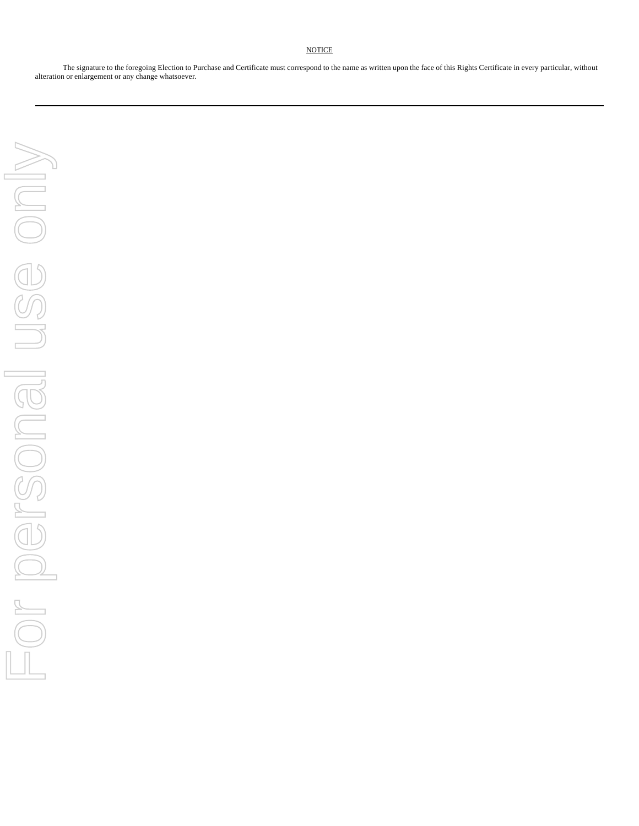# **NOTICE**

The signature to the foregoing Election to Purchase and Certificate must correspond to the name as written upon the face of this Rights Certificate in every particular, without alteration or enlargement or any change whatsoever.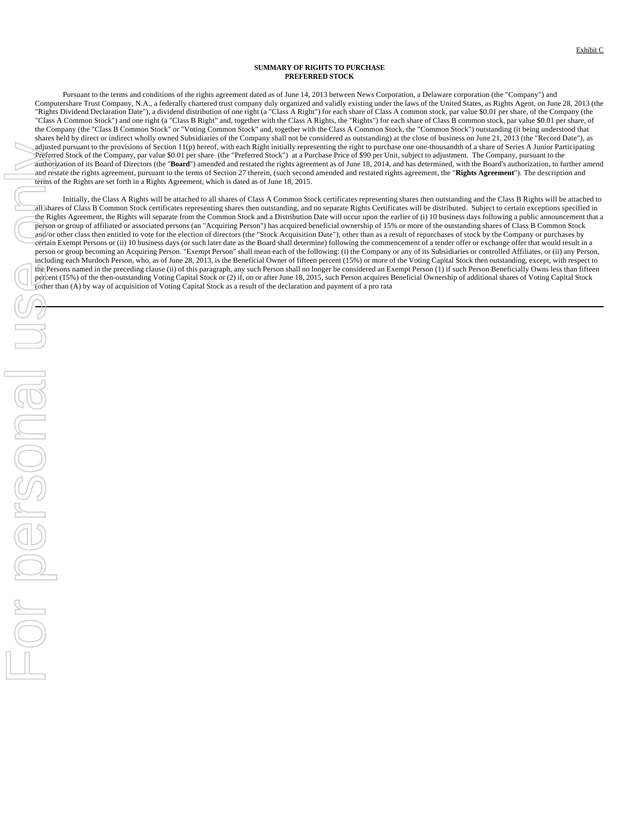## **SUMMARY OF RIGHTS TO PURCHASE PREFERRED STOCK**

Pursuant to the terms and conditions of the rights agreement dated as of June 14, 2013 between News Corporation, a Delaware corporation (the "Company") and Computershare Trust Company, N.A., a federally chartered trust company duly organized and validly existing under the laws of the United States, as Rights Agent, on June 28, 2013 (the "Rights Dividend Declaration Date"), a dividend distribution of one right (a "Class A Right") for each share of Class A common stock, par value \$0.01 per share, of the Company (the "Class A Common Stock") and one right (a "Class B Right" and, together with the Class A Rights, the "Rights") for each share of Class B common stock, par value \$0.01 per share, of the Company (the "Class B Common Stock" or "Voting Common Stock" and, together with the Class A Common Stock, the "Common Stock") outstanding (it being understood that shares held by direct or indirect wholly owned Subsidiaries of the Company shall not be considered as outstanding) at the close of business on June 21, 2013 (the "Record Date"), as adjusted pursuant to the provisions of Section 11(p) hereof, with each Right initially representing the right to purchase one one-thousandth of a share of Series A Junior Participating Preferred Stock of the Company, par value \$0.01 per share (the "Preferred Stock") at a Purchase Price of \$90 per Unit, subject to adjustment. The Company, pursuant to the authorization of its Board of Directors (the "Board") amended and restated the rights agreement as of June 18, 2014, and has determined, with the Board's authorization, to further amend and restate the rights agreement, pursuant to the terms of Section 27 therein, (such second amended and restated rights agreement, the "**Rights Agreement**"). The description and terms of the Rights are set forth in a Rights Agreement, which is dated as of June 18, 2015.

Initially, the Class A Rights will be attached to all shares of Class A Common Stock certificates representing shares then outstanding and the Class B Rights will be attached to all shares of Class B Common Stock certificates representing shares then outstanding, and no separate Rights Certificates will be distributed. Subject to certain exceptions specified in the Rights Agreement, the Rights will separate from the Common Stock and a Distribution Date will occur upon the earlier of (i) 10 business days following a public announcement that a person or group of affiliated or associated persons (an "Acquiring Person") has acquired beneficial ownership of 15% or more of the outstanding shares of Class B Common Stock and/or other class then entitled to vote for the election of directors (the "Stock Acquisition Date"), other than as a result of repurchases of stock by the Company or purchases by certain Exempt Persons or (ii) 10 business days (or such later date as the Board shall determine) following the commencement of a tender offer or exchange offer that would result in a person or group becoming an Acquiring Person. "Exempt Person" shall mean each of the following: (i) the Company or any of its Subsidiaries or controlled Affiliates, or (ii) any Person, including each Murdoch Person, who, as of June 28, 2013, is the Beneficial Owner of fifteen percent (15%) or more of the Voting Capital Stock then outstanding, except, with respect to the Persons named in the preceding clause (ii) of this paragraph, any such Person shall no longer be considered an Exempt Person (1) if such Person Beneficially Owns less than fifteen percent (15%) of the then-outstanding Voting Capital Stock or (2) if, on or after June 18, 2015, such Person acquires Beneficial Ownership of additional shares of Voting Capital Stock (other than (A) by way of acquisition (or distinguisition of Votinguisition of Votinguisition of Votinguisition of Votinguisition of Votinguisition of Votinguisition of Votinguisition of Votinguisition of Votinguisition and payment of the declaration and paym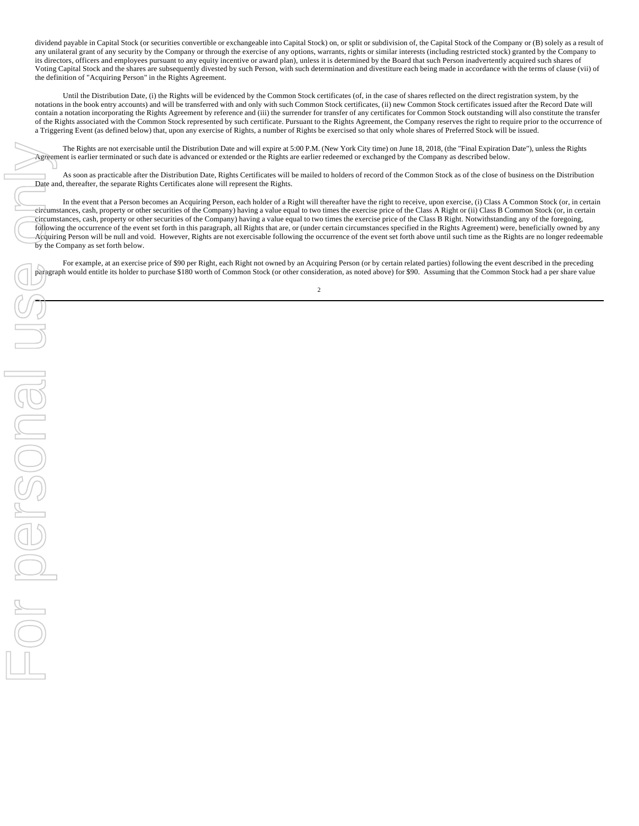dividend payable in Capital Stock (or securities convertible or exchangeable into Capital Stock) on, or split or subdivision of, the Capital Stock of the Company or (B) solely as a result of any unilateral grant of any security by the Company or through the exercise of any options, warrants, rights or similar interests (including restricted stock) granted by the Company to its directors, officers and employees pursuant to any equity incentive or award plan), unless it is determined by the Board that such Person inadvertently acquired such shares of Voting Capital Stock and the shares are subsequently divested by such Person, with such determination and divestiture each being made in accordance with the terms of clause (vii) of the definition of "Acquiring Person" in the Rights Agreement.

Until the Distribution Date, (i) the Rights will be evidenced by the Common Stock certificates (of, in the case of shares reflected on the direct registration system, by the notations in the book entry accounts) and will be transferred with and only with such Common Stock certificates, (ii) new Common Stock certificates issued after the Record Date will contain a notation incorporating the Rights Agreement by reference and (iii) the surrender for transfer of any certificates for Common Stock outstanding will also constitute the transfer of the Rights associated with the Common Stock represented by such certificate. Pursuant to the Rights Agreement, the Company reserves the right to require prior to the occurrence of a Triggering Event (as defined below) that, upon any exercise of Rights, a number of Rights be exercised so that only whole shares of Preferred Stock will be issued.

The Rights are not exercisable until the Distribution Date and will expire at 5:00 P.M. (New York City time) on June 18, 2018, (the "Final Expiration Date"), unless the Rights Agreement is earlier terminated or such date is advanced or extended or the Rights are earlier redeemed or exchanged by the Company as described below.

As soon as practicable after the Distribution Date, Rights Certificates will be mailed to holders of record of the Common Stock as of the close of business on the Distribution Date and, thereafter, the separate Rights Certificates alone will represent the Rights.

In the event that a Person becomes an Acquiring Person, each holder of a Right will thereafter have the right to receive, upon exercise, (i) Class A Common Stock (or, in certain circumstances, cash, property or other securities of the Company) having a value equal to two times the exercise price of the Class A Right or (ii) Class B Common Stock (or, in certain circumstances, cash, property or other securities of the Company) having a value equal to two times the exercise price of the Class B Right. Notwithstanding any of the foregoing, following the occurrence of the event set forth in this paragraph, all Rights that are, or (under certain circumstances specified in the Rights Agreement) were, beneficially owned by any Acquiring Person will be null and void. However, Rights are not exercisable following the occurrence of the event set forth above until such time as the Rights are no longer redeemable by the Company as set forth below.

For example, at an exercise price of \$90 per Right, each Right not owned by an Acquiring Person (or by certain related parties) following the event described in the preceding paragraph would entitle its holder to purchase \$180 worth of Common Stock (or other consideration, as noted above) for \$90. Assuming that the Common Stock had a per share value 2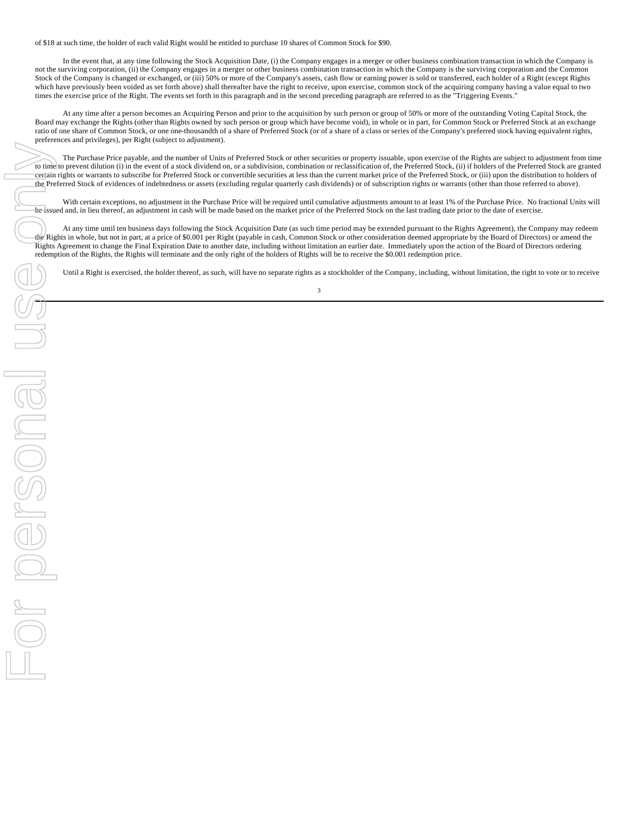of \$18 at such time, the holder of each valid Right would be entitled to purchase 10 shares of Common Stock for \$90.

In the event that, at any time following the Stock Acquisition Date, (i) the Company engages in a merger or other business combination transaction in which the Company is not the surviving corporation, (ii) the Company engages in a merger or other business combination transaction in which the Company is the surviving corporation and the Common Stock of the Company is changed or exchanged, or (iii) 50% or more of the Company's assets, cash flow or earning power is sold or transferred, each holder of a Right (except Rights which have previously been voided as set forth above) shall thereafter have the right to receive, upon exercise, common stock of the acquiring company having a value equal to two times the exercise price of the Right. The events set forth in this paragraph and in the second preceding paragraph are referred to as the "Triggering Events."

At any time after a person becomes an Acquiring Person and prior to the acquisition by such person or group of 50% or more of the outstanding Voting Capital Stock, the Board may exchange the Rights (other than Rights owned by such person or group which have become void), in whole or in part, for Common Stock or Preferred Stock at an exchange ratio of one share of Common Stock, or one one-thousandth of a share of Preferred Stock (or of a share of a class or series of the Company's preferred stock having equivalent rights, preferences and privileges), per Right (subject to adjustment).

The Purchase Price payable, and the number of Units of Preferred Stock or other securities or property issuable, upon exercise of the Rights are subject to adjustment from time to time to prevent dilution (i) in the event of a stock dividend on, or a subdivision, combination or reclassification of, the Preferred Stock, (ii) if holders of the Preferred Stock are granted certain rights or warrants to subscribe for Preferred Stock or convertible securities at less than the current market price of the Preferred Stock, or (iii) upon the distribution to holders of the Preferred Stock of evidences of indebtedness or assets (excluding regular quarterly cash dividends) or of subscription rights or warrants (other than those referred to above).

With certain exceptions, no adjustment in the Purchase Price will be required until cumulative adjustments amount to at least 1% of the Purchase Price. No fractional Units will be issued and, in lieu thereof, an adjustment in cash will be made based on the market price of the Preferred Stock on the last trading date prior to the date of exercise.

At any time until ten business days following the Stock Acquisition Date (as such time period may be extended pursuant to the Rights Agreement), the Company may redeem the Rights in whole, but not in part, at a price of \$0.001 per Right (payable in cash, Common Stock or other consideration deemed appropriate by the Board of Directors) or amend the Rights Agreement to change the Final Expiration Date to another date, including without limitation an earlier date. Immediately upon the action of the Board of Directors ordering redemption of the Rights, the Rights will terminate and the only right of the holders of Rights will be to receive the \$0.001 redemption price.

Until a Right is exercised, the holder thereof, as such, will have no separate rights as a stockholder of the Company, including, without limitation, the right to vote or to receive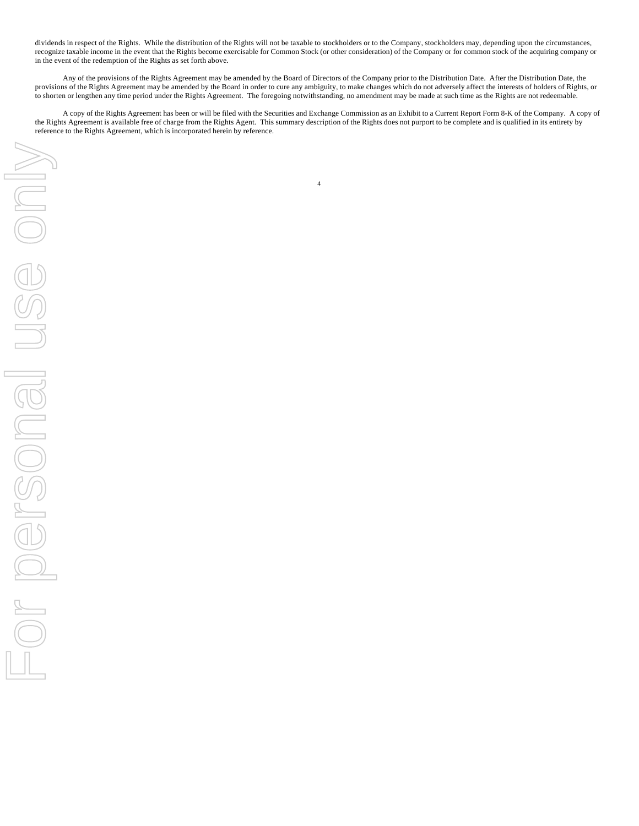dividends in respect of the Rights. While the distribution of the Rights will not be taxable to stockholders or to the Company, stockholders may, depending upon the circumstances, recognize taxable income in the event that the Rights become exercisable for Common Stock (or other consideration) of the Company or for common stock of the acquiring company or in the event of the redemption of the Rights as set forth above.

Any of the provisions of the Rights Agreement may be amended by the Board of Directors of the Company prior to the Distribution Date. After the Distribution Date, the provisions of the Rights Agreement may be amended by the Board in order to cure any ambiguity, to make changes which do not adversely affect the interests of holders of Rights, or to shorten or lengthen any time period under the Rights Agreement. The foregoing notwithstanding, no amendment may be made at such time as the Rights are not redeemable.

A copy of the Rights Agreement has been or will be filed with the Securities and Exchange Commission as an Exhibit to a Current Report Form 8-K of the Company. A copy of the Rights Agreement is available free of charge from the Rights Agent. This summary description of the Rights does not purport to be complete and is qualified in its entirety by reference to the Rights Agreement, which is incorporated herein by reference.

4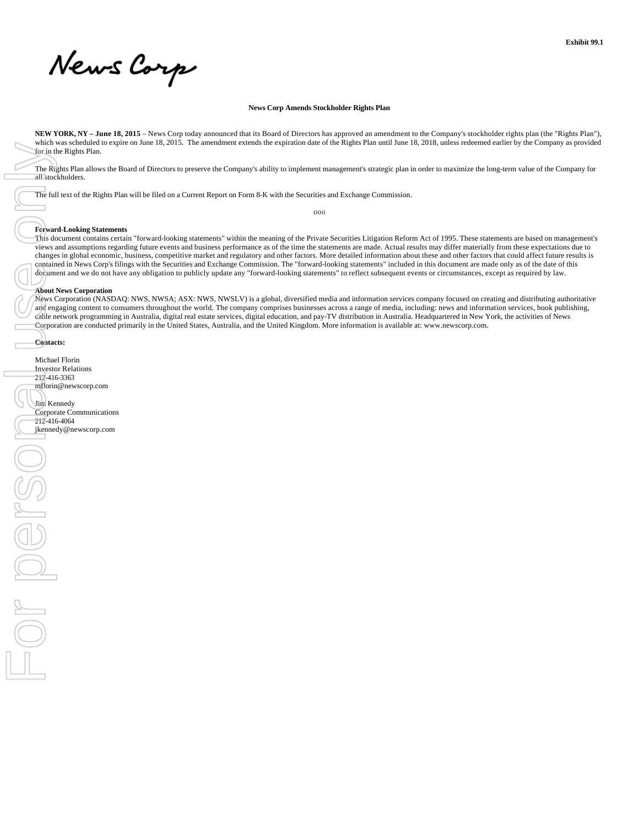News Corp

## **News Corp Amends Stockholder Rights Plan**

**NEW YORK, NY – June 18, 2015** – News Corp today announced that its Board of Directors has approved an amendment to the Company's stockholder rights plan (the "Rights Plan"), which was scheduled to expire on June 18, 2015. The amendment extends the expiration date of the Rights Plan until June 18, 2018, unless redeemed earlier by the Company as provided for in the Rights Plan.

The Rights Plan allows the Board of Directors to preserve the Company's ability to implement management's strategic plan in order to maximize the long-term value of the Company for all stockholders.

The full text of the Rights Plan will be filed on a Current Report on Form 8-K with the Securities and Exchange Commission.

ooo

## **Forward-Looking Statements**

This document contains certain "forward-looking statements" within the meaning of the Private Securities Litigation Reform Act of 1995. These statements are based on management's views and assumptions regarding future events and business performance as of the time the statements are made. Actual results may differ materially from these expectations due to changes in global economic, business, competitive market and regulatory and other factors. More detailed information about these and other factors that could affect future results is contained in News Corp's filings with the Securities and Exchange Commission. The "forward-looking statements" included in this document are made only as of the date of this document and we do not have any obligation to publicly update any "forward-looking statements" to reflect subsequent events or circumstances, except as required by law.

# **About News Corporation**

News Corporation (NASDAQ: NWS, NWSA; ASX: NWS, NWSLV) is a global, diversified media and information services company focused on creating and distributing authoritative and engaging content to consumers throughout the world. The company comprises businesses across a range of media, including: news and information services, book publishing, cable network programming in Australia, digital real estate services, digital education, and pay-TV distribution in Australia. Headquartered in New York, the activities of News Corporation are conducted primarily in the United States, Australia, and the United Kingdom. More information is available at: www.newscorp.com.

**Contacts:**

Michael Florin Investor Relations 212-416-3363 mflorin@newscorp.com Jim Kennedy Corporate Communications 212-416-4064<br>jkennedy@newscorp.com